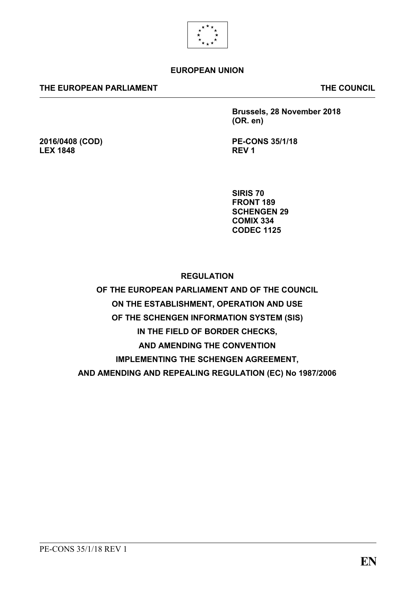

### **EUROPEAN UNION**

### **THE EUROPEAN PARLIAMENT THE COUNCIL**

**2016/0408 (COD)**

**LEX 1848**

**Brussels, 28 November 2018 (OR. en)**

**PE-CONS 35/1/18 REV 1**

**SIRIS 70 FRONT 189 SCHENGEN 29 COMIX 334 CODEC 1125**

**REGULATION** 

**OF THE EUROPEAN PARLIAMENT AND OF THE COUNCIL ON THE ESTABLISHMENT, OPERATION AND USE OF THE SCHENGEN INFORMATION SYSTEM (SIS) IN THE FIELD OF BORDER CHECKS, AND AMENDING THE CONVENTION IMPLEMENTING THE SCHENGEN AGREEMENT, AND AMENDING AND REPEALING REGULATION (EC) No 1987/2006**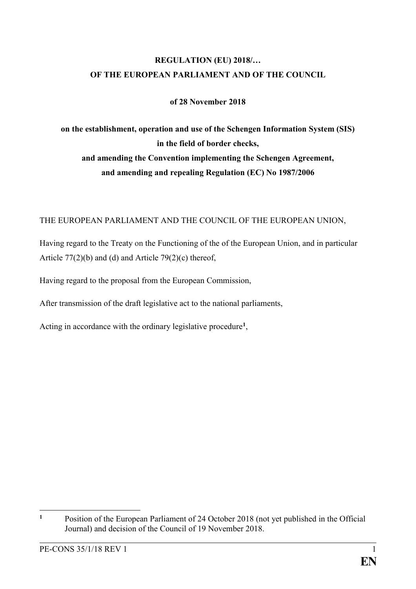## **REGULATION (EU) 2018/… OF THE EUROPEAN PARLIAMENT AND OF THE COUNCIL**

### **of 28 November 2018**

**on the establishment, operation and use of the Schengen Information System (SIS) in the field of border checks, and amending the Convention implementing the Schengen Agreement, and amending and repealing Regulation (EC) No 1987/2006**

### THE EUROPEAN PARLIAMENT AND THE COUNCIL OF THE EUROPEAN UNION,

Having regard to the Treaty on the Functioning of the of the European Union, and in particular Article 77(2)(b) and (d) and Article 79(2)(c) thereof,

Having regard to the proposal from the European Commission,

After transmission of the draft legislative act to the national parliaments,

Acting in accordance with the ordinary legislative procedure**<sup>1</sup>** ,

 $\mathbf{1}$ **<sup>1</sup>** Position of the European Parliament of 24 October 2018 (not yet published in the Official Journal) and decision of the Council of 19 November 2018.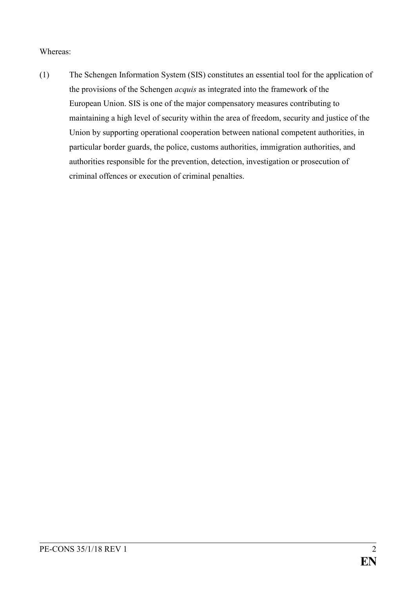### Whereas:

(1) The Schengen Information System (SIS) constitutes an essential tool for the application of the provisions of the Schengen *acquis* as integrated into the framework of the European Union. SIS is one of the major compensatory measures contributing to maintaining a high level of security within the area of freedom, security and justice of the Union by supporting operational cooperation between national competent authorities, in particular border guards, the police, customs authorities, immigration authorities, and authorities responsible for the prevention, detection, investigation or prosecution of criminal offences or execution of criminal penalties.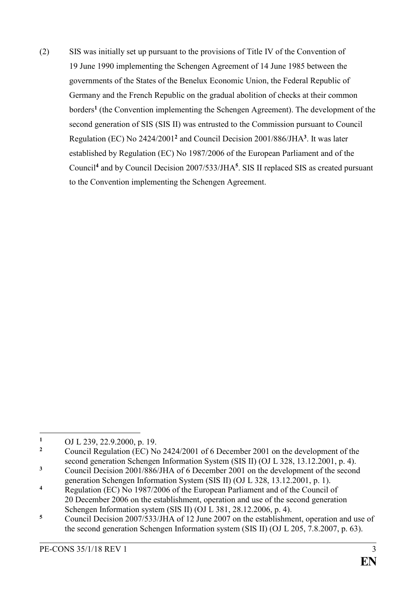(2) SIS was initially set up pursuant to the provisions of Title IV of the Convention of 19 June 1990 implementing the Schengen Agreement of 14 June 1985 between the governments of the States of the Benelux Economic Union, the Federal Republic of Germany and the French Republic on the gradual abolition of checks at their common borders**<sup>1</sup>** (the Convention implementing the Schengen Agreement). The development of the second generation of SIS (SIS II) was entrusted to the Commission pursuant to Council Regulation (EC) No 2424/2001**<sup>2</sup>** and Council Decision 2001/886/JHA**<sup>3</sup>** . It was later established by Regulation (EC) No 1987/2006 of the European Parliament and of the Council**<sup>4</sup>** and by Council Decision 2007/533/JHA**<sup>5</sup>** . SIS II replaced SIS as created pursuant to the Convention implementing the Schengen Agreement.

 $\mathbf{1}$ 1 OJ L [239, 22.9.2000, p.](http://eur-lex.europa.eu/legal-content/EN/AUTO/?uri=OJ:L:2000:239R:TOC) 19.

**<sup>2</sup>** Council Regulation (EC) No 2424/2001 of 6 December 2001 on the development of the second generation Schengen Information System (SIS II) (OJ L [328, 13.12.2001, p.](http://eur-lex.europa.eu/legal-content/EN/AUTO/?uri=OJ:L:2001:328R:TOC) 4).

**<sup>3</sup>** Council Decision 2001/886/JHA of 6 December 2001 on the development of the second generation Schengen Information System (SIS II) (OJ L [328, 13.12.2001, p.](http://eur-lex.europa.eu/legal-content/EN/AUTO/?uri=OJ:L:2001:328R:TOC) 1).

**<sup>4</sup>** Regulation (EC) No 1987/2006 of the European Parliament and of the Council of 20 December 2006 on the establishment, operation and use of the second generation Schengen Information system (SIS II) (OJ L 381, 28.12.2006, p. 4).

**<sup>5</sup>** Council Decision 2007/533/JHA of 12 June 2007 on the establishment, operation and use of the second generation Schengen Information system (SIS II) (OJ L 205, 7.8.2007, p. 63).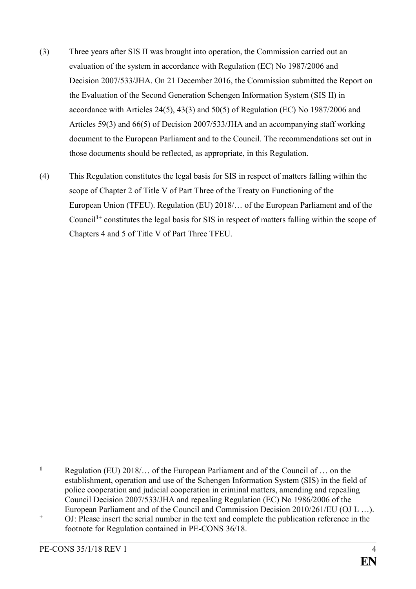- (3) Three years after SIS II was brought into operation, the Commission carried out an evaluation of the system in accordance with Regulation (EC) No 1987/2006 and Decision 2007/533/JHA. On 21 December 2016, the Commission submitted the Report on the Evaluation of the Second Generation Schengen Information System (SIS II) in accordance with Articles 24(5), 43(3) and 50(5) of Regulation (EC) No 1987/2006 and Articles 59(3) and 66(5) of Decision 2007/533/JHA and an accompanying staff working document to the European Parliament and to the Council. The recommendations set out in those documents should be reflected, as appropriate, in this Regulation.
- (4) This Regulation constitutes the legal basis for SIS in respect of matters falling within the scope of Chapter 2 of Title V of Part Three of the Treaty on Functioning of the European Union (TFEU). Regulation (EU) 2018/… of the European Parliament and of the Council**1+** constitutes the legal basis for SIS in respect of matters falling within the scope of Chapters 4 and 5 of Title V of Part Three TFEU.

 $\mathbf{1}$ **<sup>1</sup>** Regulation (EU) 2018/… of the European Parliament and of the Council of … on the establishment, operation and use of the Schengen Information System (SIS) in the field of police cooperation and judicial cooperation in criminal matters, amending and repealing Council Decision 2007/533/JHA and repealing Regulation (EC) No 1986/2006 of the European Parliament and of the Council and Commission Decision 2010/261/EU (OJ L …).

<sup>&</sup>lt;sup>+</sup> OJ: Please insert the serial number in the text and complete the publication reference in the footnote for Regulation contained in PE-CONS 36/18.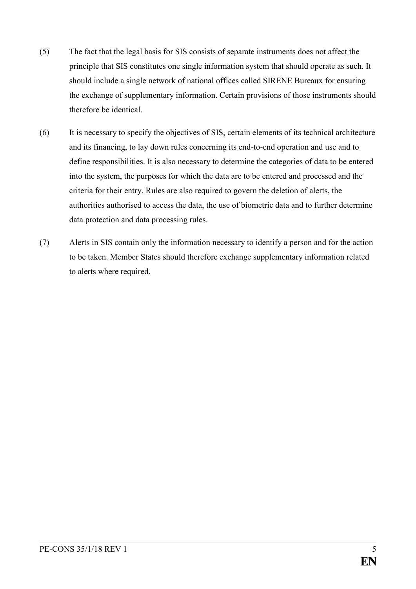- (5) The fact that the legal basis for SIS consists of separate instruments does not affect the principle that SIS constitutes one single information system that should operate as such. It should include a single network of national offices called SIRENE Bureaux for ensuring the exchange of supplementary information. Certain provisions of those instruments should therefore be identical.
- (6) It is necessary to specify the objectives of SIS, certain elements of its technical architecture and its financing, to lay down rules concerning its end-to-end operation and use and to define responsibilities. It is also necessary to determine the categories of data to be entered into the system, the purposes for which the data are to be entered and processed and the criteria for their entry. Rules are also required to govern the deletion of alerts, the authorities authorised to access the data, the use of biometric data and to further determine data protection and data processing rules.
- (7) Alerts in SIS contain only the information necessary to identify a person and for the action to be taken. Member States should therefore exchange supplementary information related to alerts where required.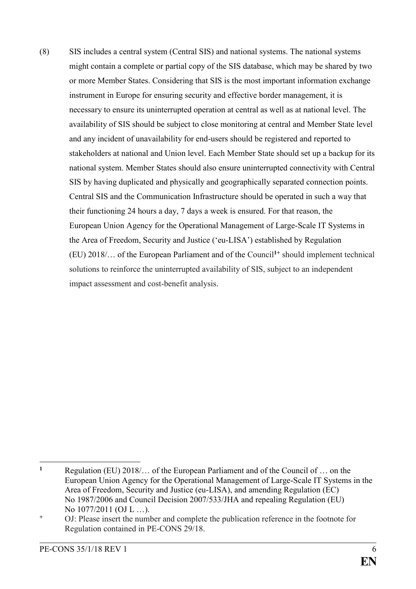(8) SIS includes a central system (Central SIS) and national systems. The national systems might contain a complete or partial copy of the SIS database, which may be shared by two or more Member States. Considering that SIS is the most important information exchange instrument in Europe for ensuring security and effective border management, it is necessary to ensure its uninterrupted operation at central as well as at national level. The availability of SIS should be subject to close monitoring at central and Member State level and any incident of unavailability for end-users should be registered and reported to stakeholders at national and Union level. Each Member State should set up a backup for its national system. Member States should also ensure uninterrupted connectivity with Central SIS by having duplicated and physically and geographically separated connection points. Central SIS and the Communication Infrastructure should be operated in such a way that their functioning 24 hours a day, 7 days a week is ensured. For that reason, the European Union Agency for the Operational Management of Large-Scale IT Systems in the Area of Freedom, Security and Justice ('eu-LISA') established by Regulation (EU) 2018/… of the European Parliament and of the Council**1+** should implement technical solutions to reinforce the uninterrupted availability of SIS, subject to an independent impact assessment and cost-benefit analysis.

 $\mathbf{1}$ **<sup>1</sup>** Regulation (EU) 2018/… of the European Parliament and of the Council of … on the European Union Agency for the Operational Management of Large-Scale IT Systems in the Area of Freedom, Security and Justice (eu-LISA), and amending Regulation (EC) No 1987/2006 and Council Decision 2007/533/JHA and repealing Regulation (EU) No 1077/2011 (OJ L …).

**<sup>+</sup>** OJ: Please insert the number and complete the publication reference in the footnote for Regulation contained in PE-CONS 29/18.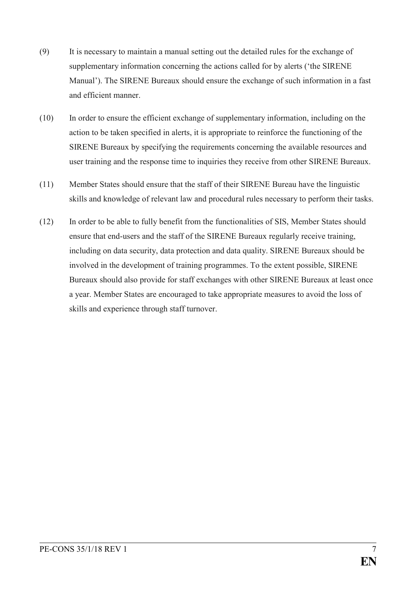- (9) It is necessary to maintain a manual setting out the detailed rules for the exchange of supplementary information concerning the actions called for by alerts ('the SIRENE Manual'). The SIRENE Bureaux should ensure the exchange of such information in a fast and efficient manner.
- (10) In order to ensure the efficient exchange of supplementary information, including on the action to be taken specified in alerts, it is appropriate to reinforce the functioning of the SIRENE Bureaux by specifying the requirements concerning the available resources and user training and the response time to inquiries they receive from other SIRENE Bureaux.
- (11) Member States should ensure that the staff of their SIRENE Bureau have the linguistic skills and knowledge of relevant law and procedural rules necessary to perform their tasks.
- (12) In order to be able to fully benefit from the functionalities of SIS, Member States should ensure that end-users and the staff of the SIRENE Bureaux regularly receive training, including on data security, data protection and data quality. SIRENE Bureaux should be involved in the development of training programmes. To the extent possible, SIRENE Bureaux should also provide for staff exchanges with other SIRENE Bureaux at least once a year. Member States are encouraged to take appropriate measures to avoid the loss of skills and experience through staff turnover.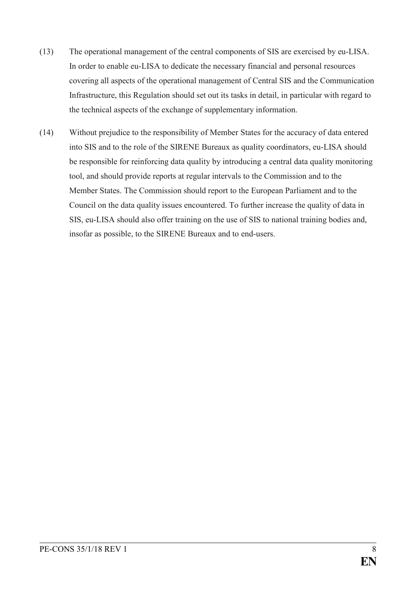- (13) The operational management of the central components of SIS are exercised by eu-LISA. In order to enable eu-LISA to dedicate the necessary financial and personal resources covering all aspects of the operational management of Central SIS and the Communication Infrastructure, this Regulation should set out its tasks in detail, in particular with regard to the technical aspects of the exchange of supplementary information.
- (14) Without prejudice to the responsibility of Member States for the accuracy of data entered into SIS and to the role of the SIRENE Bureaux as quality coordinators, eu-LISA should be responsible for reinforcing data quality by introducing a central data quality monitoring tool, and should provide reports at regular intervals to the Commission and to the Member States. The Commission should report to the European Parliament and to the Council on the data quality issues encountered. To further increase the quality of data in SIS, eu-LISA should also offer training on the use of SIS to national training bodies and, insofar as possible, to the SIRENE Bureaux and to end-users.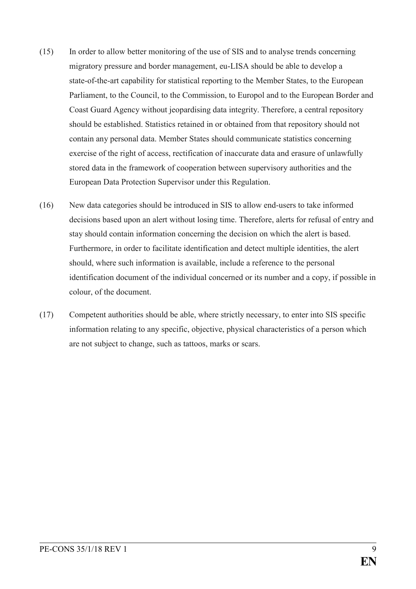- (15) In order to allow better monitoring of the use of SIS and to analyse trends concerning migratory pressure and border management, eu-LISA should be able to develop a state-of-the-art capability for statistical reporting to the Member States, to the European Parliament, to the Council, to the Commission, to Europol and to the European Border and Coast Guard Agency without jeopardising data integrity. Therefore, a central repository should be established. Statistics retained in or obtained from that repository should not contain any personal data. Member States should communicate statistics concerning exercise of the right of access, rectification of inaccurate data and erasure of unlawfully stored data in the framework of cooperation between supervisory authorities and the European Data Protection Supervisor under this Regulation.
- (16) New data categories should be introduced in SIS to allow end-users to take informed decisions based upon an alert without losing time. Therefore, alerts for refusal of entry and stay should contain information concerning the decision on which the alert is based. Furthermore, in order to facilitate identification and detect multiple identities, the alert should, where such information is available, include a reference to the personal identification document of the individual concerned or its number and a copy, if possible in colour, of the document.
- (17) Competent authorities should be able, where strictly necessary, to enter into SIS specific information relating to any specific, objective, physical characteristics of a person which are not subject to change, such as tattoos, marks or scars.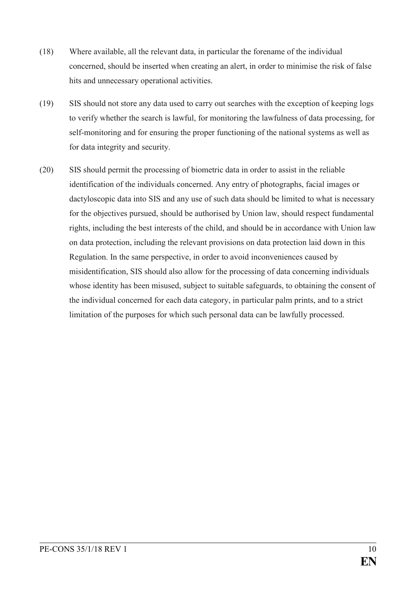- (18) Where available, all the relevant data, in particular the forename of the individual concerned, should be inserted when creating an alert, in order to minimise the risk of false hits and unnecessary operational activities.
- (19) SIS should not store any data used to carry out searches with the exception of keeping logs to verify whether the search is lawful, for monitoring the lawfulness of data processing, for self-monitoring and for ensuring the proper functioning of the national systems as well as for data integrity and security.
- (20) SIS should permit the processing of biometric data in order to assist in the reliable identification of the individuals concerned. Any entry of photographs, facial images or dactyloscopic data into SIS and any use of such data should be limited to what is necessary for the objectives pursued, should be authorised by Union law, should respect fundamental rights, including the best interests of the child, and should be in accordance with Union law on data protection, including the relevant provisions on data protection laid down in this Regulation. In the same perspective, in order to avoid inconveniences caused by misidentification, SIS should also allow for the processing of data concerning individuals whose identity has been misused, subject to suitable safeguards, to obtaining the consent of the individual concerned for each data category, in particular palm prints, and to a strict limitation of the purposes for which such personal data can be lawfully processed.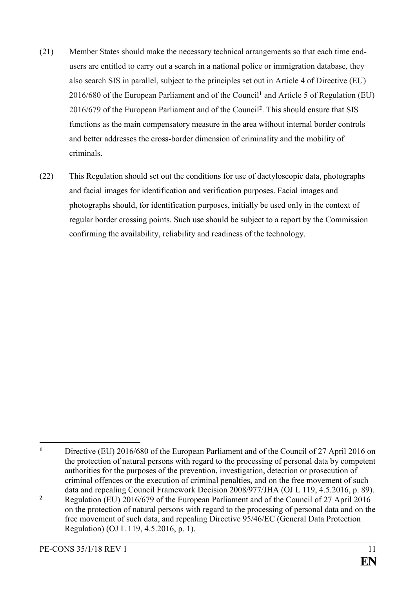- (21) Member States should make the necessary technical arrangements so that each time endusers are entitled to carry out a search in a national police or immigration database, they also search SIS in parallel, subject to the principles set out in Article 4 of Directive (EU) 2016/680 of the European Parliament and of the Council**<sup>1</sup>** and Article 5 of Regulation (EU) 2016/679 of the European Parliament and of the Council**<sup>2</sup>** . This should ensure that SIS functions as the main compensatory measure in the area without internal border controls and better addresses the cross-border dimension of criminality and the mobility of criminals.
- (22) This Regulation should set out the conditions for use of dactyloscopic data, photographs and facial images for identification and verification purposes. Facial images and photographs should, for identification purposes, initially be used only in the context of regular border crossing points. Such use should be subject to a report by the Commission confirming the availability, reliability and readiness of the technology.

<sup>&</sup>lt;u>.</u> **<sup>1</sup>** Directive (EU) 2016/680 of the European Parliament and of the Council of 27 April 2016 on the protection of natural persons with regard to the processing of personal data by competent authorities for the purposes of the prevention, investigation, detection or prosecution of criminal offences or the execution of criminal penalties, and on the free movement of such data and repealing Council Framework Decision 2008/977/JHA (OJ L 119, 4.5.2016, p. 89).

**<sup>2</sup>** Regulation (EU) 2016/679 of the European Parliament and of the Council of 27 April 2016 on the protection of natural persons with regard to the processing of personal data and on the free movement of such data, and repealing Directive 95/46/EC (General Data Protection Regulation) (OJ L 119, 4.5.2016, p. 1).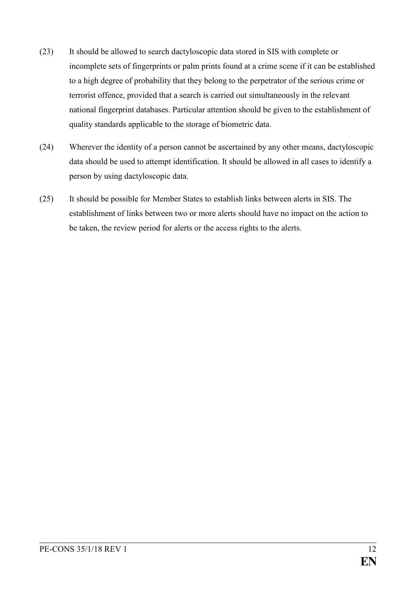- (23) It should be allowed to search dactyloscopic data stored in SIS with complete or incomplete sets of fingerprints or palm prints found at a crime scene if it can be established to a high degree of probability that they belong to the perpetrator of the serious crime or terrorist offence, provided that a search is carried out simultaneously in the relevant national fingerprint databases. Particular attention should be given to the establishment of quality standards applicable to the storage of biometric data.
- (24) Wherever the identity of a person cannot be ascertained by any other means, dactyloscopic data should be used to attempt identification. It should be allowed in all cases to identify a person by using dactyloscopic data.
- (25) It should be possible for Member States to establish links between alerts in SIS. The establishment of links between two or more alerts should have no impact on the action to be taken, the review period for alerts or the access rights to the alerts.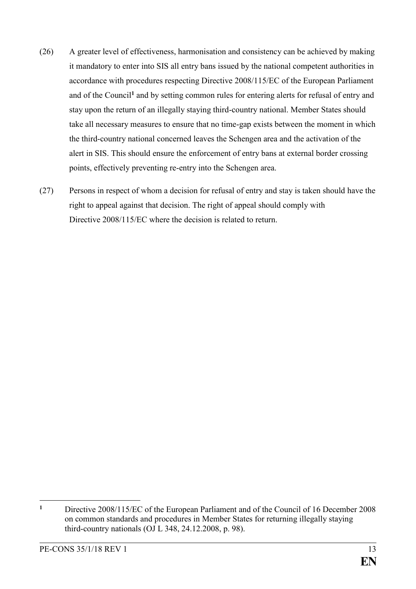- (26) A greater level of effectiveness, harmonisation and consistency can be achieved by making it mandatory to enter into SIS all entry bans issued by the national competent authorities in accordance with procedures respecting Directive 2008/115/EC of the European Parliament and of the Council**<sup>1</sup>** and by setting common rules for entering alerts for refusal of entry and stay upon the return of an illegally staying third-country national. Member States should take all necessary measures to ensure that no time-gap exists between the moment in which the third-country national concerned leaves the Schengen area and the activation of the alert in SIS. This should ensure the enforcement of entry bans at external border crossing points, effectively preventing re-entry into the Schengen area.
- (27) Persons in respect of whom a decision for refusal of entry and stay is taken should have the right to appeal against that decision. The right of appeal should comply with Directive 2008/115/EC where the decision is related to return.

<u>.</u>

**<sup>1</sup>** Directive 2008/115/EC of the European Parliament and of the Council of 16 December 2008 on common standards and procedures in Member States for returning illegally staying third-country nationals (OJ L 348, 24.12.2008, p. 98).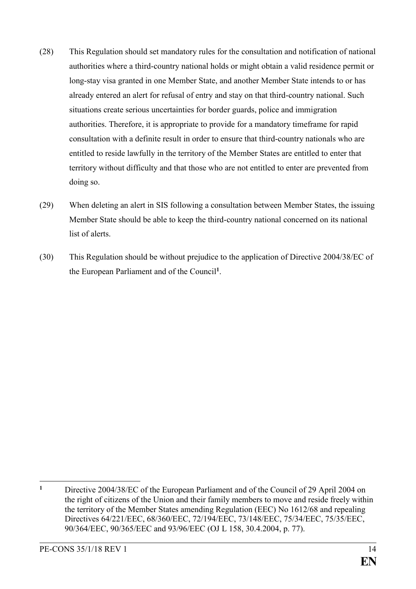- (28) This Regulation should set mandatory rules for the consultation and notification of national authorities where a third-country national holds or might obtain a valid residence permit or long-stay visa granted in one Member State, and another Member State intends to or has already entered an alert for refusal of entry and stay on that third-country national. Such situations create serious uncertainties for border guards, police and immigration authorities. Therefore, it is appropriate to provide for a mandatory timeframe for rapid consultation with a definite result in order to ensure that third-country nationals who are entitled to reside lawfully in the territory of the Member States are entitled to enter that territory without difficulty and that those who are not entitled to enter are prevented from doing so.
- (29) When deleting an alert in SIS following a consultation between Member States, the issuing Member State should be able to keep the third-country national concerned on its national list of alerts.
- (30) This Regulation should be without prejudice to the application of Directive 2004/38/EC of the European Parliament and of the Council**<sup>1</sup>** .

 $\mathbf{1}$ **<sup>1</sup>** Directive 2004/38/EC of the European Parliament and of the Council of 29 April 2004 on the right of citizens of the Union and their family members to move and reside freely within the territory of the Member States amending Regulation (EEC) No 1612/68 and repealing Directives 64/221/EEC, 68/360/EEC, 72/194/EEC, 73/148/EEC, 75/34/EEC, 75/35/EEC, 90/364/EEC, 90/365/EEC and 93/96/EEC (OJ L 158, 30.4.2004, p. 77).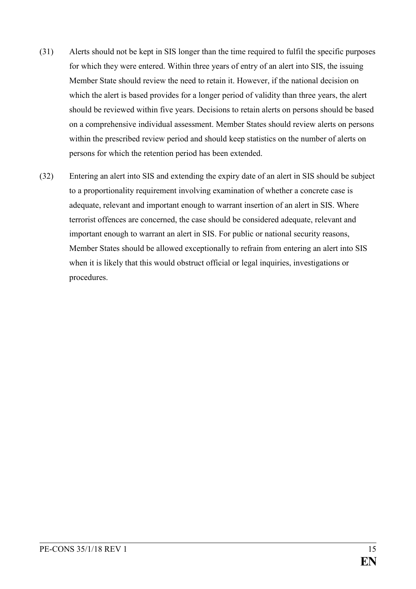- (31) Alerts should not be kept in SIS longer than the time required to fulfil the specific purposes for which they were entered. Within three years of entry of an alert into SIS, the issuing Member State should review the need to retain it. However, if the national decision on which the alert is based provides for a longer period of validity than three years, the alert should be reviewed within five years. Decisions to retain alerts on persons should be based on a comprehensive individual assessment. Member States should review alerts on persons within the prescribed review period and should keep statistics on the number of alerts on persons for which the retention period has been extended.
- (32) Entering an alert into SIS and extending the expiry date of an alert in SIS should be subject to a proportionality requirement involving examination of whether a concrete case is adequate, relevant and important enough to warrant insertion of an alert in SIS. Where terrorist offences are concerned, the case should be considered adequate, relevant and important enough to warrant an alert in SIS. For public or national security reasons, Member States should be allowed exceptionally to refrain from entering an alert into SIS when it is likely that this would obstruct official or legal inquiries, investigations or procedures.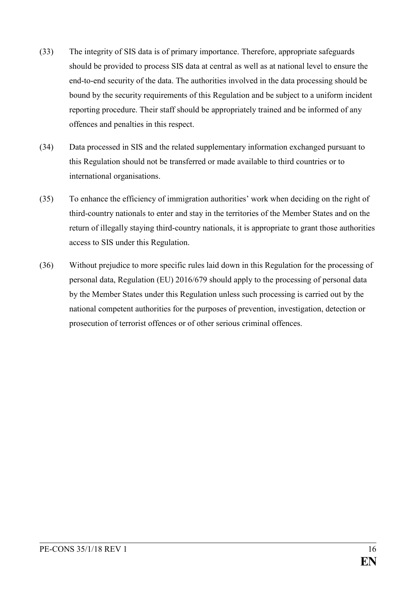- (33) The integrity of SIS data is of primary importance. Therefore, appropriate safeguards should be provided to process SIS data at central as well as at national level to ensure the end-to-end security of the data. The authorities involved in the data processing should be bound by the security requirements of this Regulation and be subject to a uniform incident reporting procedure. Their staff should be appropriately trained and be informed of any offences and penalties in this respect.
- (34) Data processed in SIS and the related supplementary information exchanged pursuant to this Regulation should not be transferred or made available to third countries or to international organisations.
- (35) To enhance the efficiency of immigration authorities' work when deciding on the right of third-country nationals to enter and stay in the territories of the Member States and on the return of illegally staying third-country nationals, it is appropriate to grant those authorities access to SIS under this Regulation.
- (36) Without prejudice to more specific rules laid down in this Regulation for the processing of personal data, Regulation (EU) 2016/679 should apply to the processing of personal data by the Member States under this Regulation unless such processing is carried out by the national competent authorities for the purposes of prevention, investigation, detection or prosecution of terrorist offences or of other serious criminal offences.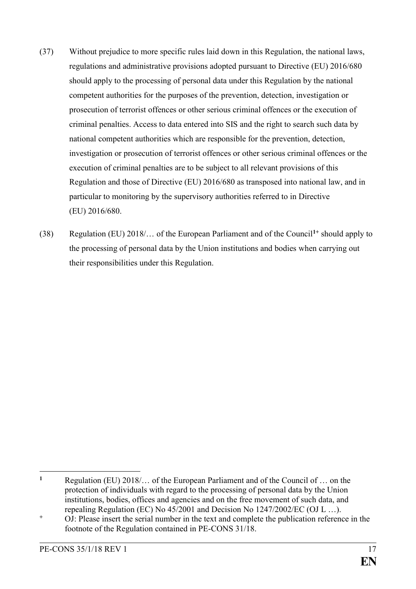- (37) Without prejudice to more specific rules laid down in this Regulation, the national laws, regulations and administrative provisions adopted pursuant to Directive (EU) 2016/680 should apply to the processing of personal data under this Regulation by the national competent authorities for the purposes of the prevention, detection, investigation or prosecution of terrorist offences or other serious criminal offences or the execution of criminal penalties. Access to data entered into SIS and the right to search such data by national competent authorities which are responsible for the prevention, detection, investigation or prosecution of terrorist offences or other serious criminal offences or the execution of criminal penalties are to be subject to all relevant provisions of this Regulation and those of Directive (EU) 2016/680 as transposed into national law, and in particular to monitoring by the supervisory authorities referred to in Directive (EU) 2016/680.
- (38) Regulation (EU) 2018/… of the European Parliament and of the Council**1+** should apply to the processing of personal data by the Union institutions and bodies when carrying out their responsibilities under this Regulation.

 $\mathbf{1}$ **<sup>1</sup>** Regulation (EU) 2018/… of the European Parliament and of the Council of … on the protection of individuals with regard to the processing of personal data by the Union institutions, bodies, offices and agencies and on the free movement of such data, and repealing Regulation (EC) No 45/2001 and Decision No 1247/2002/EC (OJ L …).

**<sup>+</sup>** OJ: Please insert the serial number in the text and complete the publication reference in the footnote of the Regulation contained in PE-CONS 31/18.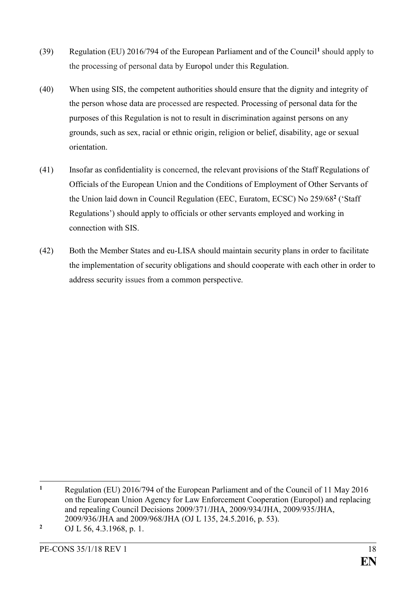- (39) Regulation (EU) 2016/794 of the European Parliament and of the Council**<sup>1</sup>** should apply to the processing of personal data by Europol under this Regulation.
- (40) When using SIS, the competent authorities should ensure that the dignity and integrity of the person whose data are processed are respected. Processing of personal data for the purposes of this Regulation is not to result in discrimination against persons on any grounds, such as sex, racial or ethnic origin, religion or belief, disability, age or sexual orientation.
- (41) Insofar as confidentiality is concerned, the relevant provisions of the Staff Regulations of Officials of the European Union and the Conditions of Employment of Other Servants of the Union laid down in Council Regulation (EEC, Euratom, ECSC) No 259/68**<sup>2</sup>** ('Staff Regulations') should apply to officials or other servants employed and working in connection with SIS.
- (42) Both the Member States and eu-LISA should maintain security plans in order to facilitate the implementation of security obligations and should cooperate with each other in order to address security issues from a common perspective.

 $\mathbf{1}$ **<sup>1</sup>** Regulation (EU) 2016/794 of the European Parliament and of the Council of 11 May 2016 on the European Union Agency for Law Enforcement Cooperation (Europol) and replacing and repealing Council Decisions 2009/371/JHA, 2009/934/JHA, 2009/935/JHA, 2009/936/JHA and 2009/968/JHA (OJ L 135, 24.5.2016, p. 53).

**<sup>2</sup>** OJ L 56, 4.3.1968, p. 1.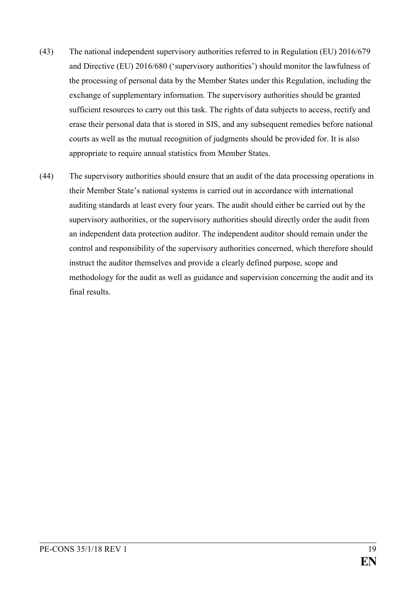- (43) The national independent supervisory authorities referred to in Regulation (EU) 2016/679 and Directive (EU) 2016/680 ('supervisory authorities') should monitor the lawfulness of the processing of personal data by the Member States under this Regulation, including the exchange of supplementary information. The supervisory authorities should be granted sufficient resources to carry out this task. The rights of data subjects to access, rectify and erase their personal data that is stored in SIS, and any subsequent remedies before national courts as well as the mutual recognition of judgments should be provided for. It is also appropriate to require annual statistics from Member States.
- (44) The supervisory authorities should ensure that an audit of the data processing operations in their Member State's national systems is carried out in accordance with international auditing standards at least every four years. The audit should either be carried out by the supervisory authorities, or the supervisory authorities should directly order the audit from an independent data protection auditor. The independent auditor should remain under the control and responsibility of the supervisory authorities concerned, which therefore should instruct the auditor themselves and provide a clearly defined purpose, scope and methodology for the audit as well as guidance and supervision concerning the audit and its final results.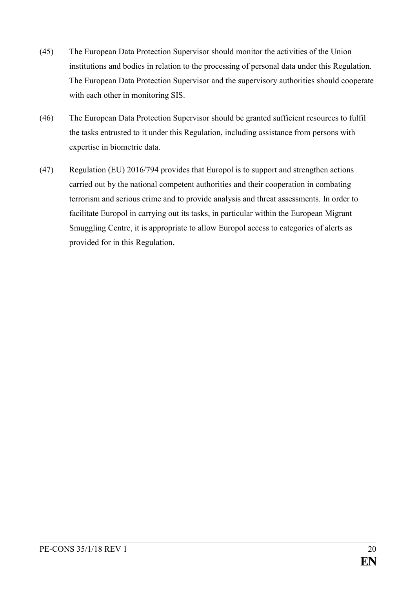- (45) The European Data Protection Supervisor should monitor the activities of the Union institutions and bodies in relation to the processing of personal data under this Regulation. The European Data Protection Supervisor and the supervisory authorities should cooperate with each other in monitoring SIS.
- (46) The European Data Protection Supervisor should be granted sufficient resources to fulfil the tasks entrusted to it under this Regulation, including assistance from persons with expertise in biometric data.
- (47) Regulation (EU) 2016/794 provides that Europol is to support and strengthen actions carried out by the national competent authorities and their cooperation in combating terrorism and serious crime and to provide analysis and threat assessments. In order to facilitate Europol in carrying out its tasks, in particular within the European Migrant Smuggling Centre, it is appropriate to allow Europol access to categories of alerts as provided for in this Regulation.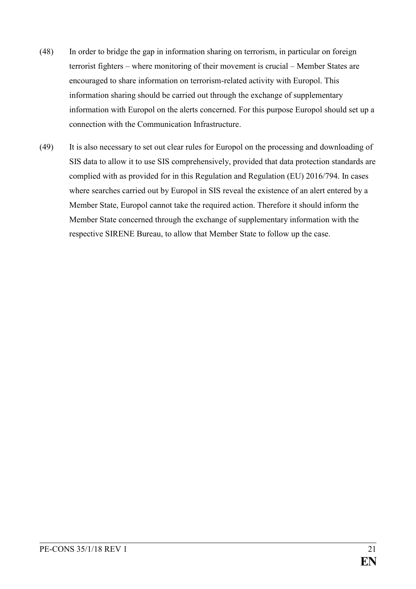- (48) In order to bridge the gap in information sharing on terrorism, in particular on foreign terrorist fighters – where monitoring of their movement is crucial – Member States are encouraged to share information on terrorism-related activity with Europol. This information sharing should be carried out through the exchange of supplementary information with Europol on the alerts concerned. For this purpose Europol should set up a connection with the Communication Infrastructure.
- (49) It is also necessary to set out clear rules for Europol on the processing and downloading of SIS data to allow it to use SIS comprehensively, provided that data protection standards are complied with as provided for in this Regulation and Regulation (EU) 2016/794. In cases where searches carried out by Europol in SIS reveal the existence of an alert entered by a Member State, Europol cannot take the required action. Therefore it should inform the Member State concerned through the exchange of supplementary information with the respective SIRENE Bureau, to allow that Member State to follow up the case.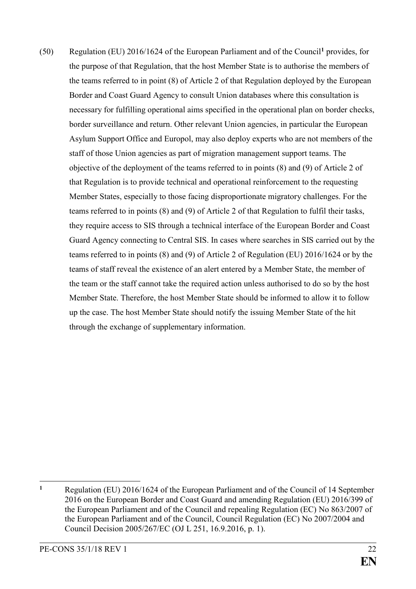(50) Regulation (EU) 2016/1624 of the European Parliament and of the Council**<sup>1</sup>** provides, for the purpose of that Regulation, that the host Member State is to authorise the members of the teams referred to in point (8) of Article 2 of that Regulation deployed by the European Border and Coast Guard Agency to consult Union databases where this consultation is necessary for fulfilling operational aims specified in the operational plan on border checks, border surveillance and return. Other relevant Union agencies, in particular the European Asylum Support Office and Europol, may also deploy experts who are not members of the staff of those Union agencies as part of migration management support teams. The objective of the deployment of the teams referred to in points (8) and (9) of Article 2 of that Regulation is to provide technical and operational reinforcement to the requesting Member States, especially to those facing disproportionate migratory challenges. For the teams referred to in points (8) and (9) of Article 2 of that Regulation to fulfil their tasks, they require access to SIS through a technical interface of the European Border and Coast Guard Agency connecting to Central SIS. In cases where searches in SIS carried out by the teams referred to in points (8) and (9) of Article 2 of Regulation (EU) 2016/1624 or by the teams of staff reveal the existence of an alert entered by a Member State, the member of the team or the staff cannot take the required action unless authorised to do so by the host Member State. Therefore, the host Member State should be informed to allow it to follow up the case. The host Member State should notify the issuing Member State of the hit through the exchange of supplementary information.

 $\mathbf{1}$ **<sup>1</sup>** Regulation (EU) 2016/1624 of the European Parliament and of the Council of 14 September 2016 on the European Border and Coast Guard and amending Regulation (EU) 2016/399 of the European Parliament and of the Council and repealing Regulation (EC) No 863/2007 of the European Parliament and of the Council, Council Regulation (EC) No 2007/2004 and Council Decision 2005/267/EC (OJ L 251, 16.9.2016, p. 1).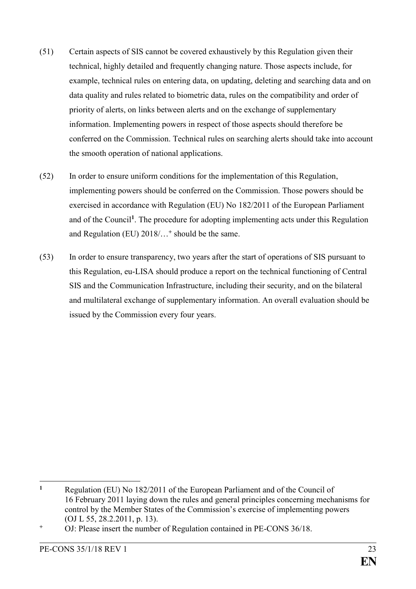- (51) Certain aspects of SIS cannot be covered exhaustively by this Regulation given their technical, highly detailed and frequently changing nature. Those aspects include, for example, technical rules on entering data, on updating, deleting and searching data and on data quality and rules related to biometric data, rules on the compatibility and order of priority of alerts, on links between alerts and on the exchange of supplementary information. Implementing powers in respect of those aspects should therefore be conferred on the Commission. Technical rules on searching alerts should take into account the smooth operation of national applications.
- (52) In order to ensure uniform conditions for the implementation of this Regulation, implementing powers should be conferred on the Commission. Those powers should be exercised in accordance with Regulation (EU) No 182/2011 of the European Parliament and of the Council**<sup>1</sup>** . The procedure for adopting implementing acts under this Regulation and Regulation (EU) 2018/…**<sup>+</sup>** should be the same.
- (53) In order to ensure transparency, two years after the start of operations of SIS pursuant to this Regulation, eu-LISA should produce a report on the technical functioning of Central SIS and the Communication Infrastructure, including their security, and on the bilateral and multilateral exchange of supplementary information. An overall evaluation should be issued by the Commission every four years.

 $\mathbf{1}$ **<sup>1</sup>** Regulation (EU) No 182/2011 of the European Parliament and of the Council of 16 February 2011 laying down the rules and general principles concerning mechanisms for control by the Member States of the Commission's exercise of implementing powers (OJ L 55, 28.2.2011, p. 13).

**<sup>+</sup>** OJ: Please insert the number of Regulation contained in PE-CONS 36/18.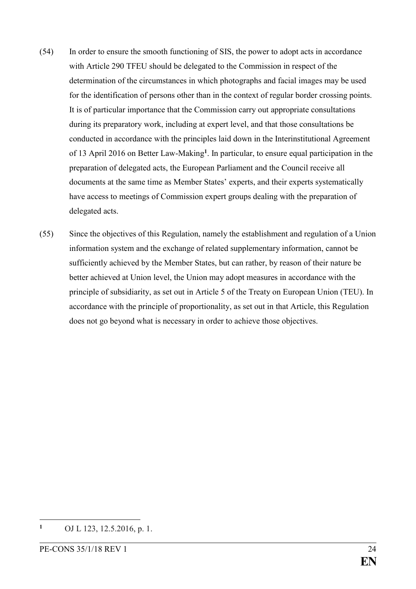- (54) In order to ensure the smooth functioning of SIS, the power to adopt acts in accordance with Article 290 TFEU should be delegated to the Commission in respect of the determination of the circumstances in which photographs and facial images may be used for the identification of persons other than in the context of regular border crossing points. It is of particular importance that the Commission carry out appropriate consultations during its preparatory work, including at expert level, and that those consultations be conducted in accordance with the principles laid down in the Interinstitutional Agreement of 13 April 2016 on Better Law-Making**<sup>1</sup>** . In particular, to ensure equal participation in the preparation of delegated acts, the European Parliament and the Council receive all documents at the same time as Member States' experts, and their experts systematically have access to meetings of Commission expert groups dealing with the preparation of delegated acts.
- (55) Since the objectives of this Regulation, namely the establishment and regulation of a Union information system and the exchange of related supplementary information, cannot be sufficiently achieved by the Member States, but can rather, by reason of their nature be better achieved at Union level, the Union may adopt measures in accordance with the principle of subsidiarity, as set out in Article 5 of the Treaty on European Union (TEU). In accordance with the principle of proportionality, as set out in that Article, this Regulation does not go beyond what is necessary in order to achieve those objectives.

1

**<sup>1</sup>** OJ L 123, 12.5.2016, p. 1.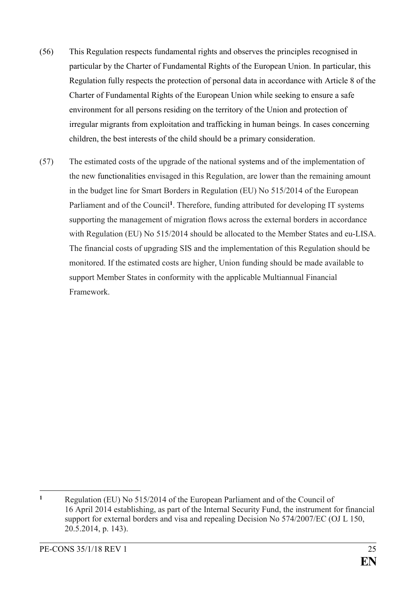- (56) This Regulation respects fundamental rights and observes the principles recognised in particular by the Charter of Fundamental Rights of the European Union. In particular, this Regulation fully respects the protection of personal data in accordance with Article 8 of the Charter of Fundamental Rights of the European Union while seeking to ensure a safe environment for all persons residing on the territory of the Union and protection of irregular migrants from exploitation and trafficking in human beings. In cases concerning children, the best interests of the child should be a primary consideration.
- (57) The estimated costs of the upgrade of the national systems and of the implementation of the new functionalities envisaged in this Regulation, are lower than the remaining amount in the budget line for Smart Borders in Regulation (EU) No 515/2014 of the European Parliament and of the Council<sup>1</sup>. Therefore, funding attributed for developing IT systems supporting the management of migration flows across the external borders in accordance with Regulation (EU) No 515/2014 should be allocated to the Member States and eu-LISA. The financial costs of upgrading SIS and the implementation of this Regulation should be monitored. If the estimated costs are higher, Union funding should be made available to support Member States in conformity with the applicable Multiannual Financial Framework.

<sup>1</sup> **<sup>1</sup>** Regulation (EU) No 515/2014 of the European Parliament and of the Council of 16 April 2014 establishing, as part of the Internal Security Fund, the instrument for financial support for external borders and visa and repealing Decision No 574/2007/EC (OJ L 150, 20.5.2014, p. 143).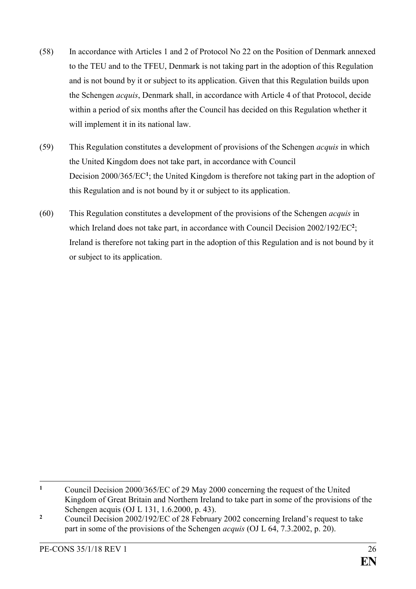- (58) In accordance with Articles 1 and 2 of Protocol No 22 on the Position of Denmark annexed to the TEU and to the TFEU, Denmark is not taking part in the adoption of this Regulation and is not bound by it or subject to its application. Given that this Regulation builds upon the Schengen *acquis*, Denmark shall, in accordance with Article 4 of that Protocol, decide within a period of six months after the Council has decided on this Regulation whether it will implement it in its national law.
- (59) This Regulation constitutes a development of provisions of the Schengen *acquis* in which the United Kingdom does not take part, in accordance with Council Decision 2000/365/EC<sup>1</sup>; the United Kingdom is therefore not taking part in the adoption of this Regulation and is not bound by it or subject to its application.
- (60) This Regulation constitutes a development of the provisions of the Schengen *acquis* in which Ireland does not take part, in accordance with Council Decision 2002/192/EC<sup>2</sup>; Ireland is therefore not taking part in the adoption of this Regulation and is not bound by it or subject to its application.

 $\mathbf{1}$ **<sup>1</sup>** Council Decision 2000/365/EC of 29 May 2000 concerning the request of the United Kingdom of Great Britain and Northern Ireland to take part in some of the provisions of the Schengen acquis (OJ L 131, 1.6.2000, p. 43).

<sup>&</sup>lt;sup>2</sup> Council Decision 2002/192/EC of 28 February 2002 concerning Ireland's request to take part in some of the provisions of the Schengen *acquis* (OJ L 64, 7.3.2002, p. 20).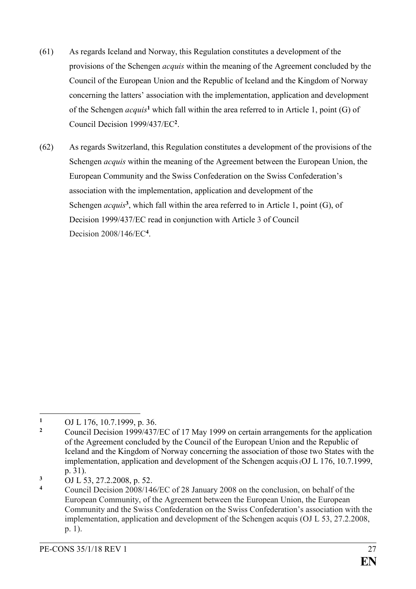- (61) As regards Iceland and Norway, this Regulation constitutes a development of the provisions of the Schengen *acquis* within the meaning of the Agreement concluded by the Council of the European Union and the Republic of Iceland and the Kingdom of Norway concerning the latters' association with the implementation, application and development of the Schengen *acquis***<sup>1</sup>** which fall within the area referred to in Article 1, point (G) of Council Decision 1999/437/EC**<sup>2</sup>** .
- (62) As regards Switzerland, this Regulation constitutes a development of the provisions of the Schengen *acquis* within the meaning of the Agreement between the European Union, the European Community and the Swiss Confederation on the Swiss Confederation's association with the implementation, application and development of the Schengen *acquis*<sup>3</sup>, which fall within the area referred to in Article 1, point (G), of Decision 1999/437/EC read in conjunction with Article 3 of Council Decision 2008/146/EC**<sup>4</sup>** .

<sup>1</sup> 1 OJ L 176, 10.7.1999, p. 36.<br>2 Council Decision 1999/437.

**<sup>2</sup>** Council Decision 1999/437/EC of 17 May 1999 on certain arrangements for the application of the Agreement concluded by the Council of the European Union and the Republic of Iceland and the Kingdom of Norway concerning the association of those two States with the implementation, application and development of the Schengen acquis(OJ L 176, 10.7.1999, p. 31).

**<sup>3</sup>** OJ L 53, 27.2.2008, p. 52.

**<sup>4</sup>** Council Decision 2008/146/EC of 28 January 2008 on the conclusion, on behalf of the European Community, of the Agreement between the European Union, the European Community and the Swiss Confederation on the Swiss Confederation's association with the implementation, application and development of the Schengen acquis (OJ L 53, 27.2.2008, p. 1).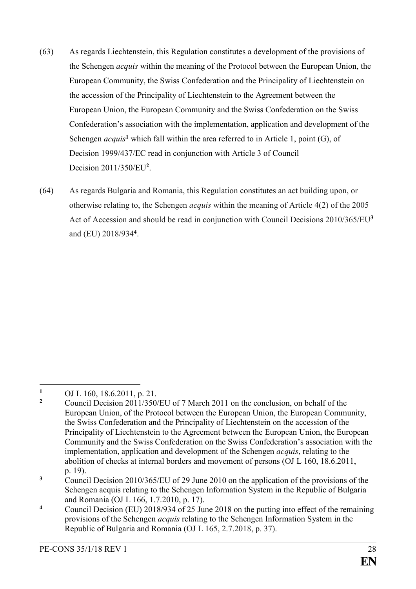- (63) As regards Liechtenstein, this Regulation constitutes a development of the provisions of the Schengen *acquis* within the meaning of the Protocol between the European Union, the European Community, the Swiss Confederation and the Principality of Liechtenstein on the accession of the Principality of Liechtenstein to the Agreement between the European Union, the European Community and the Swiss Confederation on the Swiss Confederation's association with the implementation, application and development of the Schengen  $acquis<sup>1</sup>$  which fall within the area referred to in Article 1, point  $(G)$ , of Decision 1999/437/EC read in conjunction with Article 3 of Council Decision 2011/350/EU**<sup>2</sup>** .
- (64) As regards Bulgaria and Romania, this Regulation constitutes an act building upon, or otherwise relating to, the Schengen *acquis* within the meaning of Article 4(2) of the 2005 Act of Accession and should be read in conjunction with Council Decisions 2010/365/EU**<sup>3</sup>** and (EU) 2018/934**<sup>4</sup>** .

<sup>1</sup> 1 OJ L 160, 18.6.2011, p. 21.<br>2 Council Decision 2011/250

**<sup>2</sup>** Council Decision 2011/350/EU of 7 March 2011 on the conclusion, on behalf of the European Union, of the Protocol between the European Union, the European Community, the Swiss Confederation and the Principality of Liechtenstein on the accession of the Principality of Liechtenstein to the Agreement between the European Union, the European Community and the Swiss Confederation on the Swiss Confederation's association with the implementation, application and development of the Schengen *acquis*, relating to the abolition of checks at internal borders and movement of persons (OJ L 160, 18.6.2011, p. 19).

**<sup>3</sup>** Council Decision 2010/365/EU of 29 June 2010 on the application of the provisions of the Schengen acquis relating to the Schengen Information System in the Republic of Bulgaria and Romania (OJ L 166, 1.7.2010, p. 17).

**<sup>4</sup>** Council Decision (EU) 2018/934 of 25 June 2018 on the putting into effect of the remaining provisions of the Schengen *acquis* relating to the Schengen Information System in the Republic of Bulgaria and Romania (OJ L 165, 2.7.2018, p. 37).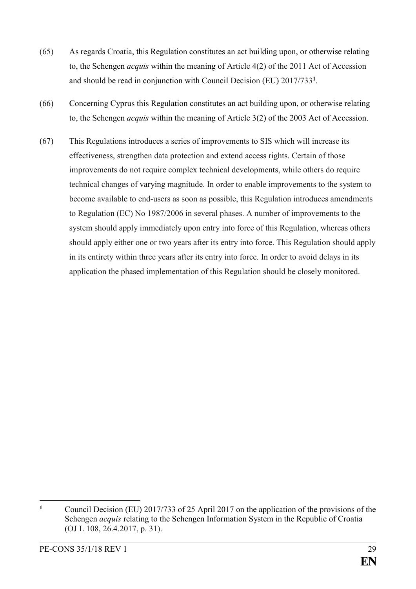- (65) As regards Croatia, this Regulation constitutes an act building upon, or otherwise relating to, the Schengen *acquis* within the meaning of Article 4(2) of the 2011 Act of Accession and should be read in conjunction with Council Decision (EU) 2017/733**<sup>1</sup>** .
- (66) Concerning Cyprus this Regulation constitutes an act building upon, or otherwise relating to, the Schengen *acquis* within the meaning of Article 3(2) of the 2003 Act of Accession.
- (67) This Regulations introduces a series of improvements to SIS which will increase its effectiveness, strengthen data protection and extend access rights. Certain of those improvements do not require complex technical developments, while others do require technical changes of varying magnitude. In order to enable improvements to the system to become available to end-users as soon as possible, this Regulation introduces amendments to Regulation (EC) No 1987/2006 in several phases. A number of improvements to the system should apply immediately upon entry into force of this Regulation, whereas others should apply either one or two years after its entry into force. This Regulation should apply in its entirety within three years after its entry into force. In order to avoid delays in its application the phased implementation of this Regulation should be closely monitored.

<sup>&</sup>lt;u>.</u> **<sup>1</sup>** Council Decision (EU) 2017/733 of 25 April 2017 on the application of the provisions of the Schengen *acquis* relating to the Schengen Information System in the Republic of Croatia (OJ L 108, 26.4.2017, p. 31).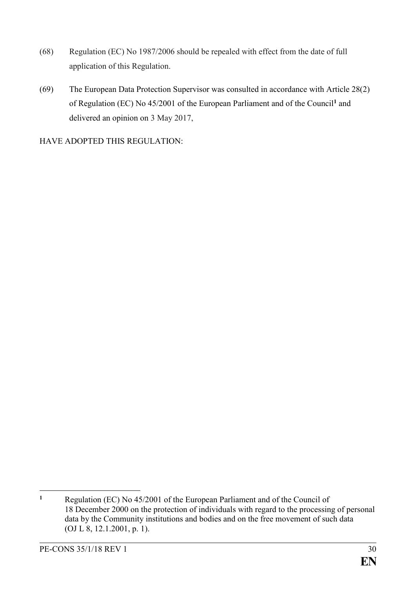- (68) Regulation (EC) No 1987/2006 should be repealed with effect from the date of full application of this Regulation.
- (69) The European Data Protection Supervisor was consulted in accordance with Article 28(2) of Regulation (EC) No 45/2001 of the European Parliament and of the Council**<sup>1</sup>** and delivered an opinion on 3 May 2017,

HAVE ADOPTED THIS REGULATION:

 $\mathbf{1}$ **<sup>1</sup>** Regulation (EC) No 45/2001 of the European Parliament and of the Council of 18 December 2000 on the protection of individuals with regard to the processing of personal data by the Community institutions and bodies and on the free movement of such data (OJ L 8, 12.1.2001, p. 1).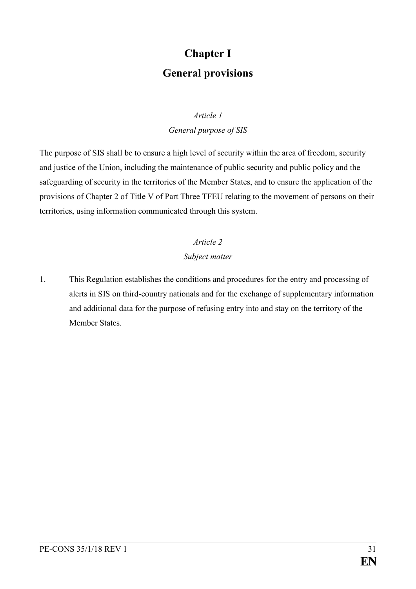# **Chapter I General provisions**

### *Article 1*

*General purpose of SIS*

The purpose of SIS shall be to ensure a high level of security within the area of freedom, security and justice of the Union, including the maintenance of public security and public policy and the safeguarding of security in the territories of the Member States, and to ensure the application of the provisions of Chapter 2 of Title V of Part Three TFEU relating to the movement of persons on their territories, using information communicated through this system.

### *Article 2*

### *Subject matter*

1. This Regulation establishes the conditions and procedures for the entry and processing of alerts in SIS on third-country nationals and for the exchange of supplementary information and additional data for the purpose of refusing entry into and stay on the territory of the Member States.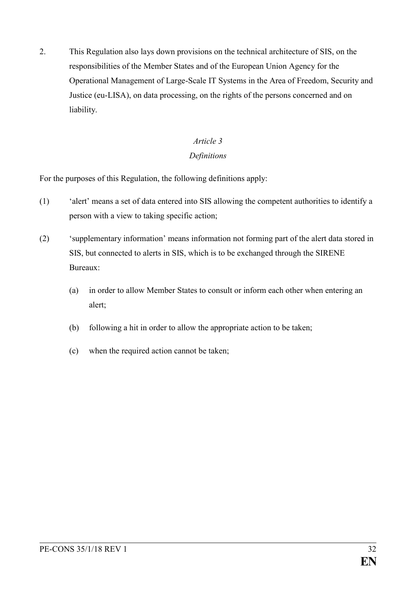2. This Regulation also lays down provisions on the technical architecture of SIS, on the responsibilities of the Member States and of the European Union Agency for the Operational Management of Large-Scale IT Systems in the Area of Freedom, Security and Justice (eu-LISA), on data processing, on the rights of the persons concerned and on liability.

### *Article 3*

### *Definitions*

For the purposes of this Regulation, the following definitions apply:

- (1) 'alert' means a set of data entered into SIS allowing the competent authorities to identify a person with a view to taking specific action;
- (2) 'supplementary information' means information not forming part of the alert data stored in SIS, but connected to alerts in SIS, which is to be exchanged through the SIRENE Bureaux:
	- (a) in order to allow Member States to consult or inform each other when entering an alert;
	- (b) following a hit in order to allow the appropriate action to be taken;
	- (c) when the required action cannot be taken;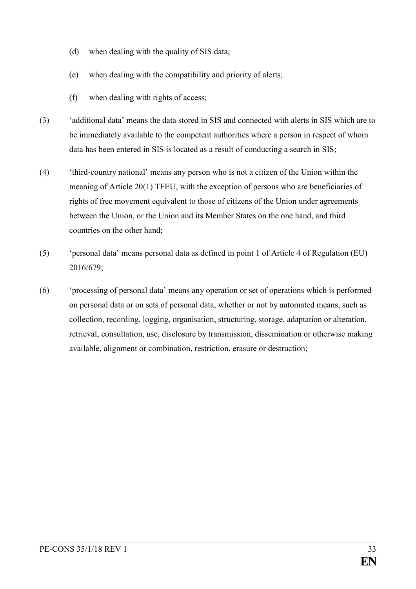- (d) when dealing with the quality of SIS data;
- (e) when dealing with the compatibility and priority of alerts;
- (f) when dealing with rights of access;
- (3) 'additional data' means the data stored in SIS and connected with alerts in SIS which are to be immediately available to the competent authorities where a person in respect of whom data has been entered in SIS is located as a result of conducting a search in SIS;
- (4) 'third-country national' means any person who is not a citizen of the Union within the meaning of Article 20(1) TFEU, with the exception of persons who are beneficiaries of rights of free movement equivalent to those of citizens of the Union under agreements between the Union, or the Union and its Member States on the one hand, and third countries on the other hand;
- (5) 'personal data' means personal data as defined in point 1 of Article 4 of Regulation (EU) 2016/679;
- (6) 'processing of personal data' means any operation or set of operations which is performed on personal data or on sets of personal data, whether or not by automated means, such as collection, recording, logging, organisation, structuring, storage, adaptation or alteration, retrieval, consultation, use, disclosure by transmission, dissemination or otherwise making available, alignment or combination, restriction, erasure or destruction;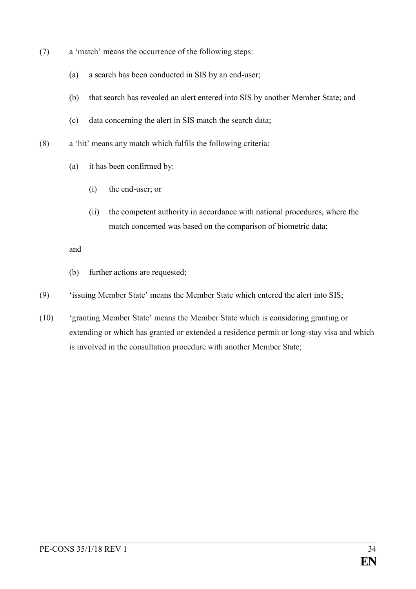- (7) a 'match' means the occurrence of the following steps:
	- (a) a search has been conducted in SIS by an end-user;
	- (b) that search has revealed an alert entered into SIS by another Member State; and
	- (c) data concerning the alert in SIS match the search data;
- (8) a 'hit' means any match which fulfils the following criteria:
	- (a) it has been confirmed by:
		- (i) the end-user; or
		- (ii) the competent authority in accordance with national procedures, where the match concerned was based on the comparison of biometric data;

### and

- (b) further actions are requested;
- (9) 'issuing Member State' means the Member State which entered the alert into SIS;
- (10) 'granting Member State' means the Member State which is considering granting or extending or which has granted or extended a residence permit or long-stay visa and which is involved in the consultation procedure with another Member State;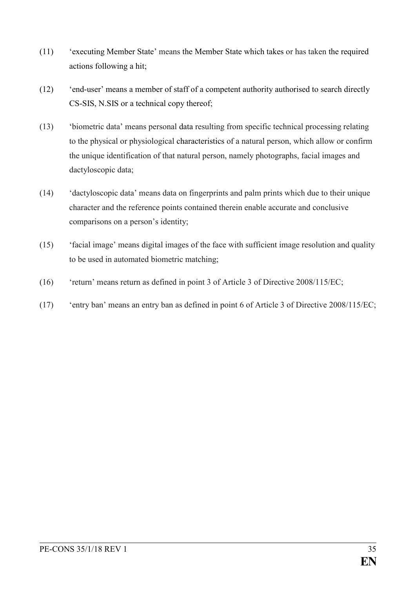- (11) 'executing Member State' means the Member State which takes or has taken the required actions following a hit;
- (12) 'end-user' means a member of staff of a competent authority authorised to search directly CS-SIS, N.SIS or a technical copy thereof;
- (13) 'biometric data' means personal data resulting from specific technical processing relating to the physical or physiological characteristics of a natural person, which allow or confirm the unique identification of that natural person, namely photographs, facial images and dactyloscopic data;
- (14) 'dactyloscopic data' means data on fingerprints and palm prints which due to their unique character and the reference points contained therein enable accurate and conclusive comparisons on a person's identity;
- (15) 'facial image' means digital images of the face with sufficient image resolution and quality to be used in automated biometric matching;
- (16) 'return' means return as defined in point 3 of Article 3 of Directive 2008/115/EC;
- (17) 'entry ban' means an entry ban as defined in point 6 of Article 3 of Directive 2008/115/EC;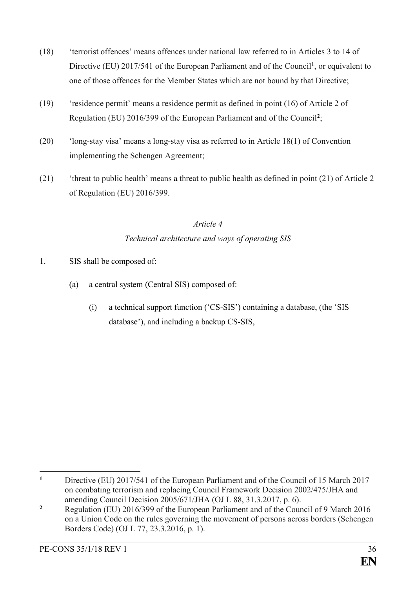- (18) 'terrorist offences' means offences under national law referred to in Articles 3 to 14 of Directive (EU) 2017/541 of the European Parliament and of the Council**<sup>1</sup>** , or equivalent to one of those offences for the Member States which are not bound by that Directive;
- (19) 'residence permit' means a residence permit as defined in point (16) of Article 2 of Regulation (EU) 2016/399 of the European Parliament and of the Council**<sup>2</sup>** ;
- (20) 'long-stay visa' means a long-stay visa as referred to in Article 18(1) of Convention implementing the Schengen Agreement;
- (21) 'threat to public health' means a threat to public health as defined in point (21) of Article 2 of Regulation (EU) 2016/399.

## *Article 4 Technical architecture and ways of operating SIS*

- 1. SIS shall be composed of:
	- (a) a central system (Central SIS) composed of:
		- (i) a technical support function ('CS-SIS') containing a database, (the 'SIS database'), and including a backup CS-SIS,

 $\mathbf{1}$ **<sup>1</sup>** Directive (EU) 2017/541 of the European Parliament and of the Council of 15 March 2017 on combating terrorism and replacing Council Framework Decision 2002/475/JHA and amending Council Decision 2005/671/JHA (OJ L 88, 31.3.2017, p. 6).

**<sup>2</sup>** Regulation (EU) 2016/399 of the European Parliament and of the Council of 9 March 2016 on a Union Code on the rules governing the movement of persons across borders (Schengen Borders Code) (OJ L 77, 23.3.2016, p. 1).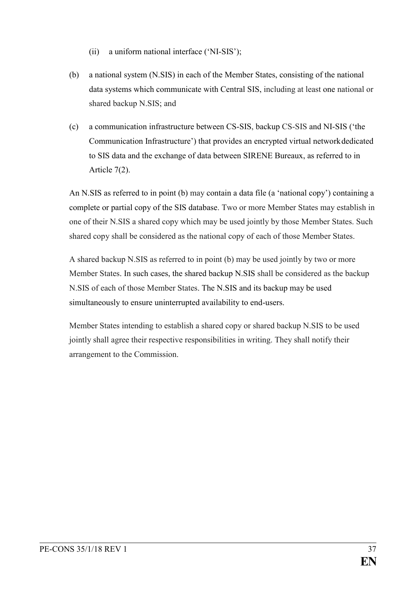- (ii) a uniform national interface ('NI-SIS');
- (b) a national system (N.SIS) in each of the Member States, consisting of the national data systems which communicate with Central SIS, including at least one national or shared backup N.SIS; and
- (c) a communication infrastructure between CS-SIS, backup CS-SIS and NI-SIS ('the Communication Infrastructure') that provides an encrypted virtual networkdedicated to SIS data and the exchange of data between SIRENE Bureaux, as referred to in Article 7(2).

An N.SIS as referred to in point (b) may contain a data file (a 'national copy') containing a complete or partial copy of the SIS database. Two or more Member States may establish in one of their N.SIS a shared copy which may be used jointly by those Member States. Such shared copy shall be considered as the national copy of each of those Member States.

A shared backup N.SIS as referred to in point (b) may be used jointly by two or more Member States. In such cases, the shared backup N.SIS shall be considered as the backup N.SIS of each of those Member States. The N.SIS and its backup may be used simultaneously to ensure uninterrupted availability to end-users.

Member States intending to establish a shared copy or shared backup N.SIS to be used jointly shall agree their respective responsibilities in writing. They shall notify their arrangement to the Commission.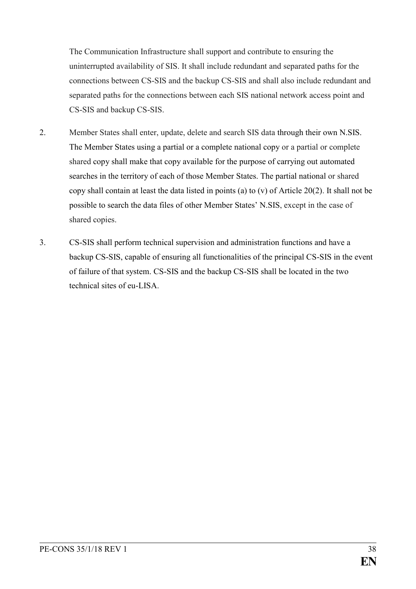The Communication Infrastructure shall support and contribute to ensuring the uninterrupted availability of SIS. It shall include redundant and separated paths for the connections between CS-SIS and the backup CS-SIS and shall also include redundant and separated paths for the connections between each SIS national network access point and CS-SIS and backup CS-SIS.

- 2. Member States shall enter, update, delete and search SIS data through their own N.SIS. The Member States using a partial or a complete national copy or a partial or complete shared copy shall make that copy available for the purpose of carrying out automated searches in the territory of each of those Member States. The partial national or shared copy shall contain at least the data listed in points (a) to (v) of Article 20(2). It shall not be possible to search the data files of other Member States' N.SIS, except in the case of shared copies.
- 3. CS-SIS shall perform technical supervision and administration functions and have a backup CS-SIS, capable of ensuring all functionalities of the principal CS-SIS in the event of failure of that system. CS-SIS and the backup CS-SIS shall be located in the two technical sites of eu-LISA.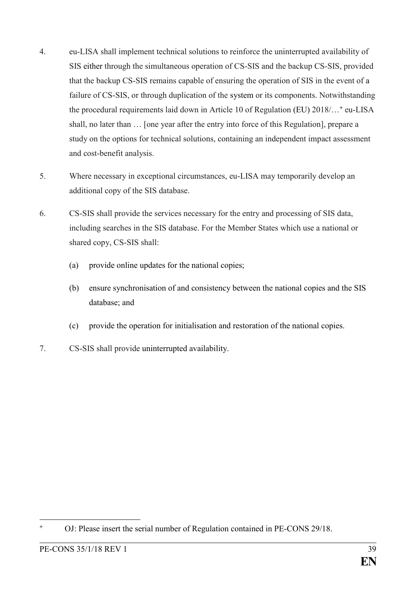- 4. eu-LISA shall implement technical solutions to reinforce the uninterrupted availability of SIS either through the simultaneous operation of CS-SIS and the backup CS-SIS, provided that the backup CS-SIS remains capable of ensuring the operation of SIS in the event of a failure of CS-SIS, or through duplication of the system or its components. Notwithstanding the procedural requirements laid down in Article 10 of Regulation (EU) 2018/…**<sup>+</sup>** eu-LISA shall, no later than … [one year after the entry into force of this Regulation], prepare a study on the options for technical solutions, containing an independent impact assessment and cost-benefit analysis.
- 5. Where necessary in exceptional circumstances, eu-LISA may temporarily develop an additional copy of the SIS database.
- 6. CS-SIS shall provide the services necessary for the entry and processing of SIS data, including searches in the SIS database. For the Member States which use a national or shared copy, CS-SIS shall:
	- (a) provide online updates for the national copies;
	- (b) ensure synchronisation of and consistency between the national copies and the SIS database; and
	- (c) provide the operation for initialisation and restoration of the national copies.
- 7. CS-SIS shall provide uninterrupted availability.

<sup>1</sup> **<sup>+</sup>** OJ: Please insert the serial number of Regulation contained in PE-CONS 29/18.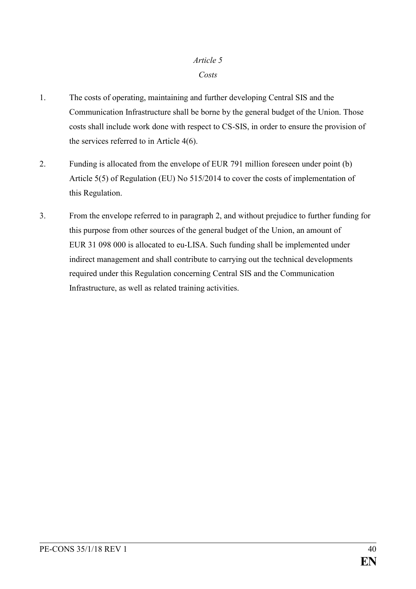## *Article 5 Costs*

- 1. The costs of operating, maintaining and further developing Central SIS and the Communication Infrastructure shall be borne by the general budget of the Union. Those costs shall include work done with respect to CS-SIS, in order to ensure the provision of the services referred to in Article 4(6).
- 2. Funding is allocated from the envelope of EUR 791 million foreseen under point (b) Article 5(5) of Regulation (EU) No 515/2014 to cover the costs of implementation of this Regulation.
- 3. From the envelope referred to in paragraph 2, and without prejudice to further funding for this purpose from other sources of the general budget of the Union, an amount of EUR 31 098 000 is allocated to eu-LISA. Such funding shall be implemented under indirect management and shall contribute to carrying out the technical developments required under this Regulation concerning Central SIS and the Communication Infrastructure, as well as related training activities.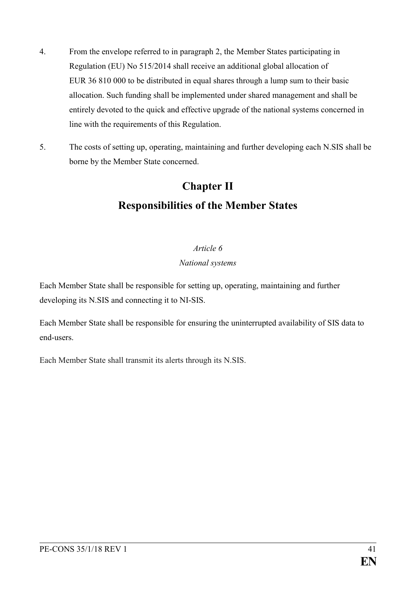- 4. From the envelope referred to in paragraph 2, the Member States participating in Regulation (EU) No 515/2014 shall receive an additional global allocation of EUR 36 810 000 to be distributed in equal shares through a lump sum to their basic allocation. Such funding shall be implemented under shared management and shall be entirely devoted to the quick and effective upgrade of the national systems concerned in line with the requirements of this Regulation.
- 5. The costs of setting up, operating, maintaining and further developing each N.SIS shall be borne by the Member State concerned.

# **Chapter II Responsibilities of the Member States**

## *Article 6*

### *National systems*

Each Member State shall be responsible for setting up, operating, maintaining and further developing its N.SIS and connecting it to NI-SIS.

Each Member State shall be responsible for ensuring the uninterrupted availability of SIS data to end-users.

Each Member State shall transmit its alerts through its N.SIS.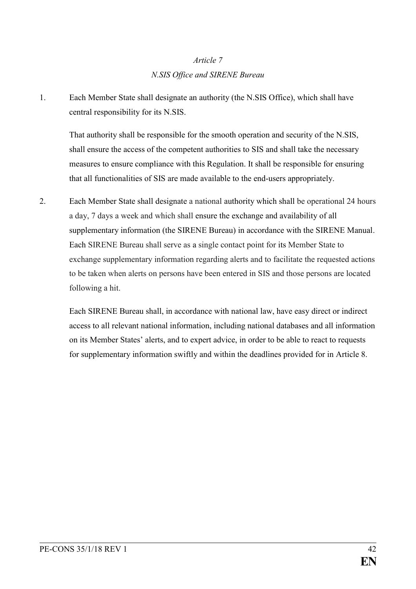## *Article 7 N.SIS Office and SIRENE Bureau*

1. Each Member State shall designate an authority (the N.SIS Office), which shall have central responsibility for its N.SIS.

That authority shall be responsible for the smooth operation and security of the N.SIS, shall ensure the access of the competent authorities to SIS and shall take the necessary measures to ensure compliance with this Regulation. It shall be responsible for ensuring that all functionalities of SIS are made available to the end-users appropriately.

2. Each Member State shall designate a national authority which shall be operational 24 hours a day, 7 days a week and which shall ensure the exchange and availability of all supplementary information (the SIRENE Bureau) in accordance with the SIRENE Manual. Each SIRENE Bureau shall serve as a single contact point for its Member State to exchange supplementary information regarding alerts and to facilitate the requested actions to be taken when alerts on persons have been entered in SIS and those persons are located following a hit.

Each SIRENE Bureau shall, in accordance with national law, have easy direct or indirect access to all relevant national information, including national databases and all information on its Member States' alerts, and to expert advice, in order to be able to react to requests for supplementary information swiftly and within the deadlines provided for in Article 8.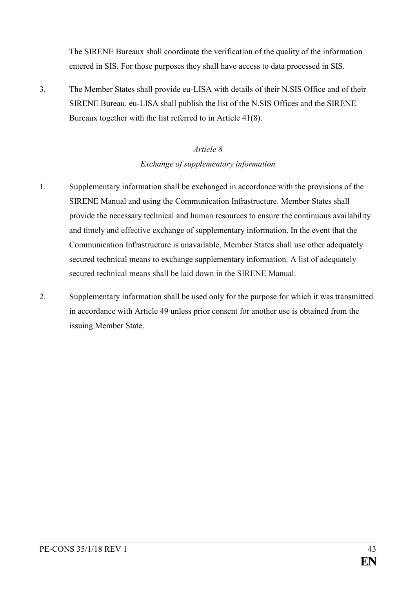The SIRENE Bureaux shall coordinate the verification of the quality of the information entered in SIS. For those purposes they shall have access to data processed in SIS.

3. The Member States shall provide eu-LISA with details of their N.SIS Office and of their SIRENE Bureau. eu-LISA shall publish the list of the N.SIS Offices and the SIRENE Bureaux together with the list referred to in Article 41(8).

## *Article 8 Exchange of supplementary information*

- 1. Supplementary information shall be exchanged in accordance with the provisions of the SIRENE Manual and using the Communication Infrastructure. Member States shall provide the necessary technical and human resources to ensure the continuous availability and timely and effective exchange of supplementary information. In the event that the Communication Infrastructure is unavailable, Member States shall use other adequately secured technical means to exchange supplementary information. A list of adequately secured technical means shall be laid down in the SIRENE Manual.
- 2. Supplementary information shall be used only for the purpose for which it was transmitted in accordance with Article 49 unless prior consent for another use is obtained from the issuing Member State.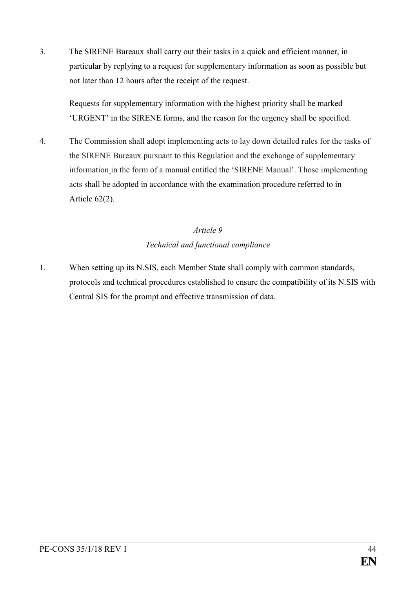3. The SIRENE Bureaux shall carry out their tasks in a quick and efficient manner, in particular by replying to a request for supplementary information as soon as possible but not later than 12 hours after the receipt of the request.

Requests for supplementary information with the highest priority shall be marked 'URGENT' in the SIRENE forms, and the reason for the urgency shall be specified.

4. The Commission shall adopt implementing acts to lay down detailed rules for the tasks of the SIRENE Bureaux pursuant to this Regulation and the exchange of supplementary information in the form of a manual entitled the 'SIRENE Manual'. Those implementing acts shall be adopted in accordance with the examination procedure referred to in Article 62(2).

## *Article 9 Technical and functional compliance*

1. When setting up its N.SIS, each Member State shall comply with common standards, protocols and technical procedures established to ensure the compatibility of its N.SIS with Central SIS for the prompt and effective transmission of data.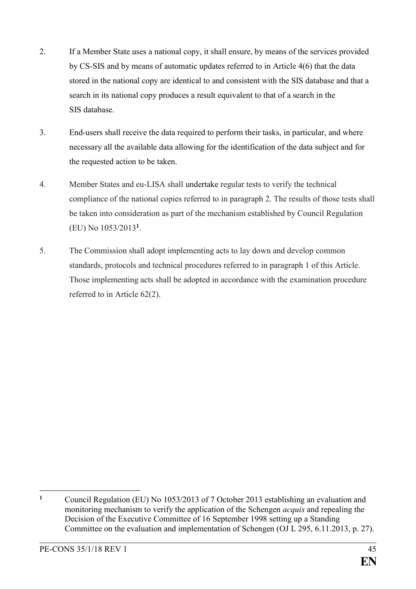- 2. If a Member State uses a national copy, it shall ensure, by means of the services provided by CS-SIS and by means of automatic updates referred to in Article 4(6) that the data stored in the national copy are identical to and consistent with the SIS database and that a search in its national copy produces a result equivalent to that of a search in the SIS database.
- 3. End-users shall receive the data required to perform their tasks, in particular, and where necessary all the available data allowing for the identification of the data subject and for the requested action to be taken.
- 4. Member States and eu-LISA shall undertake regular tests to verify the technical compliance of the national copies referred to in paragraph 2. The results of those tests shall be taken into consideration as part of the mechanism established by Council Regulation (EU) No 1053/2013**<sup>1</sup>** .
- 5. The Commission shall adopt implementing acts to lay down and develop common standards, protocols and technical procedures referred to in paragraph 1 of this Article. Those implementing acts shall be adopted in accordance with the examination procedure referred to in Article 62(2).

 $\mathbf{1}$ **<sup>1</sup>** Council Regulation (EU) No 1053/2013 of 7 October 2013 establishing an evaluation and monitoring mechanism to verify the application of the Schengen *acquis* and repealing the Decision of the Executive Committee of 16 September 1998 setting up a Standing Committee on the evaluation and implementation of Schengen (OJ L 295, 6.11.2013, p. 27).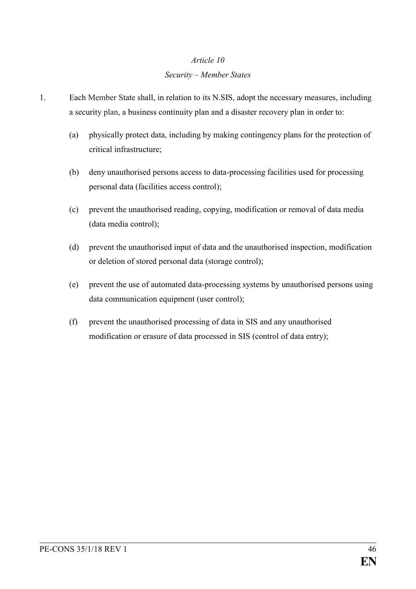## *Article 10 Security – Member States*

- 1. Each Member State shall, in relation to its N.SIS, adopt the necessary measures, including a security plan, a business continuity plan and a disaster recovery plan in order to:
	- (a) physically protect data, including by making contingency plans for the protection of critical infrastructure;
	- (b) deny unauthorised persons access to data-processing facilities used for processing personal data (facilities access control);
	- (c) prevent the unauthorised reading, copying, modification or removal of data media (data media control);
	- (d) prevent the unauthorised input of data and the unauthorised inspection, modification or deletion of stored personal data (storage control);
	- (e) prevent the use of automated data-processing systems by unauthorised persons using data communication equipment (user control);
	- (f) prevent the unauthorised processing of data in SIS and any unauthorised modification or erasure of data processed in SIS (control of data entry);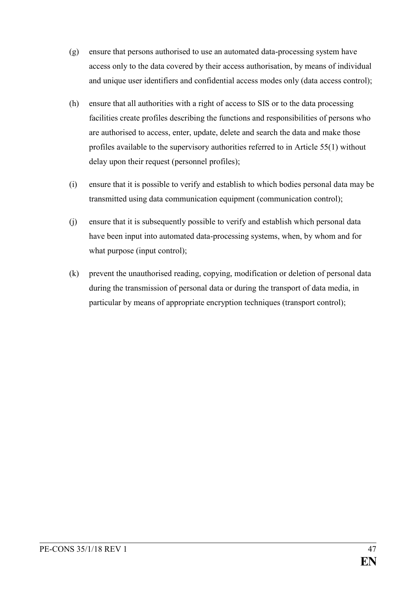- (g) ensure that persons authorised to use an automated data-processing system have access only to the data covered by their access authorisation, by means of individual and unique user identifiers and confidential access modes only (data access control);
- (h) ensure that all authorities with a right of access to SIS or to the data processing facilities create profiles describing the functions and responsibilities of persons who are authorised to access, enter, update, delete and search the data and make those profiles available to the supervisory authorities referred to in Article 55(1) without delay upon their request (personnel profiles);
- (i) ensure that it is possible to verify and establish to which bodies personal data may be transmitted using data communication equipment (communication control);
- (j) ensure that it is subsequently possible to verify and establish which personal data have been input into automated data-processing systems, when, by whom and for what purpose (input control);
- (k) prevent the unauthorised reading, copying, modification or deletion of personal data during the transmission of personal data or during the transport of data media, in particular by means of appropriate encryption techniques (transport control);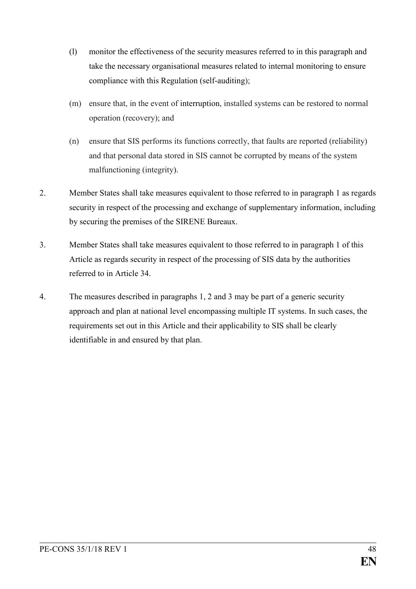- (l) monitor the effectiveness of the security measures referred to in this paragraph and take the necessary organisational measures related to internal monitoring to ensure compliance with this Regulation (self-auditing);
- (m) ensure that, in the event of interruption, installed systems can be restored to normal operation (recovery); and
- (n) ensure that SIS performs its functions correctly, that faults are reported (reliability) and that personal data stored in SIS cannot be corrupted by means of the system malfunctioning (integrity).
- 2. Member States shall take measures equivalent to those referred to in paragraph 1 as regards security in respect of the processing and exchange of supplementary information, including by securing the premises of the SIRENE Bureaux.
- 3. Member States shall take measures equivalent to those referred to in paragraph 1 of this Article as regards security in respect of the processing of SIS data by the authorities referred to in Article 34.
- 4. The measures described in paragraphs 1, 2 and 3 may be part of a generic security approach and plan at national level encompassing multiple IT systems. In such cases, the requirements set out in this Article and their applicability to SIS shall be clearly identifiable in and ensured by that plan.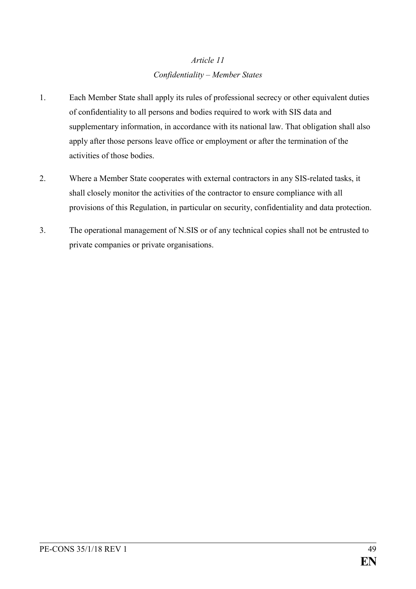## *Article 11 Confidentiality – Member States*

- 1. Each Member State shall apply its rules of professional secrecy or other equivalent duties of confidentiality to all persons and bodies required to work with SIS data and supplementary information, in accordance with its national law. That obligation shall also apply after those persons leave office or employment or after the termination of the activities of those bodies.
- 2. Where a Member State cooperates with external contractors in any SIS-related tasks, it shall closely monitor the activities of the contractor to ensure compliance with all provisions of this Regulation, in particular on security, confidentiality and data protection.
- 3. The operational management of N.SIS or of any technical copies shall not be entrusted to private companies or private organisations.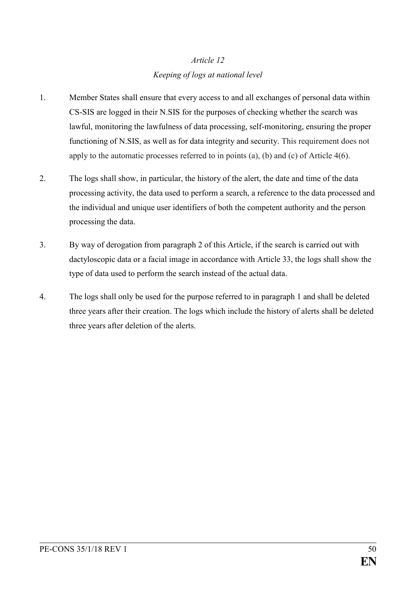## *Article 12 Keeping of logs at national level*

- 1. Member States shall ensure that every access to and all exchanges of personal data within CS-SIS are logged in their N.SIS for the purposes of checking whether the search was lawful, monitoring the lawfulness of data processing, self-monitoring, ensuring the proper functioning of N.SIS, as well as for data integrity and security. This requirement does not apply to the automatic processes referred to in points (a), (b) and (c) of Article 4(6).
- 2. The logs shall show, in particular, the history of the alert, the date and time of the data processing activity, the data used to perform a search, a reference to the data processed and the individual and unique user identifiers of both the competent authority and the person processing the data.
- 3. By way of derogation from paragraph 2 of this Article, if the search is carried out with dactyloscopic data or a facial image in accordance with Article 33, the logs shall show the type of data used to perform the search instead of the actual data.
- 4. The logs shall only be used for the purpose referred to in paragraph 1 and shall be deleted three years after their creation. The logs which include the history of alerts shall be deleted three years after deletion of the alerts.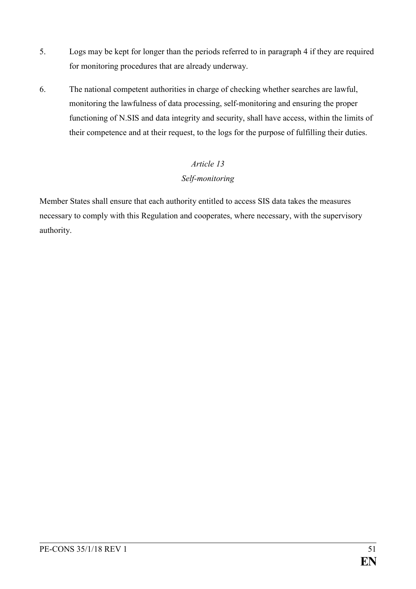- 5. Logs may be kept for longer than the periods referred to in paragraph 4 if they are required for monitoring procedures that are already underway.
- 6. The national competent authorities in charge of checking whether searches are lawful, monitoring the lawfulness of data processing, self-monitoring and ensuring the proper functioning of N.SIS and data integrity and security, shall have access, within the limits of their competence and at their request, to the logs for the purpose of fulfilling their duties.

## *Article 13 Self-monitoring*

Member States shall ensure that each authority entitled to access SIS data takes the measures necessary to comply with this Regulation and cooperates, where necessary, with the supervisory authority.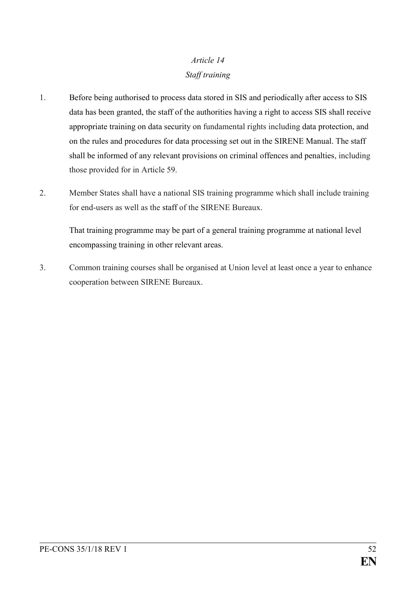# *Article 14 Staff training*

- 1. Before being authorised to process data stored in SIS and periodically after access to SIS data has been granted, the staff of the authorities having a right to access SIS shall receive appropriate training on data security on fundamental rights including data protection, and on the rules and procedures for data processing set out in the SIRENE Manual. The staff shall be informed of any relevant provisions on criminal offences and penalties, including those provided for in Article 59.
- 2. Member States shall have a national SIS training programme which shall include training for end-users as well as the staff of the SIRENE Bureaux.

That training programme may be part of a general training programme at national level encompassing training in other relevant areas.

3. Common training courses shall be organised at Union level at least once a year to enhance cooperation between SIRENE Bureaux.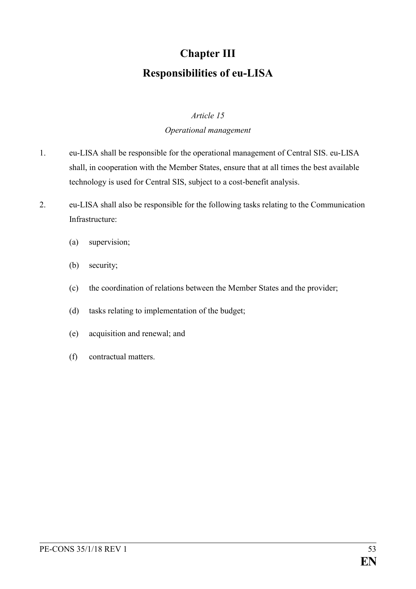# **Chapter III Responsibilities of eu-LISA**

### *Article 15*

### *Operational management*

- 1. eu-LISA shall be responsible for the operational management of Central SIS. eu-LISA shall, in cooperation with the Member States, ensure that at all times the best available technology is used for Central SIS, subject to a cost-benefit analysis.
- 2. eu-LISA shall also be responsible for the following tasks relating to the Communication Infrastructure:
	- (a) supervision;
	- (b) security;
	- (c) the coordination of relations between the Member States and the provider;
	- (d) tasks relating to implementation of the budget;
	- (e) acquisition and renewal; and
	- (f) contractual matters.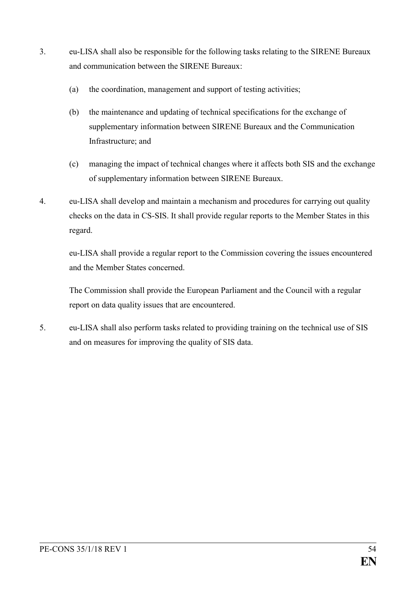- 3. eu-LISA shall also be responsible for the following tasks relating to the SIRENE Bureaux and communication between the SIRENE Bureaux:
	- (a) the coordination, management and support of testing activities;
	- (b) the maintenance and updating of technical specifications for the exchange of supplementary information between SIRENE Bureaux and the Communication Infrastructure; and
	- (c) managing the impact of technical changes where it affects both SIS and the exchange of supplementary information between SIRENE Bureaux.
- 4. eu-LISA shall develop and maintain a mechanism and procedures for carrying out quality checks on the data in CS-SIS. It shall provide regular reports to the Member States in this regard.

eu-LISA shall provide a regular report to the Commission covering the issues encountered and the Member States concerned.

The Commission shall provide the European Parliament and the Council with a regular report on data quality issues that are encountered.

5. eu-LISA shall also perform tasks related to providing training on the technical use of SIS and on measures for improving the quality of SIS data.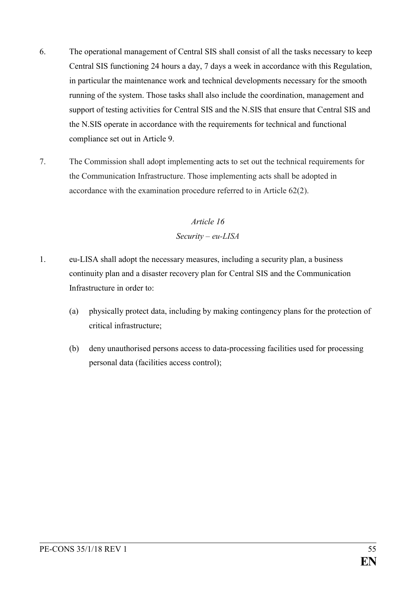- 6. The operational management of Central SIS shall consist of all the tasks necessary to keep Central SIS functioning 24 hours a day, 7 days a week in accordance with this Regulation, in particular the maintenance work and technical developments necessary for the smooth running of the system. Those tasks shall also include the coordination, management and support of testing activities for Central SIS and the N.SIS that ensure that Central SIS and the N.SIS operate in accordance with the requirements for technical and functional compliance set out in Article 9.
- 7. The Commission shall adopt implementing acts to set out the technical requirements for the Communication Infrastructure. Those implementing acts shall be adopted in accordance with the examination procedure referred to in Article 62(2).

# *Article 16 Security – eu-LISA*

- 1. eu-LISA shall adopt the necessary measures, including a security plan, a business continuity plan and a disaster recovery plan for Central SIS and the Communication Infrastructure in order to:
	- (a) physically protect data, including by making contingency plans for the protection of critical infrastructure;
	- (b) deny unauthorised persons access to data-processing facilities used for processing personal data (facilities access control);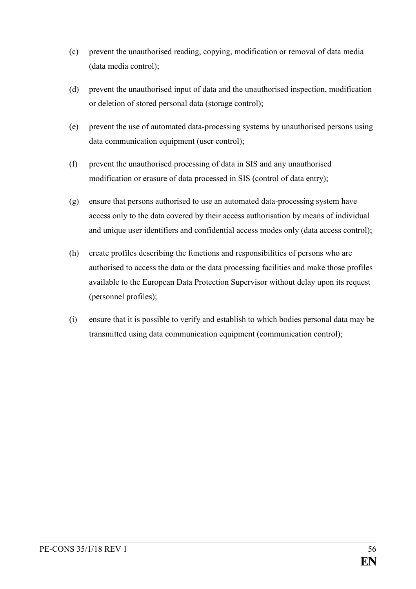- (c) prevent the unauthorised reading, copying, modification or removal of data media (data media control);
- (d) prevent the unauthorised input of data and the unauthorised inspection, modification or deletion of stored personal data (storage control);
- (e) prevent the use of automated data-processing systems by unauthorised persons using data communication equipment (user control);
- (f) prevent the unauthorised processing of data in SIS and any unauthorised modification or erasure of data processed in SIS (control of data entry);
- (g) ensure that persons authorised to use an automated data-processing system have access only to the data covered by their access authorisation by means of individual and unique user identifiers and confidential access modes only (data access control);
- (h) create profiles describing the functions and responsibilities of persons who are authorised to access the data or the data processing facilities and make those profiles available to the European Data Protection Supervisor without delay upon its request (personnel profiles);
- (i) ensure that it is possible to verify and establish to which bodies personal data may be transmitted using data communication equipment (communication control);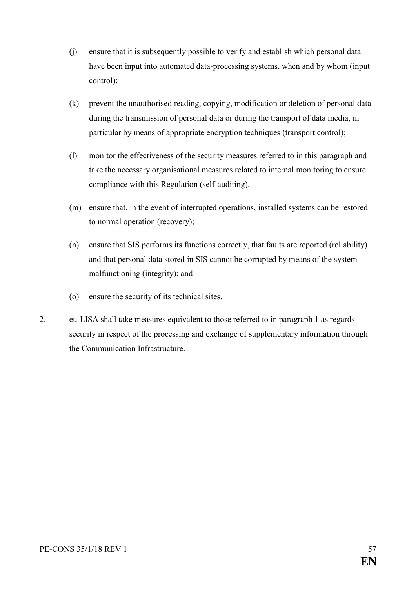- (j) ensure that it is subsequently possible to verify and establish which personal data have been input into automated data-processing systems, when and by whom (input control);
- (k) prevent the unauthorised reading, copying, modification or deletion of personal data during the transmission of personal data or during the transport of data media, in particular by means of appropriate encryption techniques (transport control);
- (l) monitor the effectiveness of the security measures referred to in this paragraph and take the necessary organisational measures related to internal monitoring to ensure compliance with this Regulation (self-auditing).
- (m) ensure that, in the event of interrupted operations, installed systems can be restored to normal operation (recovery);
- (n) ensure that SIS performs its functions correctly, that faults are reported (reliability) and that personal data stored in SIS cannot be corrupted by means of the system malfunctioning (integrity); and
- (o) ensure the security of its technical sites.
- 2. eu-LISA shall take measures equivalent to those referred to in paragraph 1 as regards security in respect of the processing and exchange of supplementary information through the Communication Infrastructure.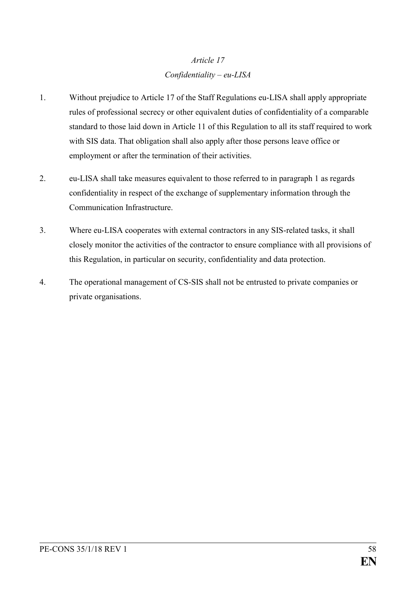## *Article 17 Confidentiality – eu-LISA*

- 1. Without prejudice to Article 17 of the Staff Regulations eu-LISA shall apply appropriate rules of professional secrecy or other equivalent duties of confidentiality of a comparable standard to those laid down in Article 11 of this Regulation to all its staff required to work with SIS data. That obligation shall also apply after those persons leave office or employment or after the termination of their activities.
- 2. eu-LISA shall take measures equivalent to those referred to in paragraph 1 as regards confidentiality in respect of the exchange of supplementary information through the Communication Infrastructure.
- 3. Where eu-LISA cooperates with external contractors in any SIS-related tasks, it shall closely monitor the activities of the contractor to ensure compliance with all provisions of this Regulation, in particular on security, confidentiality and data protection.
- 4. The operational management of CS-SIS shall not be entrusted to private companies or private organisations.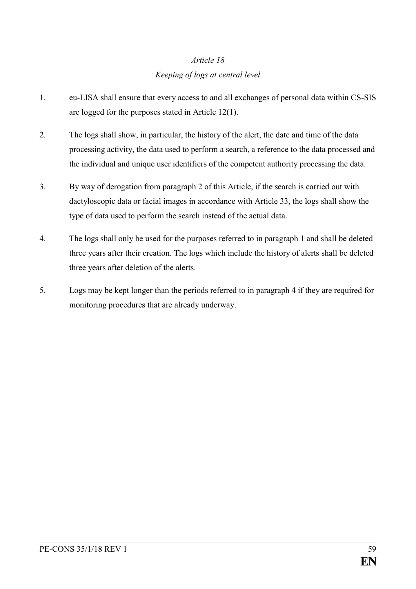# *Article 18 Keeping of logs at central level*

- 1. eu-LISA shall ensure that every access to and all exchanges of personal data within CS-SIS are logged for the purposes stated in Article 12(1).
- 2. The logs shall show, in particular, the history of the alert, the date and time of the data processing activity, the data used to perform a search, a reference to the data processed and the individual and unique user identifiers of the competent authority processing the data.
- 3. By way of derogation from paragraph 2 of this Article, if the search is carried out with dactyloscopic data or facial images in accordance with Article 33, the logs shall show the type of data used to perform the search instead of the actual data.
- 4. The logs shall only be used for the purposes referred to in paragraph 1 and shall be deleted three years after their creation. The logs which include the history of alerts shall be deleted three years after deletion of the alerts.
- 5. Logs may be kept longer than the periods referred to in paragraph 4 if they are required for monitoring procedures that are already underway.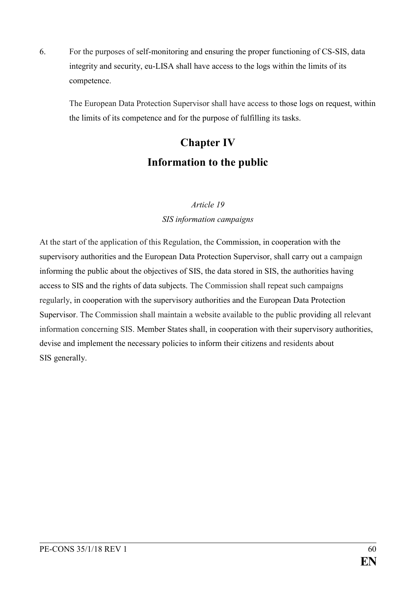6. For the purposes of self-monitoring and ensuring the proper functioning of CS-SIS, data integrity and security, eu-LISA shall have access to the logs within the limits of its competence.

The European Data Protection Supervisor shall have access to those logs on request, within the limits of its competence and for the purpose of fulfilling its tasks.

# **Chapter IV Information to the public**

## *Article 19 SIS information campaigns*

At the start of the application of this Regulation, the Commission, in cooperation with the supervisory authorities and the European Data Protection Supervisor, shall carry out a campaign informing the public about the objectives of SIS, the data stored in SIS, the authorities having access to SIS and the rights of data subjects. The Commission shall repeat such campaigns regularly, in cooperation with the supervisory authorities and the European Data Protection Supervisor. The Commission shall maintain a website available to the public providing all relevant information concerning SIS. Member States shall, in cooperation with their supervisory authorities, devise and implement the necessary policies to inform their citizens and residents about SIS generally.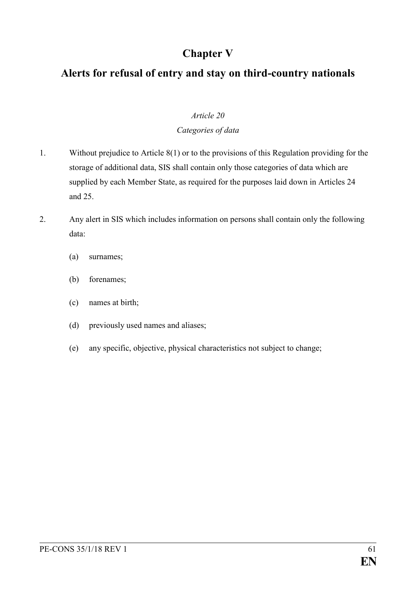# **Chapter V**

# **Alerts for refusal of entry and stay on third-country nationals**

### *Article 20*

### *Categories of data*

- 1. Without prejudice to Article 8(1) or to the provisions of this Regulation providing for the storage of additional data, SIS shall contain only those categories of data which are supplied by each Member State, as required for the purposes laid down in Articles 24 and 25.
- 2. Any alert in SIS which includes information on persons shall contain only the following data:
	- (a) surnames;
	- (b) forenames;
	- (c) names at birth;
	- (d) previously used names and aliases;
	- (e) any specific, objective, physical characteristics not subject to change;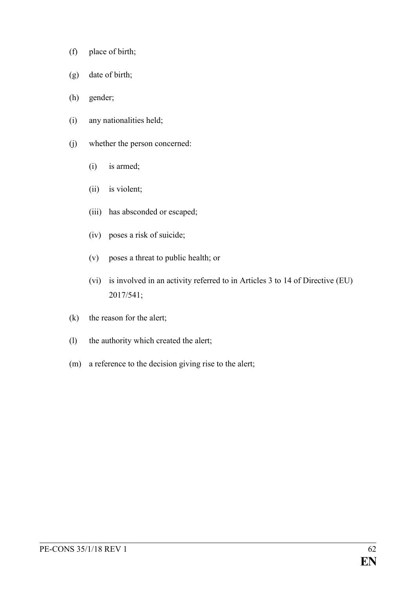- (f) place of birth;
- (g) date of birth;
- (h) gender;
- (i) any nationalities held;
- (j) whether the person concerned:
	- (i) is armed;
	- (ii) is violent;
	- (iii) has absconded or escaped;
	- (iv) poses a risk of suicide;
	- (v) poses a threat to public health; or
	- (vi) is involved in an activity referred to in Articles 3 to 14 of Directive (EU) 2017/541;
- (k) the reason for the alert;
- (l) the authority which created the alert;
- (m) a reference to the decision giving rise to the alert;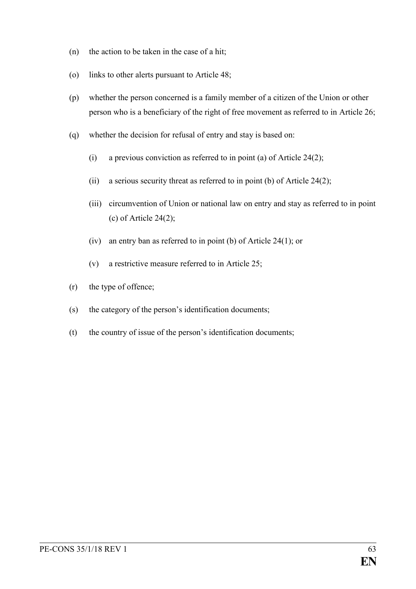- (n) the action to be taken in the case of a hit;
- (o) links to other alerts pursuant to Article 48;
- (p) whether the person concerned is a family member of a citizen of the Union or other person who is a beneficiary of the right of free movement as referred to in Article 26;
- (q) whether the decision for refusal of entry and stay is based on:
	- (i) a previous conviction as referred to in point (a) of Article 24(2);
	- (ii) a serious security threat as referred to in point (b) of Article 24(2);
	- (iii) circumvention of Union or national law on entry and stay as referred to in point (c) of Article 24(2);
	- (iv) an entry ban as referred to in point (b) of Article 24(1); or
	- (v) a restrictive measure referred to in Article 25;
- (r) the type of offence;
- (s) the category of the person's identification documents;
- (t) the country of issue of the person's identification documents;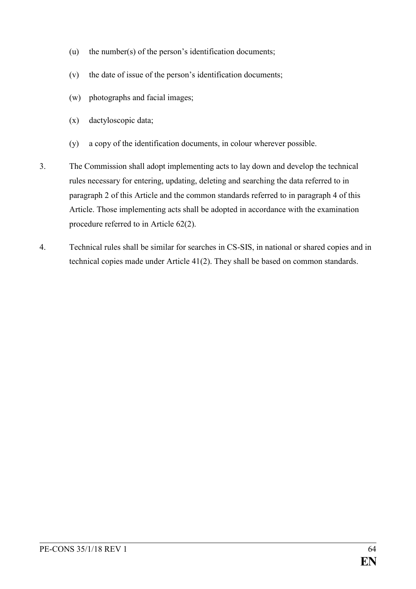- (u) the number(s) of the person's identification documents;
- (v) the date of issue of the person's identification documents;
- (w) photographs and facial images;
- (x) dactyloscopic data;
- (y) a copy of the identification documents, in colour wherever possible.
- 3. The Commission shall adopt implementing acts to lay down and develop the technical rules necessary for entering, updating, deleting and searching the data referred to in paragraph 2 of this Article and the common standards referred to in paragraph 4 of this Article. Those implementing acts shall be adopted in accordance with the examination procedure referred to in Article 62(2).
- 4. Technical rules shall be similar for searches in CS-SIS, in national or shared copies and in technical copies made under Article 41(2). They shall be based on common standards.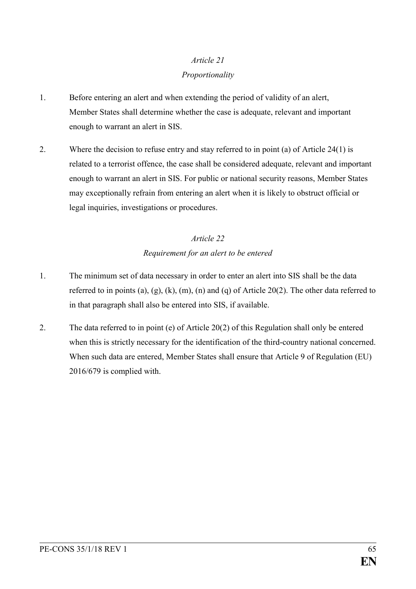### *Proportionality*

- 1. Before entering an alert and when extending the period of validity of an alert, Member States shall determine whether the case is adequate, relevant and important enough to warrant an alert in SIS.
- 2. Where the decision to refuse entry and stay referred to in point (a) of Article 24(1) is related to a terrorist offence, the case shall be considered adequate, relevant and important enough to warrant an alert in SIS. For public or national security reasons, Member States may exceptionally refrain from entering an alert when it is likely to obstruct official or legal inquiries, investigations or procedures.

## *Article 22 Requirement for an alert to be entered*

- 1. The minimum set of data necessary in order to enter an alert into SIS shall be the data referred to in points (a), (g), (k), (m), (n) and (q) of Article 20(2). The other data referred to in that paragraph shall also be entered into SIS, if available.
- 2. The data referred to in point (e) of Article 20(2) of this Regulation shall only be entered when this is strictly necessary for the identification of the third-country national concerned. When such data are entered, Member States shall ensure that Article 9 of Regulation (EU) 2016/679 is complied with.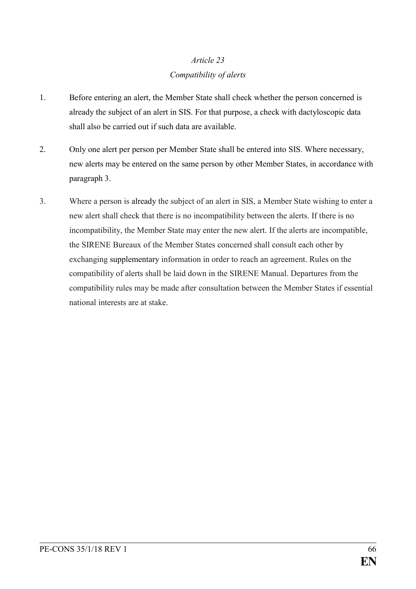## *Article 23 Compatibility of alerts*

- 1. Before entering an alert, the Member State shall check whether the person concerned is already the subject of an alert in SIS. For that purpose, a check with dactyloscopic data shall also be carried out if such data are available.
- 2. Only one alert per person per Member State shall be entered into SIS. Where necessary, new alerts may be entered on the same person by other Member States, in accordance with paragraph 3.
- 3. Where a person is already the subject of an alert in SIS, a Member State wishing to enter a new alert shall check that there is no incompatibility between the alerts. If there is no incompatibility, the Member State may enter the new alert. If the alerts are incompatible, the SIRENE Bureaux of the Member States concerned shall consult each other by exchanging supplementary information in order to reach an agreement. Rules on the compatibility of alerts shall be laid down in the SIRENE Manual. Departures from the compatibility rules may be made after consultation between the Member States if essential national interests are at stake.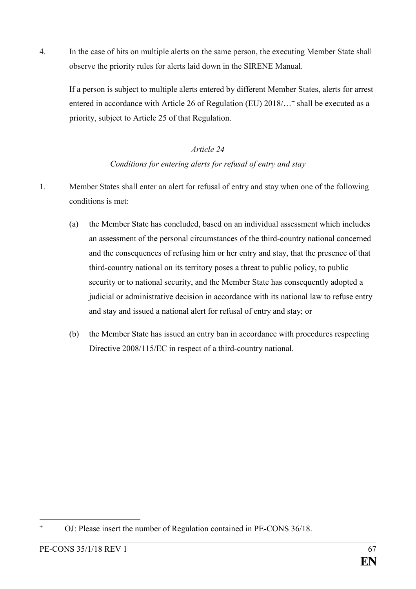4. In the case of hits on multiple alerts on the same person, the executing Member State shall observe the priority rules for alerts laid down in the SIRENE Manual.

If a person is subject to multiple alerts entered by different Member States, alerts for arrest entered in accordance with Article 26 of Regulation (EU) 2018/...<sup>+</sup> shall be executed as a priority, subject to Article 25 of that Regulation.

### *Article 24*

## *Conditions for entering alerts for refusal of entry and stay*

- 1. Member States shall enter an alert for refusal of entry and stay when one of the following conditions is met:
	- (a) the Member State has concluded, based on an individual assessment which includes an assessment of the personal circumstances of the third-country national concerned and the consequences of refusing him or her entry and stay, that the presence of that third-country national on its territory poses a threat to public policy, to public security or to national security, and the Member State has consequently adopted a judicial or administrative decision in accordance with its national law to refuse entry and stay and issued a national alert for refusal of entry and stay; or
	- (b) the Member State has issued an entry ban in accordance with procedures respecting Directive 2008/115/EC in respect of a third-country national.

<sup>1</sup> **<sup>+</sup>** OJ: Please insert the number of Regulation contained in PE-CONS 36/18.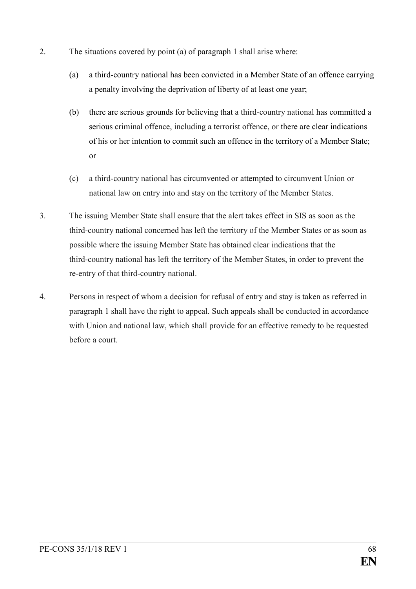- 2. The situations covered by point (a) of paragraph 1 shall arise where:
	- (a) a third-country national has been convicted in a Member State of an offence carrying a penalty involving the deprivation of liberty of at least one year;
	- (b) there are serious grounds for believing that a third-country national has committed a serious criminal offence, including a terrorist offence, or there are clear indications of his or her intention to commit such an offence in the territory of a Member State; or
	- (c) a third-country national has circumvented or attempted to circumvent Union or national law on entry into and stay on the territory of the Member States.
- 3. The issuing Member State shall ensure that the alert takes effect in SIS as soon as the third-country national concerned has left the territory of the Member States or as soon as possible where the issuing Member State has obtained clear indications that the third-country national has left the territory of the Member States, in order to prevent the re-entry of that third-country national.
- 4. Persons in respect of whom a decision for refusal of entry and stay is taken as referred in paragraph 1 shall have the right to appeal. Such appeals shall be conducted in accordance with Union and national law, which shall provide for an effective remedy to be requested before a court.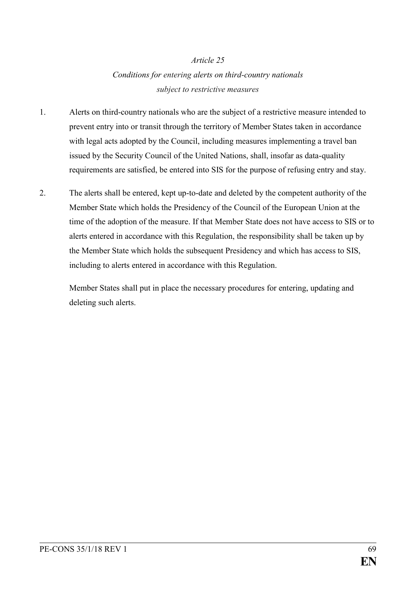## *Conditions for entering alerts on third-country nationals subject to restrictive measures*

- 1. Alerts on third-country nationals who are the subject of a restrictive measure intended to prevent entry into or transit through the territory of Member States taken in accordance with legal acts adopted by the Council, including measures implementing a travel ban issued by the Security Council of the United Nations, shall, insofar as data-quality requirements are satisfied, be entered into SIS for the purpose of refusing entry and stay.
- 2. The alerts shall be entered, kept up-to-date and deleted by the competent authority of the Member State which holds the Presidency of the Council of the European Union at the time of the adoption of the measure. If that Member State does not have access to SIS or to alerts entered in accordance with this Regulation, the responsibility shall be taken up by the Member State which holds the subsequent Presidency and which has access to SIS, including to alerts entered in accordance with this Regulation.

Member States shall put in place the necessary procedures for entering, updating and deleting such alerts.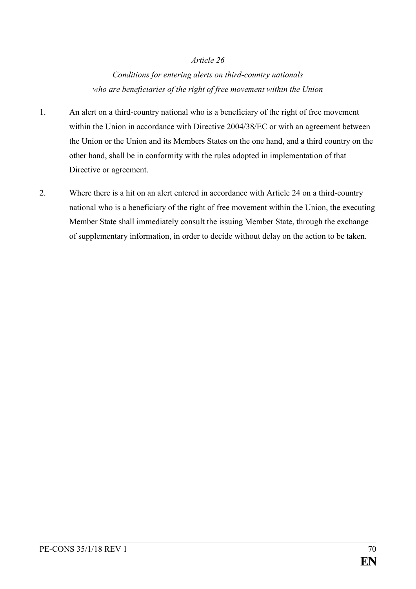*Conditions for entering alerts on third-country nationals who are beneficiaries of the right of free movement within the Union*

- 1. An alert on a third-country national who is a beneficiary of the right of free movement within the Union in accordance with Directive 2004/38/EC or with an agreement between the Union or the Union and its Members States on the one hand, and a third country on the other hand, shall be in conformity with the rules adopted in implementation of that Directive or agreement.
- 2. Where there is a hit on an alert entered in accordance with Article 24 on a third-country national who is a beneficiary of the right of free movement within the Union, the executing Member State shall immediately consult the issuing Member State, through the exchange of supplementary information, in order to decide without delay on the action to be taken.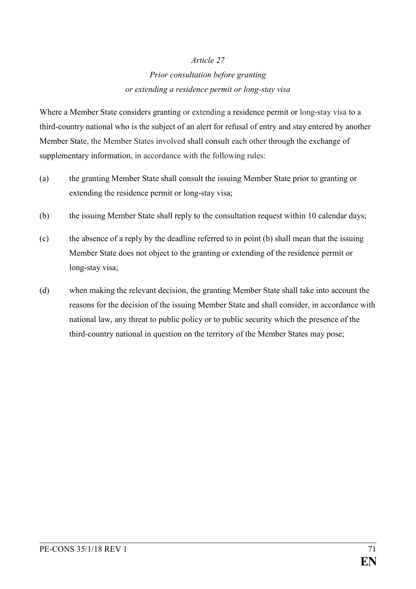## *Prior consultation before granting or extending a residence permit or long-stay visa*

Where a Member State considers granting or extending a residence permit or long-stay visa to a third-country national who is the subject of an alert for refusal of entry and stay entered by another Member State, the Member States involved shall consult each other through the exchange of supplementary information, in accordance with the following rules:

- (a) the granting Member State shall consult the issuing Member State prior to granting or extending the residence permit or long-stay visa;
- (b) the issuing Member State shall reply to the consultation request within 10 calendar days;
- (c) the absence of a reply by the deadline referred to in point (b) shall mean that the issuing Member State does not object to the granting or extending of the residence permit or long-stay visa;
- (d) when making the relevant decision, the granting Member State shall take into account the reasons for the decision of the issuing Member State and shall consider, in accordance with national law, any threat to public policy or to public security which the presence of the third-country national in question on the territory of the Member States may pose;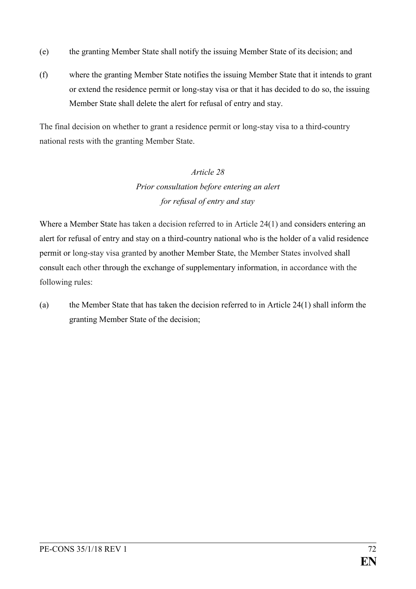- (e) the granting Member State shall notify the issuing Member State of its decision; and
- (f) where the granting Member State notifies the issuing Member State that it intends to grant or extend the residence permit or long-stay visa or that it has decided to do so, the issuing Member State shall delete the alert for refusal of entry and stay.

The final decision on whether to grant a residence permit or long-stay visa to a third-country national rests with the granting Member State.

# *Article 28 Prior consultation before entering an alert for refusal of entry and stay*

Where a Member State has taken a decision referred to in Article 24(1) and considers entering an alert for refusal of entry and stay on a third-country national who is the holder of a valid residence permit or long-stay visa granted by another Member State, the Member States involved shall consult each other through the exchange of supplementary information, in accordance with the following rules:

(a) the Member State that has taken the decision referred to in Article 24(1) shall inform the granting Member State of the decision;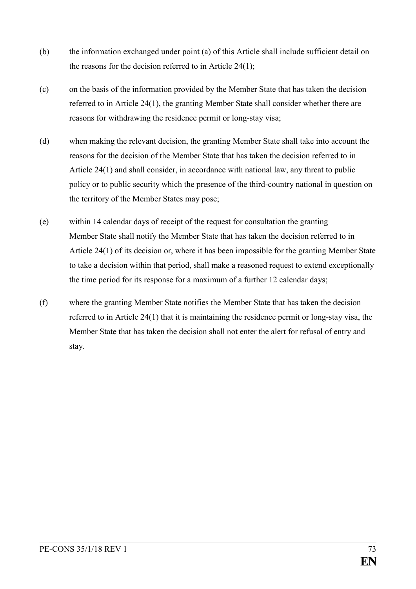- (b) the information exchanged under point (a) of this Article shall include sufficient detail on the reasons for the decision referred to in Article 24(1);
- (c) on the basis of the information provided by the Member State that has taken the decision referred to in Article 24(1), the granting Member State shall consider whether there are reasons for withdrawing the residence permit or long-stay visa;
- (d) when making the relevant decision, the granting Member State shall take into account the reasons for the decision of the Member State that has taken the decision referred to in Article 24(1) and shall consider, in accordance with national law, any threat to public policy or to public security which the presence of the third-country national in question on the territory of the Member States may pose;
- (e) within 14 calendar days of receipt of the request for consultation the granting Member State shall notify the Member State that has taken the decision referred to in Article 24(1) of its decision or, where it has been impossible for the granting Member State to take a decision within that period, shall make a reasoned request to extend exceptionally the time period for its response for a maximum of a further 12 calendar days;
- (f) where the granting Member State notifies the Member State that has taken the decision referred to in Article 24(1) that it is maintaining the residence permit or long-stay visa, the Member State that has taken the decision shall not enter the alert for refusal of entry and stay.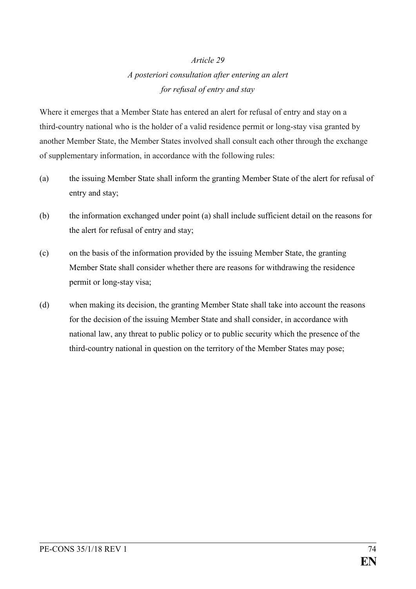# *A posteriori consultation after entering an alert for refusal of entry and stay*

Where it emerges that a Member State has entered an alert for refusal of entry and stay on a third-country national who is the holder of a valid residence permit or long-stay visa granted by another Member State, the Member States involved shall consult each other through the exchange of supplementary information, in accordance with the following rules:

- (a) the issuing Member State shall inform the granting Member State of the alert for refusal of entry and stay;
- (b) the information exchanged under point (a) shall include sufficient detail on the reasons for the alert for refusal of entry and stay;
- (c) on the basis of the information provided by the issuing Member State, the granting Member State shall consider whether there are reasons for withdrawing the residence permit or long-stay visa;
- (d) when making its decision, the granting Member State shall take into account the reasons for the decision of the issuing Member State and shall consider, in accordance with national law, any threat to public policy or to public security which the presence of the third-country national in question on the territory of the Member States may pose;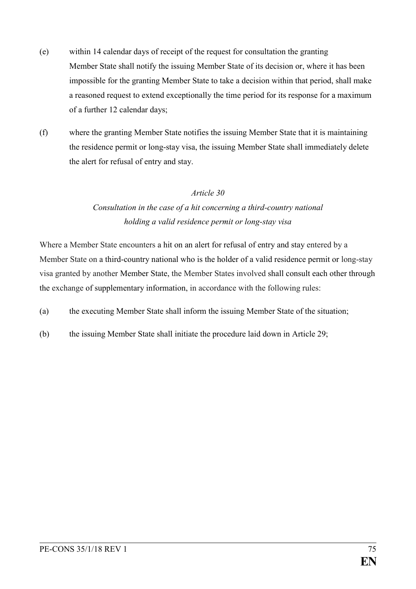- (e) within 14 calendar days of receipt of the request for consultation the granting Member State shall notify the issuing Member State of its decision or, where it has been impossible for the granting Member State to take a decision within that period, shall make a reasoned request to extend exceptionally the time period for its response for a maximum of a further 12 calendar days;
- (f) where the granting Member State notifies the issuing Member State that it is maintaining the residence permit or long-stay visa, the issuing Member State shall immediately delete the alert for refusal of entry and stay.

# *Consultation in the case of a hit concerning a third-country national holding a valid residence permit or long-stay visa*

Where a Member State encounters a hit on an alert for refusal of entry and stay entered by a Member State on a third-country national who is the holder of a valid residence permit or long-stay visa granted by another Member State, the Member States involved shall consult each other through the exchange of supplementary information, in accordance with the following rules:

- (a) the executing Member State shall inform the issuing Member State of the situation;
- (b) the issuing Member State shall initiate the procedure laid down in Article 29;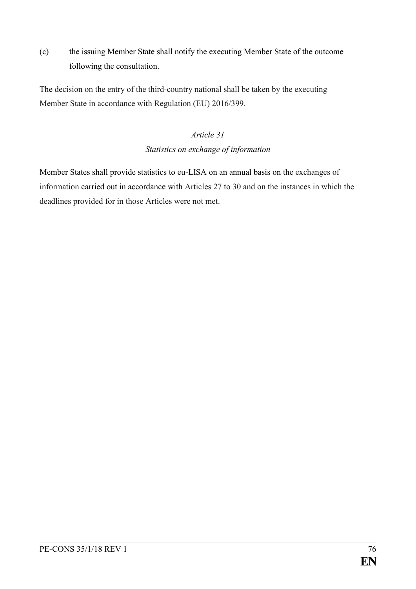(c) the issuing Member State shall notify the executing Member State of the outcome following the consultation.

The decision on the entry of the third-country national shall be taken by the executing Member State in accordance with Regulation (EU) 2016/399.

# *Article 31*

## *Statistics on exchange of information*

Member States shall provide statistics to eu-LISA on an annual basis on the exchanges of information carried out in accordance with Articles 27 to 30 and on the instances in which the deadlines provided for in those Articles were not met.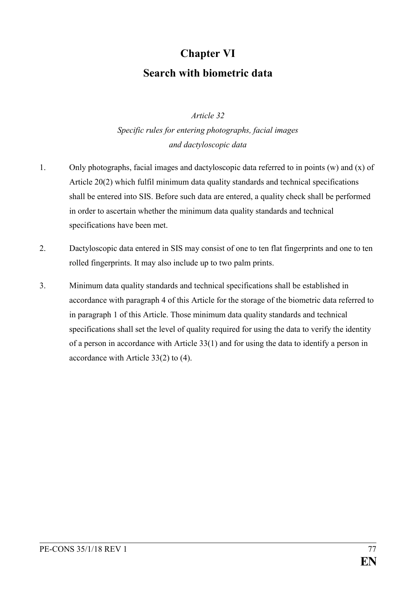# **Chapter VI Search with biometric data**

## *Article 32*

*Specific rules for entering photographs, facial images and dactyloscopic data*

- 1. Only photographs, facial images and dactyloscopic data referred to in points (w) and (x) of Article 20(2) which fulfil minimum data quality standards and technical specifications shall be entered into SIS. Before such data are entered, a quality check shall be performed in order to ascertain whether the minimum data quality standards and technical specifications have been met.
- 2. Dactyloscopic data entered in SIS may consist of one to ten flat fingerprints and one to ten rolled fingerprints. It may also include up to two palm prints.
- 3. Minimum data quality standards and technical specifications shall be established in accordance with paragraph 4 of this Article for the storage of the biometric data referred to in paragraph 1 of this Article. Those minimum data quality standards and technical specifications shall set the level of quality required for using the data to verify the identity of a person in accordance with Article 33(1) and for using the data to identify a person in accordance with Article 33(2) to (4).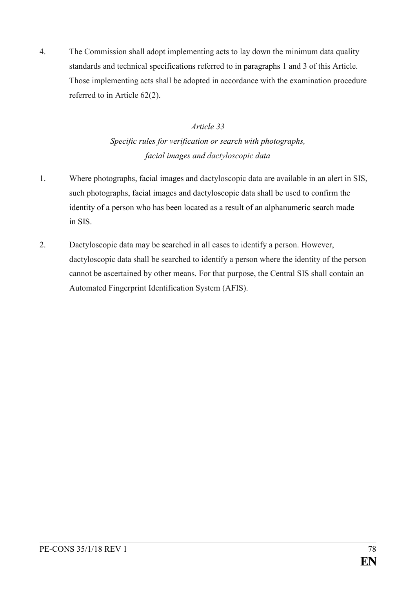4. The Commission shall adopt implementing acts to lay down the minimum data quality standards and technical specifications referred to in paragraphs 1 and 3 of this Article. Those implementing acts shall be adopted in accordance with the examination procedure referred to in Article 62(2).

# *Article 33*

*Specific rules for verification or search with photographs, facial images and dactyloscopic data*

- 1. Where photographs, facial images and dactyloscopic data are available in an alert in SIS, such photographs, facial images and dactyloscopic data shall be used to confirm the identity of a person who has been located as a result of an alphanumeric search made in SIS.
- 2. Dactyloscopic data may be searched in all cases to identify a person. However, dactyloscopic data shall be searched to identify a person where the identity of the person cannot be ascertained by other means. For that purpose, the Central SIS shall contain an Automated Fingerprint Identification System (AFIS).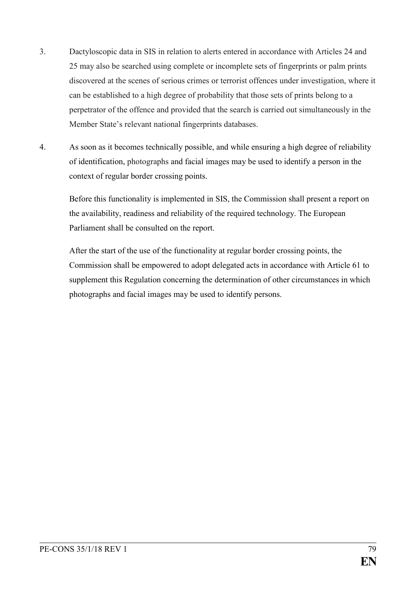- 3. Dactyloscopic data in SIS in relation to alerts entered in accordance with Articles 24 and 25 may also be searched using complete or incomplete sets of fingerprints or palm prints discovered at the scenes of serious crimes or terrorist offences under investigation, where it can be established to a high degree of probability that those sets of prints belong to a perpetrator of the offence and provided that the search is carried out simultaneously in the Member State's relevant national fingerprints databases.
- 4. As soon as it becomes technically possible, and while ensuring a high degree of reliability of identification, photographs and facial images may be used to identify a person in the context of regular border crossing points.

Before this functionality is implemented in SIS, the Commission shall present a report on the availability, readiness and reliability of the required technology. The European Parliament shall be consulted on the report.

After the start of the use of the functionality at regular border crossing points, the Commission shall be empowered to adopt delegated acts in accordance with Article 61 to supplement this Regulation concerning the determination of other circumstances in which photographs and facial images may be used to identify persons.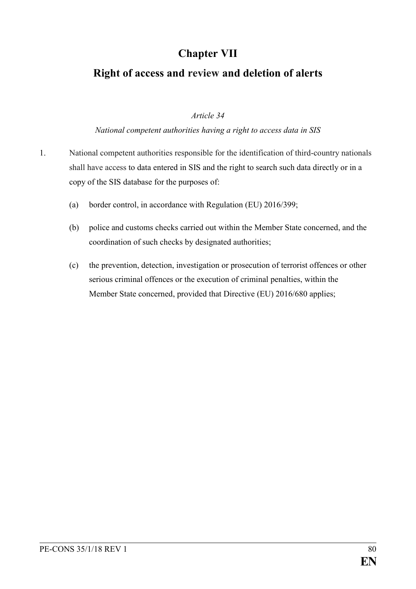# **Chapter VII**

# **Right of access and review and deletion of alerts**

## *Article 34*

## *National competent authorities having a right to access data in SIS*

- 1. National competent authorities responsible for the identification of third-country nationals shall have access to data entered in SIS and the right to search such data directly or in a copy of the SIS database for the purposes of:
	- (a) border control, in accordance with Regulation (EU) 2016/399;
	- (b) police and customs checks carried out within the Member State concerned, and the coordination of such checks by designated authorities;
	- (c) the prevention, detection, investigation or prosecution of terrorist offences or other serious criminal offences or the execution of criminal penalties, within the Member State concerned, provided that Directive (EU) 2016/680 applies;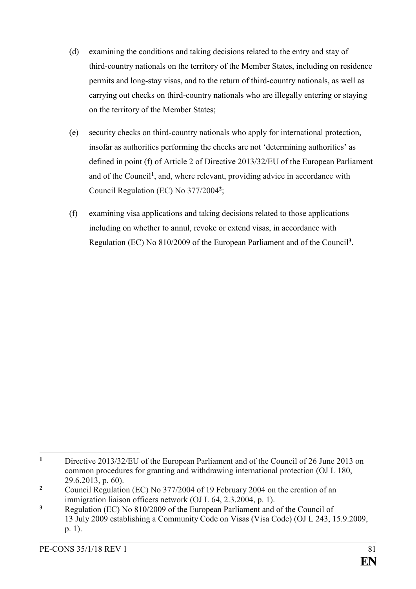- (d) examining the conditions and taking decisions related to the entry and stay of third-country nationals on the territory of the Member States, including on residence permits and long-stay visas, and to the return of third-country nationals, as well as carrying out checks on third-country nationals who are illegally entering or staying on the territory of the Member States;
- (e) security checks on third-country nationals who apply for international protection, insofar as authorities performing the checks are not 'determining authorities' as defined in point (f) of Article 2 of Directive 2013/32/EU of the European Parliament and of the Council**<sup>1</sup>** , and, where relevant, providing advice in accordance with Council Regulation (EC) No 377/2004**<sup>2</sup>** ;
- (f) examining visa applications and taking decisions related to those applications including on whether to annul, revoke or extend visas, in accordance with Regulation (EC) No 810/2009 of the European Parliament and of the Council**<sup>3</sup>** .

 $\mathbf{1}$ **<sup>1</sup>** Directive 2013/32/EU of the European Parliament and of the Council of 26 June 2013 on common procedures for granting and withdrawing international protection (OJ L 180, 29.6.2013, p. 60).

**<sup>2</sup>** Council Regulation (EC) No 377/2004 of 19 February 2004 on the creation of an immigration liaison officers network (OJ L 64, 2.3.2004, p. 1).

**<sup>3</sup>** Regulation (EC) No 810/2009 of the European Parliament and of the Council of 13 July 2009 establishing a Community Code on Visas (Visa Code) (OJ L 243, 15.9.2009, p. 1).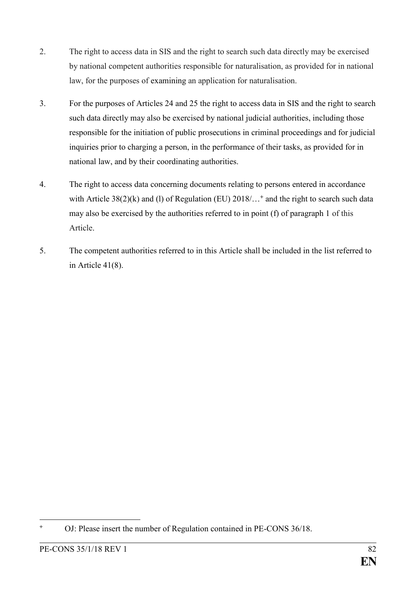- 2. The right to access data in SIS and the right to search such data directly may be exercised by national competent authorities responsible for naturalisation, as provided for in national law, for the purposes of examining an application for naturalisation.
- 3. For the purposes of Articles 24 and 25 the right to access data in SIS and the right to search such data directly may also be exercised by national judicial authorities, including those responsible for the initiation of public prosecutions in criminal proceedings and for judicial inquiries prior to charging a person, in the performance of their tasks, as provided for in national law, and by their coordinating authorities.
- 4. The right to access data concerning documents relating to persons entered in accordance with Article 38(2)(k) and (l) of Regulation (EU) 2018/...<sup>+</sup> and the right to search such data may also be exercised by the authorities referred to in point (f) of paragraph 1 of this Article.
- 5. The competent authorities referred to in this Article shall be included in the list referred to in Article 41(8).

<sup>1</sup> **<sup>+</sup>** OJ: Please insert the number of Regulation contained in PE-CONS 36/18.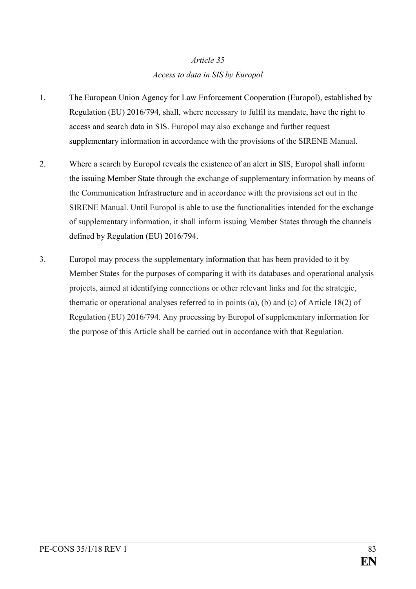# *Article 35 Access to data in SIS by Europol*

- 1. The European Union Agency for Law Enforcement Cooperation (Europol), established by Regulation (EU) 2016/794, shall, where necessary to fulfil its mandate, have the right to access and search data in SIS. Europol may also exchange and further request supplementary information in accordance with the provisions of the SIRENE Manual.
- 2. Where a search by Europol reveals the existence of an alert in SIS, Europol shall inform the issuing Member State through the exchange of supplementary information by means of the Communication Infrastructure and in accordance with the provisions set out in the SIRENE Manual. Until Europol is able to use the functionalities intended for the exchange of supplementary information, it shall inform issuing Member States through the channels defined by Regulation (EU) 2016/794.
- 3. Europol may process the supplementary information that has been provided to it by Member States for the purposes of comparing it with its databases and operational analysis projects, aimed at identifying connections or other relevant links and for the strategic, thematic or operational analyses referred to in points (a), (b) and (c) of Article 18(2) of Regulation (EU) 2016/794. Any processing by Europol of supplementary information for the purpose of this Article shall be carried out in accordance with that Regulation.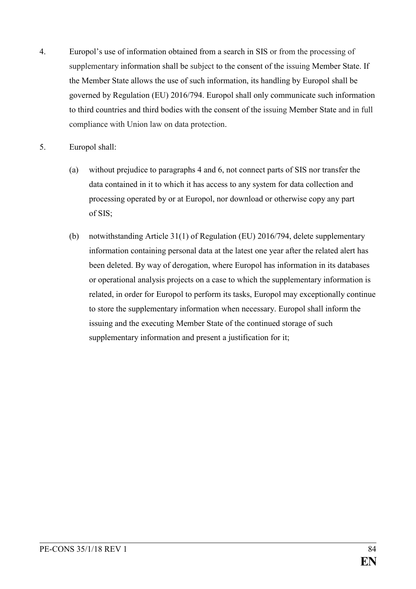- 4. Europol's use of information obtained from a search in SIS or from the processing of supplementary information shall be subject to the consent of the issuing Member State. If the Member State allows the use of such information, its handling by Europol shall be governed by Regulation (EU) 2016/794. Europol shall only communicate such information to third countries and third bodies with the consent of the issuing Member State and in full compliance with Union law on data protection.
- 5. Europol shall:
	- (a) without prejudice to paragraphs 4 and 6, not connect parts of SIS nor transfer the data contained in it to which it has access to any system for data collection and processing operated by or at Europol, nor download or otherwise copy any part of SIS;
	- (b) notwithstanding Article 31(1) of Regulation (EU) 2016/794, delete supplementary information containing personal data at the latest one year after the related alert has been deleted. By way of derogation, where Europol has information in its databases or operational analysis projects on a case to which the supplementary information is related, in order for Europol to perform its tasks, Europol may exceptionally continue to store the supplementary information when necessary. Europol shall inform the issuing and the executing Member State of the continued storage of such supplementary information and present a justification for it;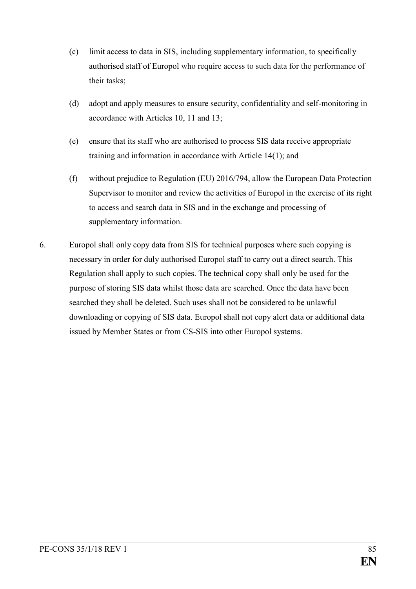- (c) limit access to data in SIS, including supplementary information, to specifically authorised staff of Europol who require access to such data for the performance of their tasks;
- (d) adopt and apply measures to ensure security, confidentiality and self-monitoring in accordance with Articles 10, 11 and 13;
- (e) ensure that its staff who are authorised to process SIS data receive appropriate training and information in accordance with Article 14(1); and
- (f) without prejudice to Regulation (EU) 2016/794, allow the European Data Protection Supervisor to monitor and review the activities of Europol in the exercise of its right to access and search data in SIS and in the exchange and processing of supplementary information.
- 6. Europol shall only copy data from SIS for technical purposes where such copying is necessary in order for duly authorised Europol staff to carry out a direct search. This Regulation shall apply to such copies. The technical copy shall only be used for the purpose of storing SIS data whilst those data are searched. Once the data have been searched they shall be deleted. Such uses shall not be considered to be unlawful downloading or copying of SIS data. Europol shall not copy alert data or additional data issued by Member States or from CS-SIS into other Europol systems.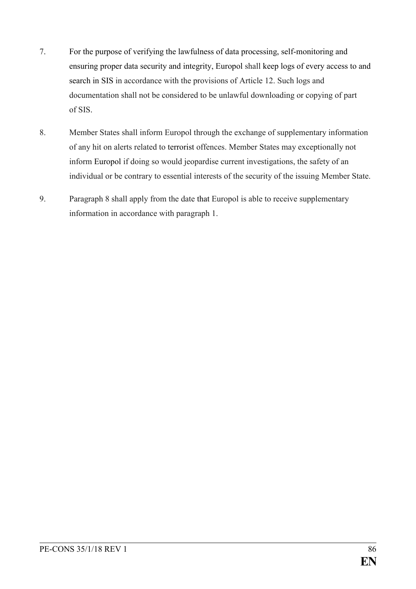- 7. For the purpose of verifying the lawfulness of data processing, self-monitoring and ensuring proper data security and integrity, Europol shall keep logs of every access to and search in SIS in accordance with the provisions of Article 12. Such logs and documentation shall not be considered to be unlawful downloading or copying of part of SIS.
- 8. Member States shall inform Europol through the exchange of supplementary information of any hit on alerts related to terrorist offences. Member States may exceptionally not inform Europol if doing so would jeopardise current investigations, the safety of an individual or be contrary to essential interests of the security of the issuing Member State.
- 9. Paragraph 8 shall apply from the date that Europol is able to receive supplementary information in accordance with paragraph 1.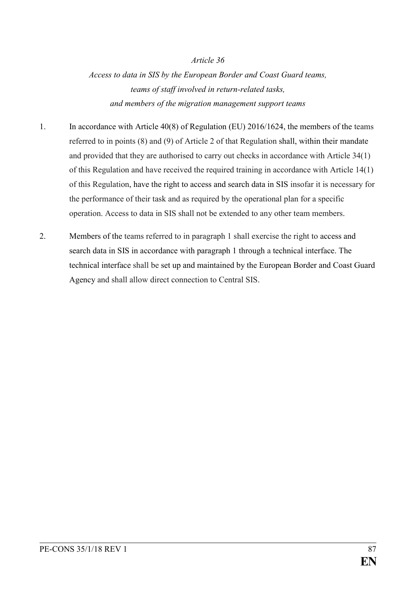*Access to data in SIS by the European Border and Coast Guard teams, teams of staff involved in return-related tasks, and members of the migration management support teams*

- 1. In accordance with Article 40(8) of Regulation (EU) 2016/1624, the members of the teams referred to in points (8) and (9) of Article 2 of that Regulation shall, within their mandate and provided that they are authorised to carry out checks in accordance with Article 34(1) of this Regulation and have received the required training in accordance with Article 14(1) of this Regulation, have the right to access and search data in SIS insofar it is necessary for the performance of their task and as required by the operational plan for a specific operation. Access to data in SIS shall not be extended to any other team members.
- 2. Members of the teams referred to in paragraph 1 shall exercise the right to access and search data in SIS in accordance with paragraph 1 through a technical interface. The technical interface shall be set up and maintained by the European Border and Coast Guard Agency and shall allow direct connection to Central SIS.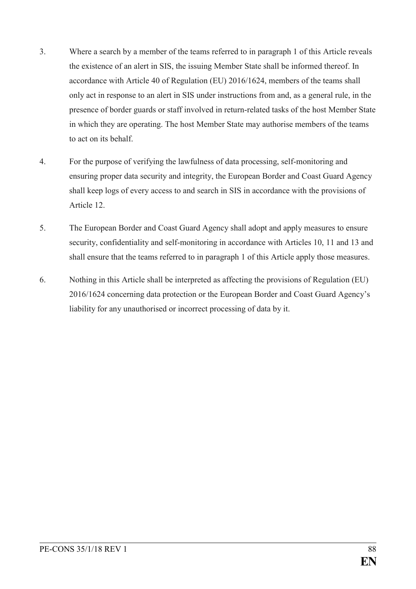- 3. Where a search by a member of the teams referred to in paragraph 1 of this Article reveals the existence of an alert in SIS, the issuing Member State shall be informed thereof. In accordance with Article 40 of Regulation (EU) 2016/1624, members of the teams shall only act in response to an alert in SIS under instructions from and, as a general rule, in the presence of border guards or staff involved in return-related tasks of the host Member State in which they are operating. The host Member State may authorise members of the teams to act on its behalf.
- 4. For the purpose of verifying the lawfulness of data processing, self-monitoring and ensuring proper data security and integrity, the European Border and Coast Guard Agency shall keep logs of every access to and search in SIS in accordance with the provisions of Article 12.
- 5. The European Border and Coast Guard Agency shall adopt and apply measures to ensure security, confidentiality and self-monitoring in accordance with Articles 10, 11 and 13 and shall ensure that the teams referred to in paragraph 1 of this Article apply those measures.
- 6. Nothing in this Article shall be interpreted as affecting the provisions of Regulation (EU) 2016/1624 concerning data protection or the European Border and Coast Guard Agency's liability for any unauthorised or incorrect processing of data by it.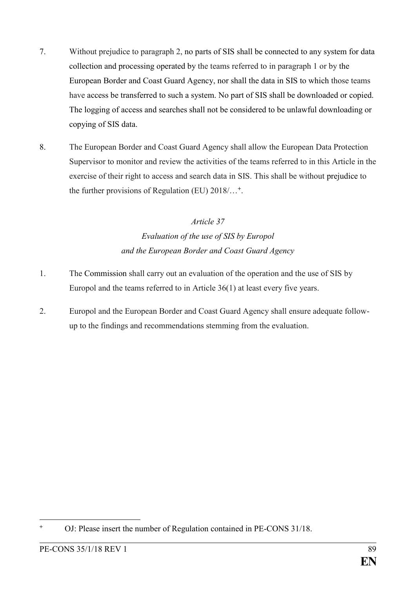- 7. Without prejudice to paragraph 2, no parts of SIS shall be connected to any system for data collection and processing operated by the teams referred to in paragraph 1 or by the European Border and Coast Guard Agency, nor shall the data in SIS to which those teams have access be transferred to such a system. No part of SIS shall be downloaded or copied. The logging of access and searches shall not be considered to be unlawful downloading or copying of SIS data.
- 8. The European Border and Coast Guard Agency shall allow the European Data Protection Supervisor to monitor and review the activities of the teams referred to in this Article in the exercise of their right to access and search data in SIS. This shall be without prejudice to the further provisions of Regulation (EU) 2018/…**<sup>+</sup>** .

# *Article 37 Evaluation of the use of SIS by Europol and the European Border and Coast Guard Agency*

- 1. The Commission shall carry out an evaluation of the operation and the use of SIS by Europol and the teams referred to in Article 36(1) at least every five years.
- 2. Europol and the European Border and Coast Guard Agency shall ensure adequate followup to the findings and recommendations stemming from the evaluation.

<sup>1</sup> **<sup>+</sup>** OJ: Please insert the number of Regulation contained in PE-CONS 31/18.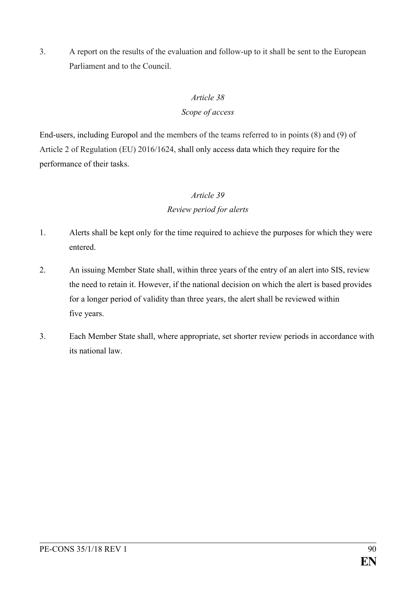3. A report on the results of the evaluation and follow-up to it shall be sent to the European Parliament and to the Council.

# *Article 38*

# *Scope of access*

End-users, including Europol and the members of the teams referred to in points (8) and (9) of Article 2 of Regulation (EU) 2016/1624, shall only access data which they require for the performance of their tasks.

# *Article 39*

# *Review period for alerts*

- 1. Alerts shall be kept only for the time required to achieve the purposes for which they were entered.
- 2. An issuing Member State shall, within three years of the entry of an alert into SIS, review the need to retain it. However, if the national decision on which the alert is based provides for a longer period of validity than three years, the alert shall be reviewed within five years.
- 3. Each Member State shall, where appropriate, set shorter review periods in accordance with its national law.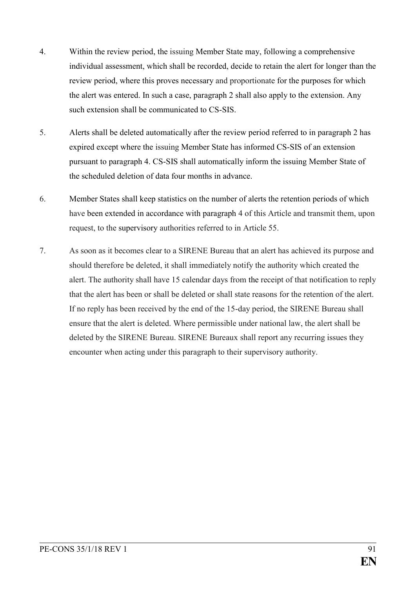- 4. Within the review period, the issuing Member State may, following a comprehensive individual assessment, which shall be recorded, decide to retain the alert for longer than the review period, where this proves necessary and proportionate for the purposes for which the alert was entered. In such a case, paragraph 2 shall also apply to the extension. Any such extension shall be communicated to CS-SIS.
- 5. Alerts shall be deleted automatically after the review period referred to in paragraph 2 has expired except where the issuing Member State has informed CS-SIS of an extension pursuant to paragraph 4. CS-SIS shall automatically inform the issuing Member State of the scheduled deletion of data four months in advance.
- 6. Member States shall keep statistics on the number of alerts the retention periods of which have been extended in accordance with paragraph 4 of this Article and transmit them, upon request, to the supervisory authorities referred to in Article 55.
- 7. As soon as it becomes clear to a SIRENE Bureau that an alert has achieved its purpose and should therefore be deleted, it shall immediately notify the authority which created the alert. The authority shall have 15 calendar days from the receipt of that notification to reply that the alert has been or shall be deleted or shall state reasons for the retention of the alert. If no reply has been received by the end of the 15-day period, the SIRENE Bureau shall ensure that the alert is deleted. Where permissible under national law, the alert shall be deleted by the SIRENE Bureau. SIRENE Bureaux shall report any recurring issues they encounter when acting under this paragraph to their supervisory authority.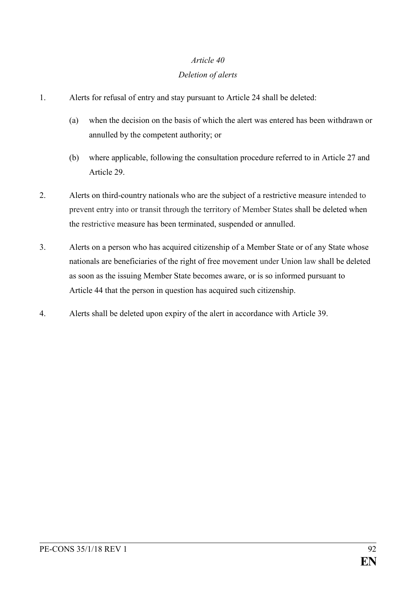## *Deletion of alerts*

- 1. Alerts for refusal of entry and stay pursuant to Article 24 shall be deleted:
	- (a) when the decision on the basis of which the alert was entered has been withdrawn or annulled by the competent authority; or
	- (b) where applicable, following the consultation procedure referred to in Article 27 and Article 29.
- 2. Alerts on third-country nationals who are the subject of a restrictive measure intended to prevent entry into or transit through the territory of Member States shall be deleted when the restrictive measure has been terminated, suspended or annulled.
- 3. Alerts on a person who has acquired citizenship of a Member State or of any State whose nationals are beneficiaries of the right of free movement under Union law shall be deleted as soon as the issuing Member State becomes aware, or is so informed pursuant to Article 44 that the person in question has acquired such citizenship.
- 4. Alerts shall be deleted upon expiry of the alert in accordance with Article 39.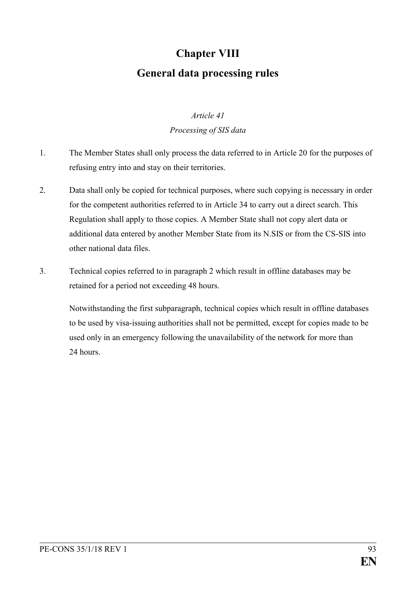# **Chapter VIII General data processing rules**

# *Article 41 Processing of SIS data*

- 1. The Member States shall only process the data referred to in Article 20 for the purposes of refusing entry into and stay on their territories.
- 2. Data shall only be copied for technical purposes, where such copying is necessary in order for the competent authorities referred to in Article 34 to carry out a direct search. This Regulation shall apply to those copies. A Member State shall not copy alert data or additional data entered by another Member State from its N.SIS or from the CS-SIS into other national data files.
- 3. Technical copies referred to in paragraph 2 which result in offline databases may be retained for a period not exceeding 48 hours.

Notwithstanding the first subparagraph, technical copies which result in offline databases to be used by visa-issuing authorities shall not be permitted, except for copies made to be used only in an emergency following the unavailability of the network for more than 24 hours.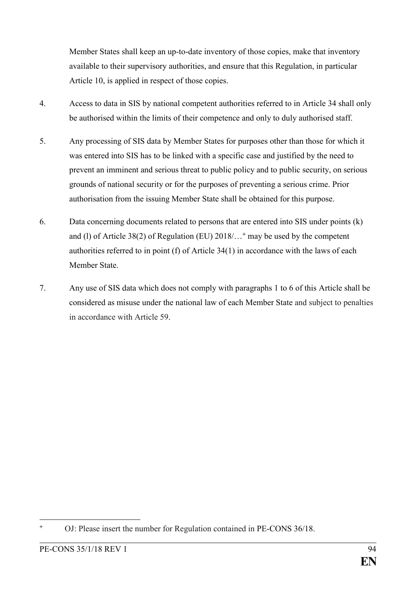Member States shall keep an up-to-date inventory of those copies, make that inventory available to their supervisory authorities, and ensure that this Regulation, in particular Article 10, is applied in respect of those copies.

- 4. Access to data in SIS by national competent authorities referred to in Article 34 shall only be authorised within the limits of their competence and only to duly authorised staff.
- 5. Any processing of SIS data by Member States for purposes other than those for which it was entered into SIS has to be linked with a specific case and justified by the need to prevent an imminent and serious threat to public policy and to public security, on serious grounds of national security or for the purposes of preventing a serious crime. Prior authorisation from the issuing Member State shall be obtained for this purpose.
- 6. Data concerning documents related to persons that are entered into SIS under points (k) and (l) of Article 38(2) of Regulation (EU) 2018/…**<sup>+</sup>** may be used by the competent authorities referred to in point (f) of Article 34(1) in accordance with the laws of each Member State.
- 7. Any use of SIS data which does not comply with paragraphs 1 to 6 of this Article shall be considered as misuse under the national law of each Member State and subject to penalties in accordance with Article 59.

<sup>1</sup> **<sup>+</sup>** OJ: Please insert the number for Regulation contained in PE-CONS 36/18.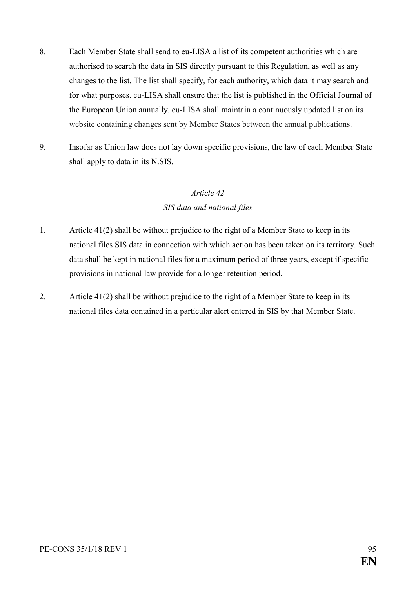- 8. Each Member State shall send to eu-LISA a list of its competent authorities which are authorised to search the data in SIS directly pursuant to this Regulation, as well as any changes to the list. The list shall specify, for each authority, which data it may search and for what purposes. eu-LISA shall ensure that the list is published in the Official Journal of the European Union annually. eu-LISA shall maintain a continuously updated list on its website containing changes sent by Member States between the annual publications.
- 9. Insofar as Union law does not lay down specific provisions, the law of each Member State shall apply to data in its N.SIS.

## *SIS data and national files*

- 1. Article 41(2) shall be without prejudice to the right of a Member State to keep in its national files SIS data in connection with which action has been taken on its territory. Such data shall be kept in national files for a maximum period of three years, except if specific provisions in national law provide for a longer retention period.
- 2. Article 41(2) shall be without prejudice to the right of a Member State to keep in its national files data contained in a particular alert entered in SIS by that Member State.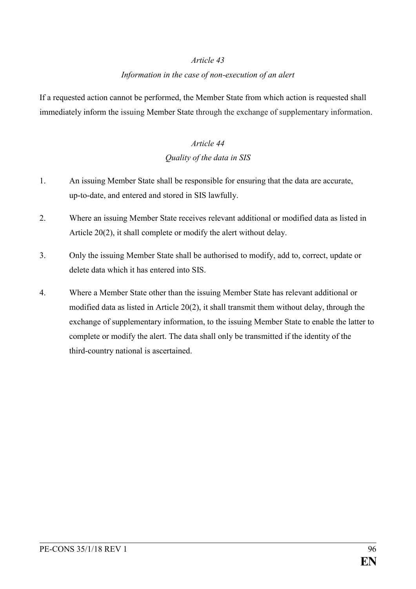## *Information in the case of non-execution of an alert*

If a requested action cannot be performed, the Member State from which action is requested shall immediately inform the issuing Member State through the exchange of supplementary information.

# *Article 44 Quality of the data in SIS*

- 1. An issuing Member State shall be responsible for ensuring that the data are accurate, up-to-date, and entered and stored in SIS lawfully.
- 2. Where an issuing Member State receives relevant additional or modified data as listed in Article 20(2), it shall complete or modify the alert without delay.
- 3. Only the issuing Member State shall be authorised to modify, add to, correct, update or delete data which it has entered into SIS.
- 4. Where a Member State other than the issuing Member State has relevant additional or modified data as listed in Article 20(2), it shall transmit them without delay, through the exchange of supplementary information, to the issuing Member State to enable the latter to complete or modify the alert. The data shall only be transmitted if the identity of the third-country national is ascertained.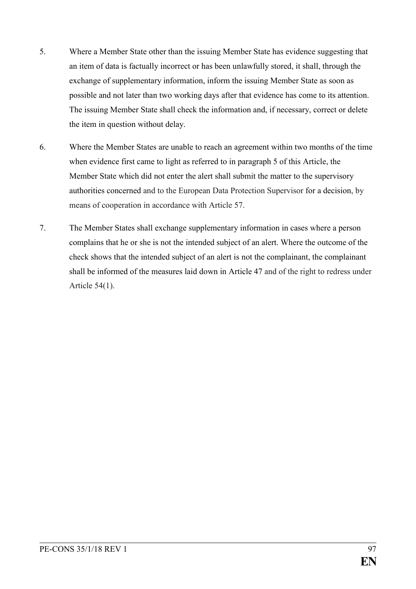- 5. Where a Member State other than the issuing Member State has evidence suggesting that an item of data is factually incorrect or has been unlawfully stored, it shall, through the exchange of supplementary information, inform the issuing Member State as soon as possible and not later than two working days after that evidence has come to its attention. The issuing Member State shall check the information and, if necessary, correct or delete the item in question without delay.
- 6. Where the Member States are unable to reach an agreement within two months of the time when evidence first came to light as referred to in paragraph 5 of this Article, the Member State which did not enter the alert shall submit the matter to the supervisory authorities concerned and to the European Data Protection Supervisor for a decision, by means of cooperation in accordance with Article 57.
- 7. The Member States shall exchange supplementary information in cases where a person complains that he or she is not the intended subject of an alert. Where the outcome of the check shows that the intended subject of an alert is not the complainant, the complainant shall be informed of the measures laid down in Article 47 and of the right to redress under Article 54(1).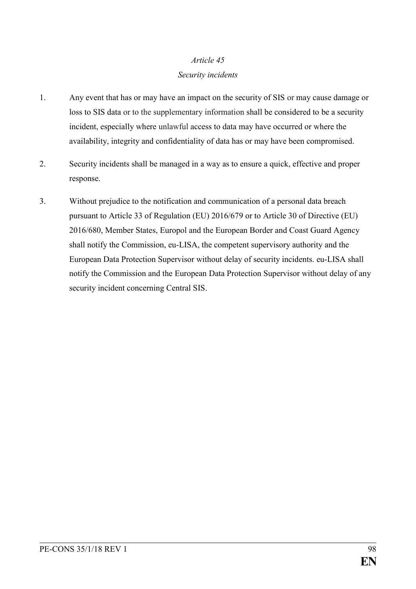## *Security incidents*

- 1. Any event that has or may have an impact on the security of SIS or may cause damage or loss to SIS data or to the supplementary information shall be considered to be a security incident, especially where unlawful access to data may have occurred or where the availability, integrity and confidentiality of data has or may have been compromised.
- 2. Security incidents shall be managed in a way as to ensure a quick, effective and proper response.
- 3. Without prejudice to the notification and communication of a personal data breach pursuant to Article 33 of Regulation (EU) 2016/679 or to Article 30 of Directive (EU) 2016/680, Member States, Europol and the European Border and Coast Guard Agency shall notify the Commission, eu-LISA, the competent supervisory authority and the European Data Protection Supervisor without delay of security incidents. eu-LISA shall notify the Commission and the European Data Protection Supervisor without delay of any security incident concerning Central SIS.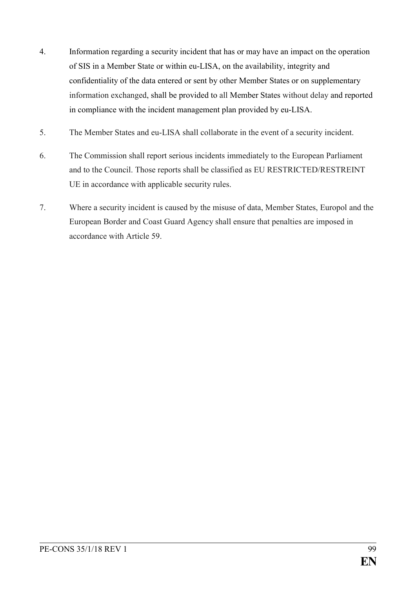- 4. Information regarding a security incident that has or may have an impact on the operation of SIS in a Member State or within eu-LISA, on the availability, integrity and confidentiality of the data entered or sent by other Member States or on supplementary information exchanged, shall be provided to all Member States without delay and reported in compliance with the incident management plan provided by eu-LISA.
- 5. The Member States and eu-LISA shall collaborate in the event of a security incident.
- 6. The Commission shall report serious incidents immediately to the European Parliament and to the Council. Those reports shall be classified as EU RESTRICTED/RESTREINT UE in accordance with applicable security rules.
- 7. Where a security incident is caused by the misuse of data, Member States, Europol and the European Border and Coast Guard Agency shall ensure that penalties are imposed in accordance with Article 59.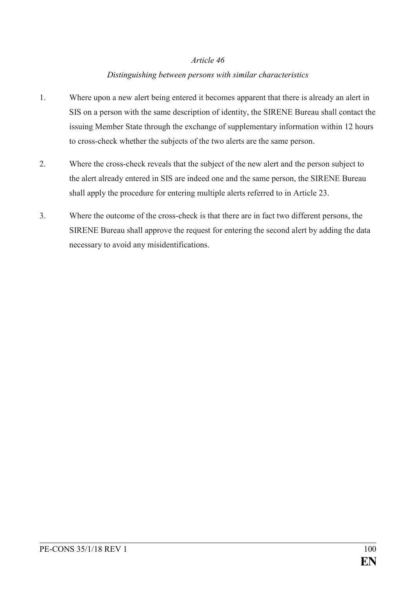## *Distinguishing between persons with similar characteristics*

- 1. Where upon a new alert being entered it becomes apparent that there is already an alert in SIS on a person with the same description of identity, the SIRENE Bureau shall contact the issuing Member State through the exchange of supplementary information within 12 hours to cross-check whether the subjects of the two alerts are the same person.
- 2. Where the cross-check reveals that the subject of the new alert and the person subject to the alert already entered in SIS are indeed one and the same person, the SIRENE Bureau shall apply the procedure for entering multiple alerts referred to in Article 23.
- 3. Where the outcome of the cross-check is that there are in fact two different persons, the SIRENE Bureau shall approve the request for entering the second alert by adding the data necessary to avoid any misidentifications.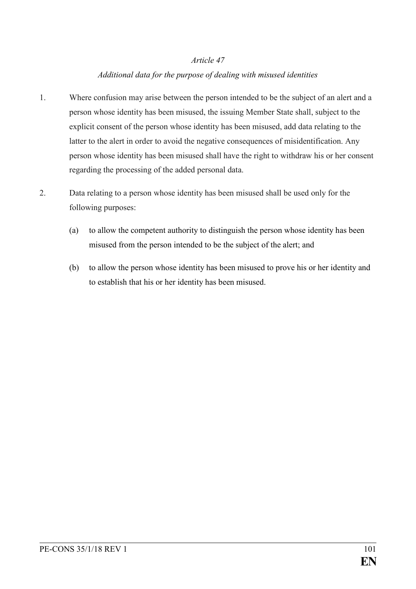## *Additional data for the purpose of dealing with misused identities*

- 1. Where confusion may arise between the person intended to be the subject of an alert and a person whose identity has been misused, the issuing Member State shall, subject to the explicit consent of the person whose identity has been misused, add data relating to the latter to the alert in order to avoid the negative consequences of misidentification. Any person whose identity has been misused shall have the right to withdraw his or her consent regarding the processing of the added personal data.
- 2. Data relating to a person whose identity has been misused shall be used only for the following purposes:
	- (a) to allow the competent authority to distinguish the person whose identity has been misused from the person intended to be the subject of the alert; and
	- (b) to allow the person whose identity has been misused to prove his or her identity and to establish that his or her identity has been misused.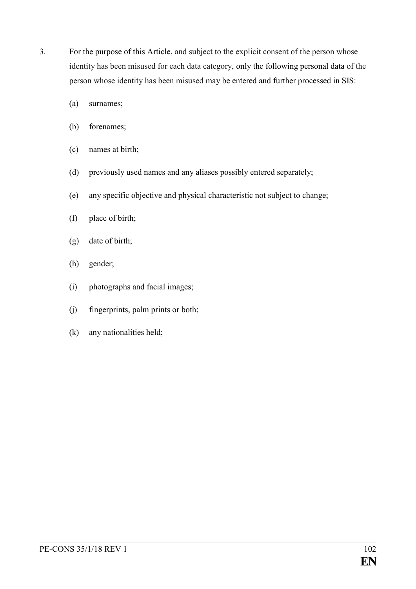- 3. For the purpose of this Article, and subject to the explicit consent of the person whose identity has been misused for each data category, only the following personal data of the person whose identity has been misused may be entered and further processed in SIS:
	- (a) surnames;
	- (b) forenames;
	- (c) names at birth;
	- (d) previously used names and any aliases possibly entered separately;
	- (e) any specific objective and physical characteristic not subject to change;
	- (f) place of birth;
	- (g) date of birth;
	- (h) gender;
	- (i) photographs and facial images;
	- (j) fingerprints, palm prints or both;
	- (k) any nationalities held;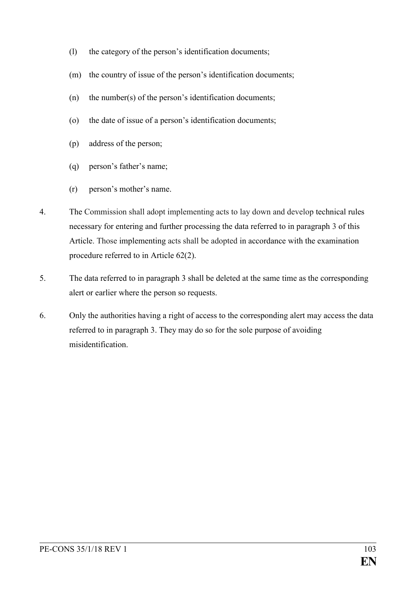- (l) the category of the person's identification documents;
- (m) the country of issue of the person's identification documents;
- (n) the number(s) of the person's identification documents;
- (o) the date of issue of a person's identification documents;
- (p) address of the person;
- (q) person's father's name;
- (r) person's mother's name.
- 4. The Commission shall adopt implementing acts to lay down and develop technical rules necessary for entering and further processing the data referred to in paragraph 3 of this Article. Those implementing acts shall be adopted in accordance with the examination procedure referred to in Article 62(2).
- 5. The data referred to in paragraph 3 shall be deleted at the same time as the corresponding alert or earlier where the person so requests.
- 6. Only the authorities having a right of access to the corresponding alert may access the data referred to in paragraph 3. They may do so for the sole purpose of avoiding misidentification.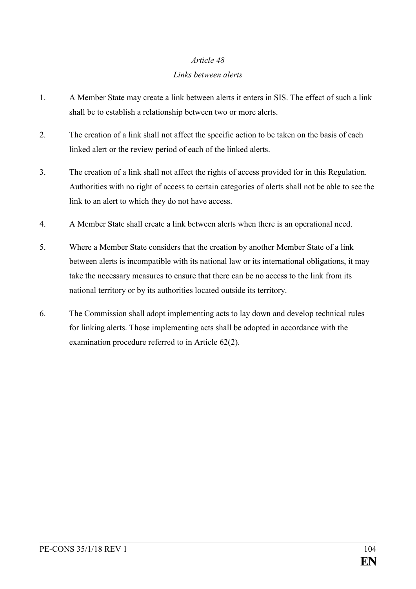## *Links between alerts*

- 1. A Member State may create a link between alerts it enters in SIS. The effect of such a link shall be to establish a relationship between two or more alerts.
- 2. The creation of a link shall not affect the specific action to be taken on the basis of each linked alert or the review period of each of the linked alerts.
- 3. The creation of a link shall not affect the rights of access provided for in this Regulation. Authorities with no right of access to certain categories of alerts shall not be able to see the link to an alert to which they do not have access.
- 4. A Member State shall create a link between alerts when there is an operational need.
- 5. Where a Member State considers that the creation by another Member State of a link between alerts is incompatible with its national law or its international obligations, it may take the necessary measures to ensure that there can be no access to the link from its national territory or by its authorities located outside its territory.
- 6. The Commission shall adopt implementing acts to lay down and develop technical rules for linking alerts. Those implementing acts shall be adopted in accordance with the examination procedure referred to in Article 62(2).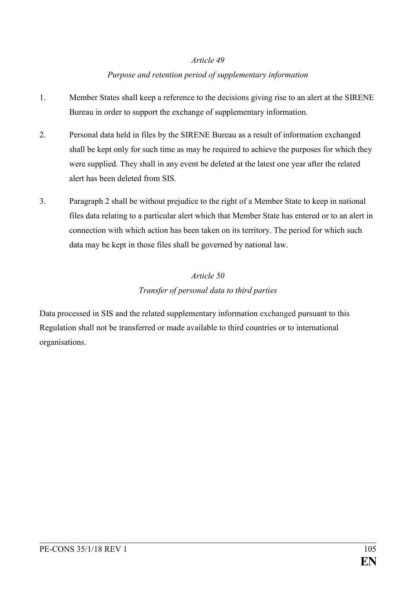## *Purpose and retention period of supplementary information*

- 1. Member States shall keep a reference to the decisions giving rise to an alert at the SIRENE Bureau in order to support the exchange of supplementary information.
- 2. Personal data held in files by the SIRENE Bureau as a result of information exchanged shall be kept only for such time as may be required to achieve the purposes for which they were supplied. They shall in any event be deleted at the latest one year after the related alert has been deleted from SIS.
- 3. Paragraph 2 shall be without prejudice to the right of a Member State to keep in national files data relating to a particular alert which that Member State has entered or to an alert in connection with which action has been taken on its territory. The period for which such data may be kept in those files shall be governed by national law.

# *Article 50 Transfer of personal data to third parties*

Data processed in SIS and the related supplementary information exchanged pursuant to this Regulation shall not be transferred or made available to third countries or to international organisations.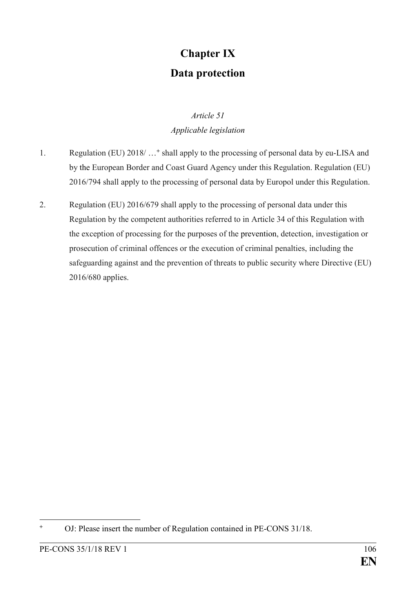# **Chapter IX Data protection**

# *Article 51 Applicable legislation*

- 1. Regulation (EU) 2018/ …**<sup>+</sup>** shall apply to the processing of personal data by eu-LISA and by the European Border and Coast Guard Agency under this Regulation. Regulation (EU) 2016/794 shall apply to the processing of personal data by Europol under this Regulation.
- 2. Regulation (EU) 2016/679 shall apply to the processing of personal data under this Regulation by the competent authorities referred to in Article 34 of this Regulation with the exception of processing for the purposes of the prevention, detection, investigation or prosecution of criminal offences or the execution of criminal penalties, including the safeguarding against and the prevention of threats to public security where Directive (EU) 2016/680 applies.

 $\ddot{}$ **<sup>+</sup>** OJ: Please insert the number of Regulation contained in PE-CONS 31/18.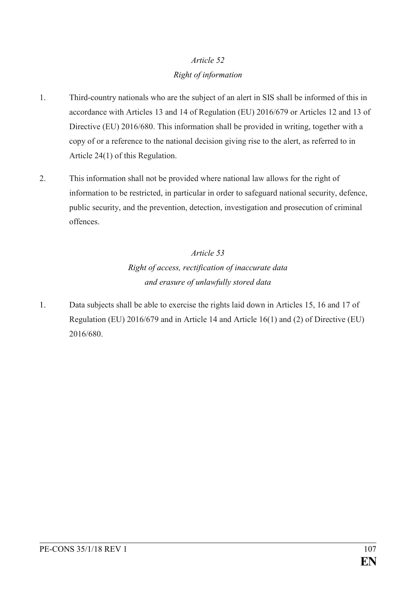# *Article 52 Right of information*

- 1. Third-country nationals who are the subject of an alert in SIS shall be informed of this in accordance with Articles 13 and 14 of Regulation (EU) 2016/679 or Articles 12 and 13 of Directive (EU) 2016/680. This information shall be provided in writing, together with a copy of or a reference to the national decision giving rise to the alert, as referred to in Article 24(1) of this Regulation.
- 2. This information shall not be provided where national law allows for the right of information to be restricted, in particular in order to safeguard national security, defence, public security, and the prevention, detection, investigation and prosecution of criminal offences.

# *Article 53 Right of access, rectification of inaccurate data and erasure of unlawfully stored data*

1. Data subjects shall be able to exercise the rights laid down in Articles 15, 16 and 17 of Regulation (EU) 2016/679 and in Article 14 and Article 16(1) and (2) of Directive (EU) 2016/680.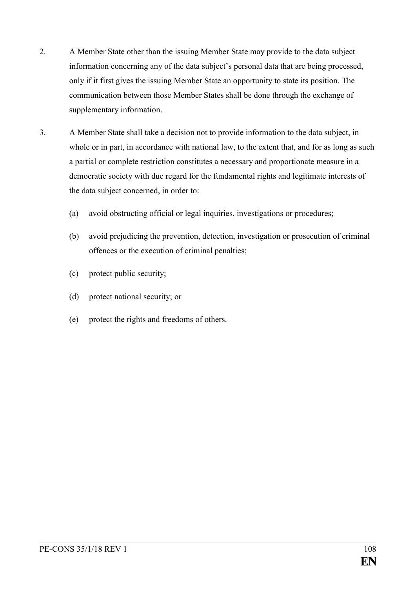- 2. A Member State other than the issuing Member State may provide to the data subject information concerning any of the data subject's personal data that are being processed, only if it first gives the issuing Member State an opportunity to state its position. The communication between those Member States shall be done through the exchange of supplementary information.
- 3. A Member State shall take a decision not to provide information to the data subject, in whole or in part, in accordance with national law, to the extent that, and for as long as such a partial or complete restriction constitutes a necessary and proportionate measure in a democratic society with due regard for the fundamental rights and legitimate interests of the data subject concerned, in order to:
	- (a) avoid obstructing official or legal inquiries, investigations or procedures;
	- (b) avoid prejudicing the prevention, detection, investigation or prosecution of criminal offences or the execution of criminal penalties;
	- (c) protect public security;
	- (d) protect national security; or
	- (e) protect the rights and freedoms of others.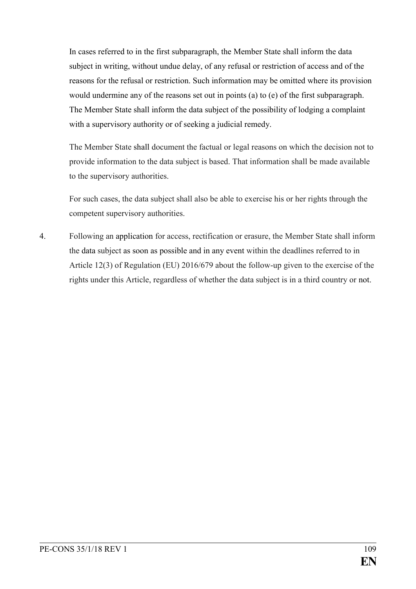In cases referred to in the first subparagraph, the Member State shall inform the data subject in writing, without undue delay, of any refusal or restriction of access and of the reasons for the refusal or restriction. Such information may be omitted where its provision would undermine any of the reasons set out in points (a) to (e) of the first subparagraph. The Member State shall inform the data subject of the possibility of lodging a complaint with a supervisory authority or of seeking a judicial remedy.

The Member State shall document the factual or legal reasons on which the decision not to provide information to the data subject is based. That information shall be made available to the supervisory authorities.

For such cases, the data subject shall also be able to exercise his or her rights through the competent supervisory authorities.

4. Following an application for access, rectification or erasure, the Member State shall inform the data subject as soon as possible and in any event within the deadlines referred to in Article 12(3) of Regulation (EU) 2016/679 about the follow-up given to the exercise of the rights under this Article, regardless of whether the data subject is in a third country or not.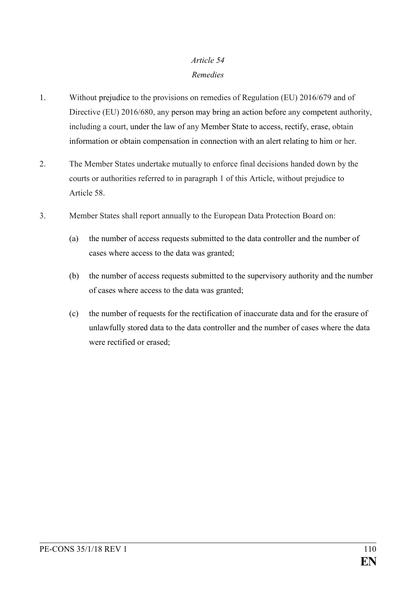### *Article 54 Remedies*

- 1. Without prejudice to the provisions on remedies of Regulation (EU) 2016/679 and of Directive (EU) 2016/680, any person may bring an action before any competent authority, including a court, under the law of any Member State to access, rectify, erase, obtain information or obtain compensation in connection with an alert relating to him or her.
- 2. The Member States undertake mutually to enforce final decisions handed down by the courts or authorities referred to in paragraph 1 of this Article, without prejudice to Article 58.
- 3. Member States shall report annually to the European Data Protection Board on:
	- (a) the number of access requests submitted to the data controller and the number of cases where access to the data was granted;
	- (b) the number of access requests submitted to the supervisory authority and the number of cases where access to the data was granted;
	- (c) the number of requests for the rectification of inaccurate data and for the erasure of unlawfully stored data to the data controller and the number of cases where the data were rectified or erased;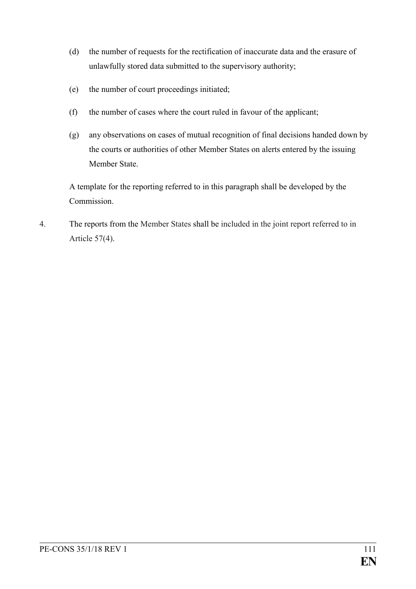- (d) the number of requests for the rectification of inaccurate data and the erasure of unlawfully stored data submitted to the supervisory authority;
- (e) the number of court proceedings initiated;
- (f) the number of cases where the court ruled in favour of the applicant;
- (g) any observations on cases of mutual recognition of final decisions handed down by the courts or authorities of other Member States on alerts entered by the issuing Member State.

A template for the reporting referred to in this paragraph shall be developed by the Commission.

4. The reports from the Member States shall be included in the joint report referred to in Article 57(4).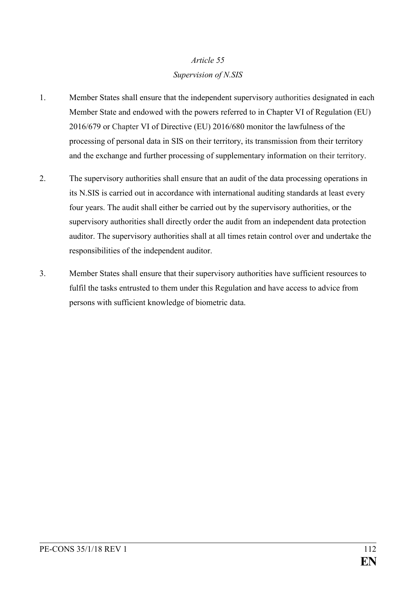# *Article 55 Supervision of N.SIS*

- 1. Member States shall ensure that the independent supervisory authorities designated in each Member State and endowed with the powers referred to in Chapter VI of Regulation (EU) 2016/679 or Chapter VI of Directive (EU) 2016/680 monitor the lawfulness of the processing of personal data in SIS on their territory, its transmission from their territory and the exchange and further processing of supplementary information on their territory.
- 2. The supervisory authorities shall ensure that an audit of the data processing operations in its N.SIS is carried out in accordance with international auditing standards at least every four years. The audit shall either be carried out by the supervisory authorities, or the supervisory authorities shall directly order the audit from an independent data protection auditor. The supervisory authorities shall at all times retain control over and undertake the responsibilities of the independent auditor.
- 3. Member States shall ensure that their supervisory authorities have sufficient resources to fulfil the tasks entrusted to them under this Regulation and have access to advice from persons with sufficient knowledge of biometric data.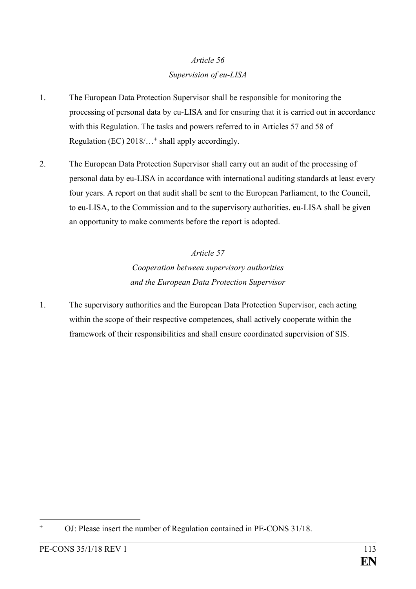## *Article 56 Supervision of eu-LISA*

- 1. The European Data Protection Supervisor shall be responsible for monitoring the processing of personal data by eu-LISA and for ensuring that it is carried out in accordance with this Regulation. The tasks and powers referred to in Articles 57 and 58 of Regulation (EC) 2018/…**<sup>+</sup>** shall apply accordingly.
- 2. The European Data Protection Supervisor shall carry out an audit of the processing of personal data by eu-LISA in accordance with international auditing standards at least every four years. A report on that audit shall be sent to the European Parliament, to the Council, to eu-LISA, to the Commission and to the supervisory authorities. eu-LISA shall be given an opportunity to make comments before the report is adopted.

# *Article 57 Cooperation between supervisory authorities and the European Data Protection Supervisor*

1. The supervisory authorities and the European Data Protection Supervisor, each acting within the scope of their respective competences, shall actively cooperate within the framework of their responsibilities and shall ensure coordinated supervision of SIS.

<sup>1</sup> **<sup>+</sup>** OJ: Please insert the number of Regulation contained in PE-CONS 31/18.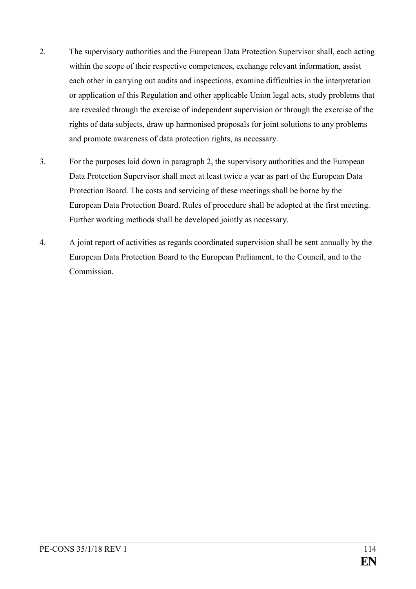- 2. The supervisory authorities and the European Data Protection Supervisor shall, each acting within the scope of their respective competences, exchange relevant information, assist each other in carrying out audits and inspections, examine difficulties in the interpretation or application of this Regulation and other applicable Union legal acts, study problems that are revealed through the exercise of independent supervision or through the exercise of the rights of data subjects, draw up harmonised proposals for joint solutions to any problems and promote awareness of data protection rights, as necessary.
- 3. For the purposes laid down in paragraph 2, the supervisory authorities and the European Data Protection Supervisor shall meet at least twice a year as part of the European Data Protection Board. The costs and servicing of these meetings shall be borne by the European Data Protection Board. Rules of procedure shall be adopted at the first meeting. Further working methods shall be developed jointly as necessary.
- 4. A joint report of activities as regards coordinated supervision shall be sent annually by the European Data Protection Board to the European Parliament, to the Council, and to the Commission.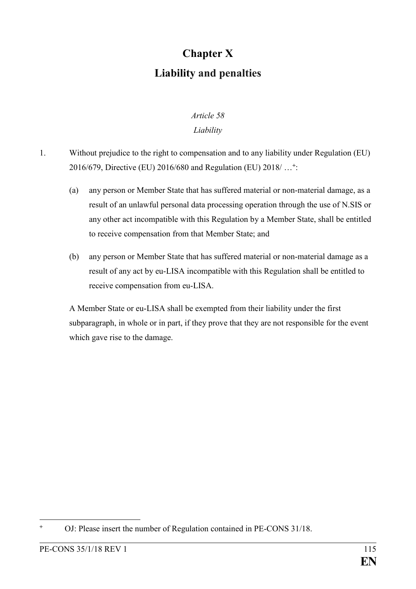# **Chapter X Liability and penalties**

# *Article 58*

### *Liability*

- 1. Without prejudice to the right to compensation and to any liability under Regulation (EU) 2016/679, Directive (EU) 2016/680 and Regulation (EU) 2018/ …**<sup>+</sup>** :
	- (a) any person or Member State that has suffered material or non-material damage, as a result of an unlawful personal data processing operation through the use of N.SIS or any other act incompatible with this Regulation by a Member State, shall be entitled to receive compensation from that Member State; and
	- (b) any person or Member State that has suffered material or non-material damage as a result of any act by eu-LISA incompatible with this Regulation shall be entitled to receive compensation from eu-LISA.

A Member State or eu-LISA shall be exempted from their liability under the first subparagraph, in whole or in part, if they prove that they are not responsible for the event which gave rise to the damage.

<sup>1</sup> **<sup>+</sup>** OJ: Please insert the number of Regulation contained in PE-CONS 31/18.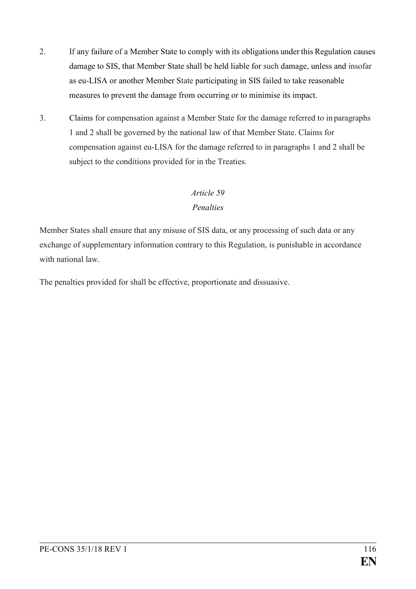- 2. If any failure of a Member State to comply with its obligations under this Regulation causes damage to SIS, that Member State shall be held liable for such damage, unless and insofar as eu-LISA or another Member State participating in SIS failed to take reasonable measures to prevent the damage from occurring or to minimise its impact.
- 3. Claims for compensation against a Member State for the damage referred to in paragraphs 1 and 2 shall be governed by the national law of that Member State. Claims for compensation against eu-LISA for the damage referred to in paragraphs 1 and 2 shall be subject to the conditions provided for in the Treaties.

### *Article 59*

### *Penalties*

Member States shall ensure that any misuse of SIS data, or any processing of such data or any exchange of supplementary information contrary to this Regulation, is punishable in accordance with national law

The penalties provided for shall be effective, proportionate and dissuasive.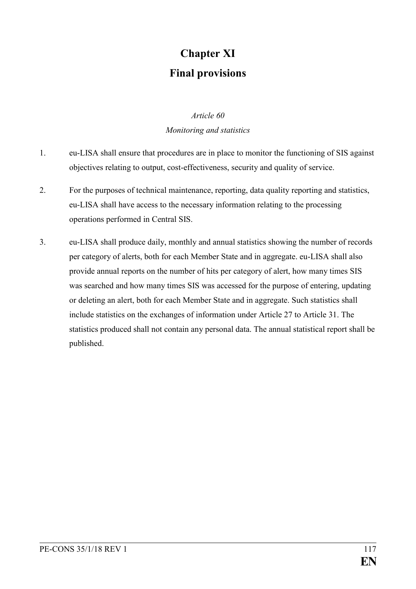# **Chapter XI Final provisions**

## *Article 60 Monitoring and statistics*

- 1. eu-LISA shall ensure that procedures are in place to monitor the functioning of SIS against objectives relating to output, cost-effectiveness, security and quality of service.
- 2. For the purposes of technical maintenance, reporting, data quality reporting and statistics, eu-LISA shall have access to the necessary information relating to the processing operations performed in Central SIS.
- 3. eu-LISA shall produce daily, monthly and annual statistics showing the number of records per category of alerts, both for each Member State and in aggregate. eu-LISA shall also provide annual reports on the number of hits per category of alert, how many times SIS was searched and how many times SIS was accessed for the purpose of entering, updating or deleting an alert, both for each Member State and in aggregate. Such statistics shall include statistics on the exchanges of information under Article 27 to Article 31. The statistics produced shall not contain any personal data. The annual statistical report shall be published.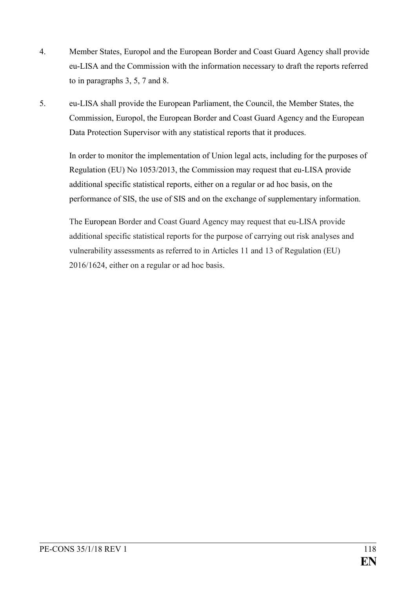- 4. Member States, Europol and the European Border and Coast Guard Agency shall provide eu-LISA and the Commission with the information necessary to draft the reports referred to in paragraphs 3, 5, 7 and 8.
- 5. eu-LISA shall provide the European Parliament, the Council, the Member States, the Commission, Europol, the European Border and Coast Guard Agency and the European Data Protection Supervisor with any statistical reports that it produces.

In order to monitor the implementation of Union legal acts, including for the purposes of Regulation (EU) No 1053/2013, the Commission may request that eu-LISA provide additional specific statistical reports, either on a regular or ad hoc basis, on the performance of SIS, the use of SIS and on the exchange of supplementary information.

The European Border and Coast Guard Agency may request that eu-LISA provide additional specific statistical reports for the purpose of carrying out risk analyses and vulnerability assessments as referred to in Articles 11 and 13 of Regulation (EU) 2016/1624, either on a regular or ad hoc basis.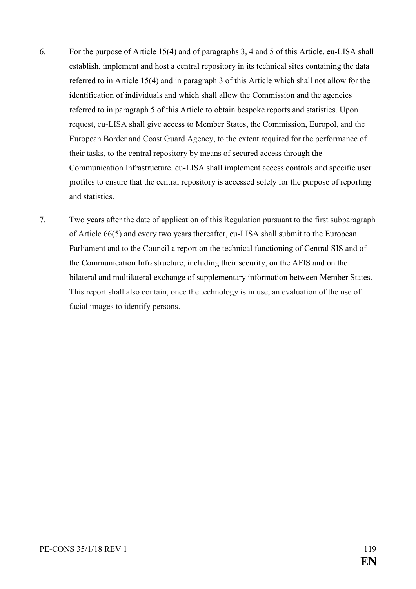- 6. For the purpose of Article 15(4) and of paragraphs 3, 4 and 5 of this Article, eu-LISA shall establish, implement and host a central repository in its technical sites containing the data referred to in Article 15(4) and in paragraph 3 of this Article which shall not allow for the identification of individuals and which shall allow the Commission and the agencies referred to in paragraph 5 of this Article to obtain bespoke reports and statistics. Upon request, eu-LISA shall give access to Member States, the Commission, Europol, and the European Border and Coast Guard Agency, to the extent required for the performance of their tasks, to the central repository by means of secured access through the Communication Infrastructure. eu-LISA shall implement access controls and specific user profiles to ensure that the central repository is accessed solely for the purpose of reporting and statistics.
- 7. Two years after the date of application of this Regulation pursuant to the first subparagraph of Article 66(5) and every two years thereafter, eu-LISA shall submit to the European Parliament and to the Council a report on the technical functioning of Central SIS and of the Communication Infrastructure, including their security, on the AFIS and on the bilateral and multilateral exchange of supplementary information between Member States. This report shall also contain, once the technology is in use, an evaluation of the use of facial images to identify persons.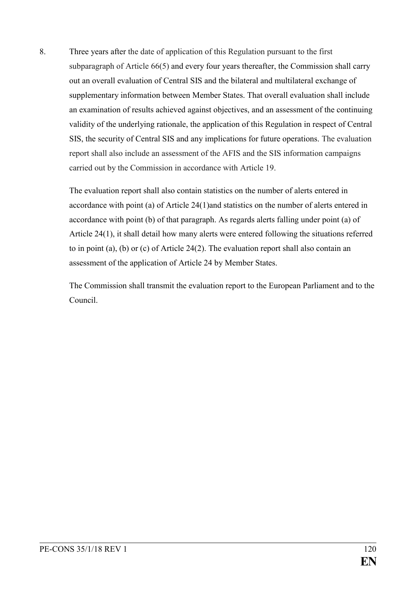8. Three years after the date of application of this Regulation pursuant to the first subparagraph of Article 66(5) and every four years thereafter, the Commission shall carry out an overall evaluation of Central SIS and the bilateral and multilateral exchange of supplementary information between Member States. That overall evaluation shall include an examination of results achieved against objectives, and an assessment of the continuing validity of the underlying rationale, the application of this Regulation in respect of Central SIS, the security of Central SIS and any implications for future operations. The evaluation report shall also include an assessment of the AFIS and the SIS information campaigns carried out by the Commission in accordance with Article 19.

The evaluation report shall also contain statistics on the number of alerts entered in accordance with point (a) of Article 24(1)and statistics on the number of alerts entered in accordance with point (b) of that paragraph. As regards alerts falling under point (a) of Article 24(1), it shall detail how many alerts were entered following the situations referred to in point (a), (b) or (c) of Article 24(2). The evaluation report shall also contain an assessment of the application of Article 24 by Member States.

The Commission shall transmit the evaluation report to the European Parliament and to the Council.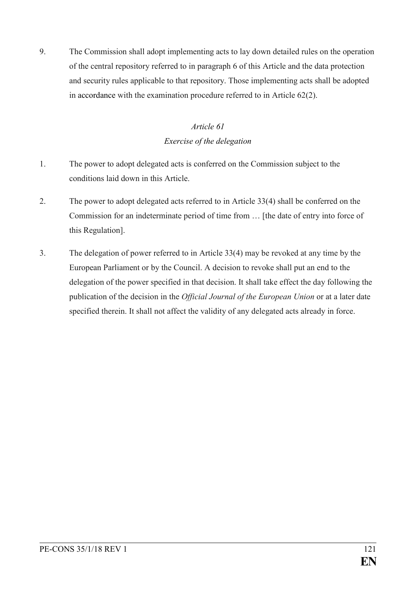9. The Commission shall adopt implementing acts to lay down detailed rules on the operation of the central repository referred to in paragraph 6 of this Article and the data protection and security rules applicable to that repository. Those implementing acts shall be adopted in accordance with the examination procedure referred to in Article 62(2).

### *Article 61 Exercise of the delegation*

- 1. The power to adopt delegated acts is conferred on the Commission subject to the conditions laid down in this Article.
- 2. The power to adopt delegated acts referred to in Article 33(4) shall be conferred on the Commission for an indeterminate period of time from … [the date of entry into force of this Regulation].
- 3. The delegation of power referred to in Article 33(4) may be revoked at any time by the European Parliament or by the Council. A decision to revoke shall put an end to the delegation of the power specified in that decision. It shall take effect the day following the publication of the decision in the *Official Journal of the European Union* or at a later date specified therein. It shall not affect the validity of any delegated acts already in force.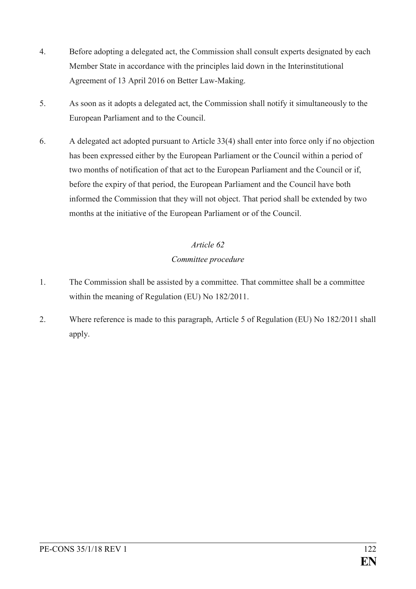- 4. Before adopting a delegated act, the Commission shall consult experts designated by each Member State in accordance with the principles laid down in the Interinstitutional Agreement of 13 April 2016 on Better Law-Making.
- 5. As soon as it adopts a delegated act, the Commission shall notify it simultaneously to the European Parliament and to the Council.
- 6. A delegated act adopted pursuant to Article 33(4) shall enter into force only if no objection has been expressed either by the European Parliament or the Council within a period of two months of notification of that act to the European Parliament and the Council or if, before the expiry of that period, the European Parliament and the Council have both informed the Commission that they will not object. That period shall be extended by two months at the initiative of the European Parliament or of the Council.

### *Article 62*

### *Committee procedure*

- 1. The Commission shall be assisted by a committee. That committee shall be a committee within the meaning of Regulation (EU) No 182/2011.
- 2. Where reference is made to this paragraph, Article 5 of Regulation (EU) No 182/2011 shall apply.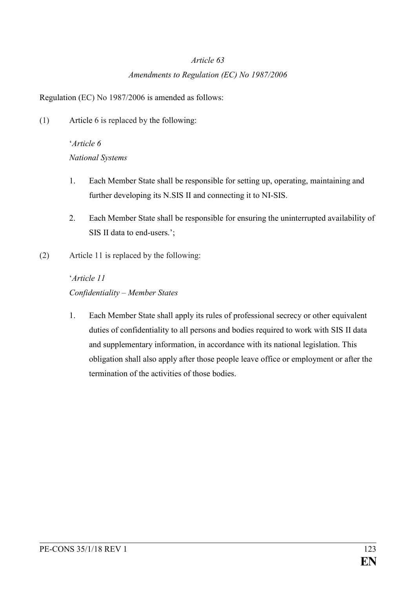#### *Article 63*

### *Amendments to Regulation (EC) No 1987/2006*

Regulation (EC) No 1987/2006 is amended as follows:

(1) Article 6 is replaced by the following:

# '*Article 6 National Systems*

- 1. Each Member State shall be responsible for setting up, operating, maintaining and further developing its N.SIS II and connecting it to NI-SIS.
- 2. Each Member State shall be responsible for ensuring the uninterrupted availability of SIS II data to end-users.';
- (2) Article 11 is replaced by the following:

# '*Article 11 Confidentiality – Member States*

1. Each Member State shall apply its rules of professional secrecy or other equivalent duties of confidentiality to all persons and bodies required to work with SIS II data and supplementary information, in accordance with its national legislation. This obligation shall also apply after those people leave office or employment or after the termination of the activities of those bodies.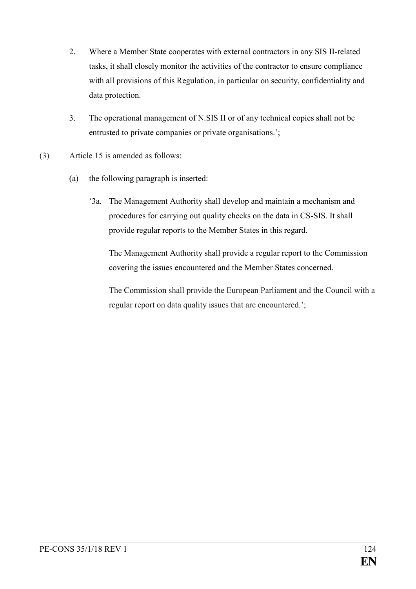- 2. Where a Member State cooperates with external contractors in any SIS II-related tasks, it shall closely monitor the activities of the contractor to ensure compliance with all provisions of this Regulation, in particular on security, confidentiality and data protection.
- 3. The operational management of N.SIS II or of any technical copies shall not be entrusted to private companies or private organisations.';
- (3) Article 15 is amended as follows:
	- (a) the following paragraph is inserted:
		- '3a. The Management Authority shall develop and maintain a mechanism and procedures for carrying out quality checks on the data in CS-SIS. It shall provide regular reports to the Member States in this regard.

The Management Authority shall provide a regular report to the Commission covering the issues encountered and the Member States concerned.

The Commission shall provide the European Parliament and the Council with a regular report on data quality issues that are encountered.';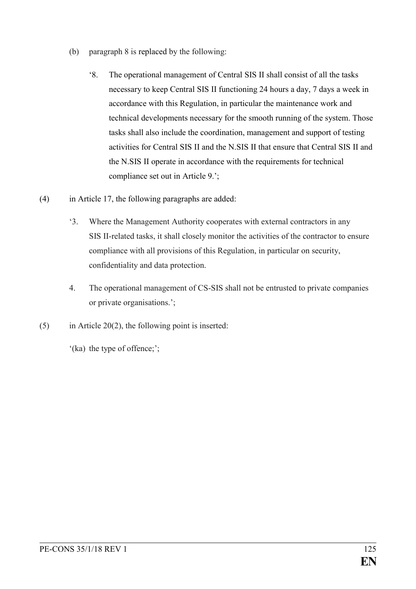- (b) paragraph 8 is replaced by the following:
	- '8. The operational management of Central SIS II shall consist of all the tasks necessary to keep Central SIS II functioning 24 hours a day, 7 days a week in accordance with this Regulation, in particular the maintenance work and technical developments necessary for the smooth running of the system. Those tasks shall also include the coordination, management and support of testing activities for Central SIS II and the N.SIS II that ensure that Central SIS II and the N.SIS II operate in accordance with the requirements for technical compliance set out in Article 9.';
- (4) in Article 17, the following paragraphs are added:
	- '3. Where the Management Authority cooperates with external contractors in any SIS II-related tasks, it shall closely monitor the activities of the contractor to ensure compliance with all provisions of this Regulation, in particular on security, confidentiality and data protection.
	- 4. The operational management of CS-SIS shall not be entrusted to private companies or private organisations.';
- $(5)$  in Article 20(2), the following point is inserted:

'(ka) the type of offence;';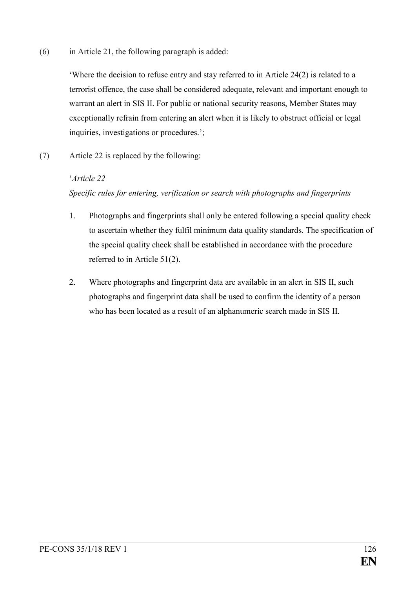(6) in Article 21, the following paragraph is added:

'Where the decision to refuse entry and stay referred to in Article 24(2) is related to a terrorist offence, the case shall be considered adequate, relevant and important enough to warrant an alert in SIS II. For public or national security reasons, Member States may exceptionally refrain from entering an alert when it is likely to obstruct official or legal inquiries, investigations or procedures.';

(7) Article 22 is replaced by the following:

#### '*Article 22*

### *Specific rules for entering, verification or search with photographs and fingerprints*

- 1. Photographs and fingerprints shall only be entered following a special quality check to ascertain whether they fulfil minimum data quality standards. The specification of the special quality check shall be established in accordance with the procedure referred to in Article 51(2).
- 2. Where photographs and fingerprint data are available in an alert in SIS II, such photographs and fingerprint data shall be used to confirm the identity of a person who has been located as a result of an alphanumeric search made in SIS II.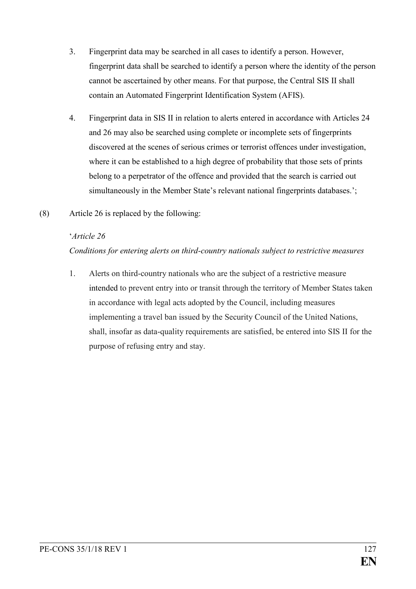- 3. Fingerprint data may be searched in all cases to identify a person. However, fingerprint data shall be searched to identify a person where the identity of the person cannot be ascertained by other means. For that purpose, the Central SIS II shall contain an Automated Fingerprint Identification System (AFIS).
- 4. Fingerprint data in SIS II in relation to alerts entered in accordance with Articles 24 and 26 may also be searched using complete or incomplete sets of fingerprints discovered at the scenes of serious crimes or terrorist offences under investigation, where it can be established to a high degree of probability that those sets of prints belong to a perpetrator of the offence and provided that the search is carried out simultaneously in the Member State's relevant national fingerprints databases.';
- (8) Article 26 is replaced by the following:

### '*Article 26*

*Conditions for entering alerts on third-country nationals subject to restrictive measures*

1. Alerts on third-country nationals who are the subject of a restrictive measure intended to prevent entry into or transit through the territory of Member States taken in accordance with legal acts adopted by the Council, including measures implementing a travel ban issued by the Security Council of the United Nations, shall, insofar as data-quality requirements are satisfied, be entered into SIS II for the purpose of refusing entry and stay.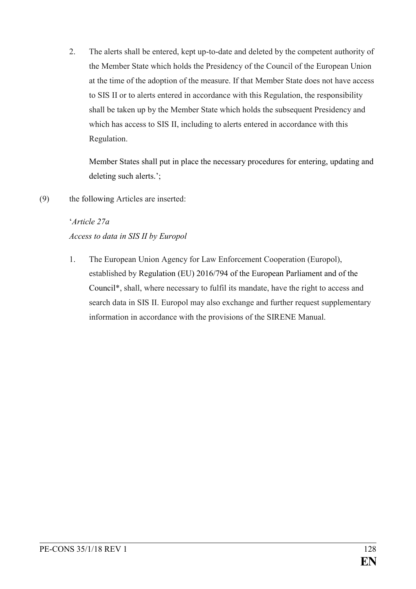2. The alerts shall be entered, kept up-to-date and deleted by the competent authority of the Member State which holds the Presidency of the Council of the European Union at the time of the adoption of the measure. If that Member State does not have access to SIS II or to alerts entered in accordance with this Regulation, the responsibility shall be taken up by the Member State which holds the subsequent Presidency and which has access to SIS II, including to alerts entered in accordance with this Regulation.

Member States shall put in place the necessary procedures for entering, updating and deleting such alerts.';

(9) the following Articles are inserted:

## '*Article 27a Access to data in SIS II by Europol*

1. The European Union Agency for Law Enforcement Cooperation (Europol), established by Regulation (EU) 2016/794 of the European Parliament and of the Council\*, shall, where necessary to fulfil its mandate, have the right to access and search data in SIS II. Europol may also exchange and further request supplementary information in accordance with the provisions of the SIRENE Manual.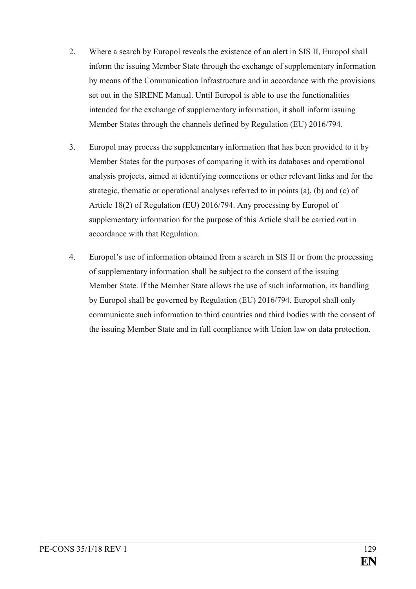- 2. Where a search by Europol reveals the existence of an alert in SIS II, Europol shall inform the issuing Member State through the exchange of supplementary information by means of the Communication Infrastructure and in accordance with the provisions set out in the SIRENE Manual. Until Europol is able to use the functionalities intended for the exchange of supplementary information, it shall inform issuing Member States through the channels defined by Regulation (EU) 2016/794.
- 3. Europol may process the supplementary information that has been provided to it by Member States for the purposes of comparing it with its databases and operational analysis projects, aimed at identifying connections or other relevant links and for the strategic, thematic or operational analyses referred to in points (a), (b) and (c) of Article 18(2) of Regulation (EU) 2016/794. Any processing by Europol of supplementary information for the purpose of this Article shall be carried out in accordance with that Regulation.
- 4. Europol's use of information obtained from a search in SIS II or from the processing of supplementary information shall be subject to the consent of the issuing Member State. If the Member State allows the use of such information, its handling by Europol shall be governed by Regulation (EU) 2016/794. Europol shall only communicate such information to third countries and third bodies with the consent of the issuing Member State and in full compliance with Union law on data protection.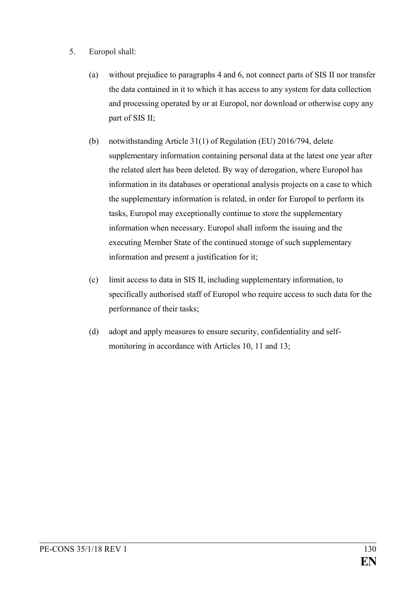- 5. Europol shall:
	- (a) without prejudice to paragraphs 4 and 6, not connect parts of SIS II nor transfer the data contained in it to which it has access to any system for data collection and processing operated by or at Europol, nor download or otherwise copy any part of SIS II;
	- (b) notwithstanding Article 31(1) of Regulation (EU) 2016/794, delete supplementary information containing personal data at the latest one year after the related alert has been deleted. By way of derogation, where Europol has information in its databases or operational analysis projects on a case to which the supplementary information is related, in order for Europol to perform its tasks, Europol may exceptionally continue to store the supplementary information when necessary. Europol shall inform the issuing and the executing Member State of the continued storage of such supplementary information and present a justification for it;
	- (c) limit access to data in SIS II, including supplementary information, to specifically authorised staff of Europol who require access to such data for the performance of their tasks;
	- (d) adopt and apply measures to ensure security, confidentiality and selfmonitoring in accordance with Articles 10, 11 and 13;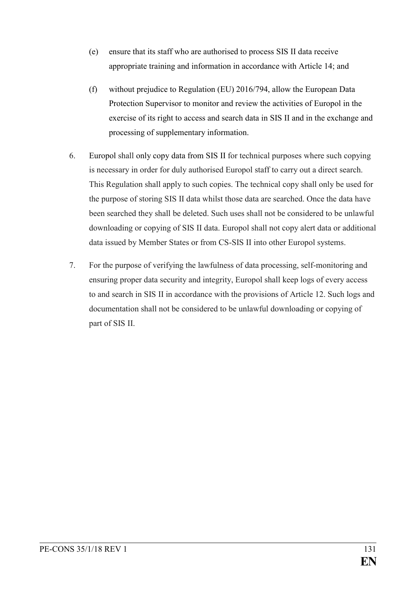- (e) ensure that its staff who are authorised to process SIS II data receive appropriate training and information in accordance with Article 14; and
- (f) without prejudice to Regulation (EU) 2016/794, allow the European Data Protection Supervisor to monitor and review the activities of Europol in the exercise of its right to access and search data in SIS II and in the exchange and processing of supplementary information.
- 6. Europol shall only copy data from SIS II for technical purposes where such copying is necessary in order for duly authorised Europol staff to carry out a direct search. This Regulation shall apply to such copies. The technical copy shall only be used for the purpose of storing SIS II data whilst those data are searched. Once the data have been searched they shall be deleted. Such uses shall not be considered to be unlawful downloading or copying of SIS II data. Europol shall not copy alert data or additional data issued by Member States or from CS-SIS II into other Europol systems.
- 7. For the purpose of verifying the lawfulness of data processing, self-monitoring and ensuring proper data security and integrity, Europol shall keep logs of every access to and search in SIS II in accordance with the provisions of Article 12. Such logs and documentation shall not be considered to be unlawful downloading or copying of part of SIS II.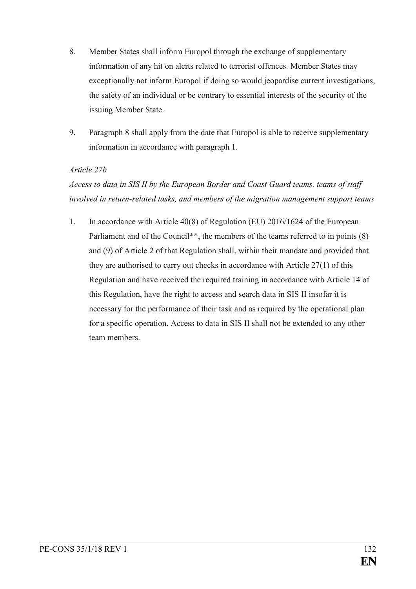- 8. Member States shall inform Europol through the exchange of supplementary information of any hit on alerts related to terrorist offences. Member States may exceptionally not inform Europol if doing so would jeopardise current investigations, the safety of an individual or be contrary to essential interests of the security of the issuing Member State.
- 9. Paragraph 8 shall apply from the date that Europol is able to receive supplementary information in accordance with paragraph 1.

#### *Article 27b*

*Access to data in SIS II by the European Border and Coast Guard teams, teams of staff involved in return-related tasks, and members of the migration management support teams*

1. In accordance with Article 40(8) of Regulation (EU) 2016/1624 of the European Parliament and of the Council<sup>\*\*</sup>, the members of the teams referred to in points (8) and (9) of Article 2 of that Regulation shall, within their mandate and provided that they are authorised to carry out checks in accordance with Article 27(1) of this Regulation and have received the required training in accordance with Article 14 of this Regulation, have the right to access and search data in SIS II insofar it is necessary for the performance of their task and as required by the operational plan for a specific operation. Access to data in SIS II shall not be extended to any other team members.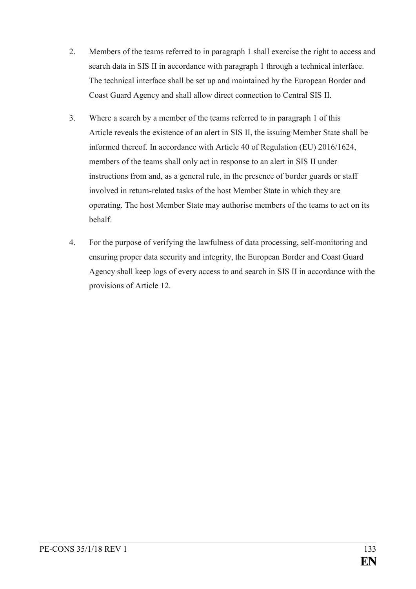- 2. Members of the teams referred to in paragraph 1 shall exercise the right to access and search data in SIS II in accordance with paragraph 1 through a technical interface. The technical interface shall be set up and maintained by the European Border and Coast Guard Agency and shall allow direct connection to Central SIS II.
- 3. Where a search by a member of the teams referred to in paragraph 1 of this Article reveals the existence of an alert in SIS II, the issuing Member State shall be informed thereof. In accordance with Article 40 of Regulation (EU) 2016/1624, members of the teams shall only act in response to an alert in SIS II under instructions from and, as a general rule, in the presence of border guards or staff involved in return-related tasks of the host Member State in which they are operating. The host Member State may authorise members of the teams to act on its behalf.
- 4. For the purpose of verifying the lawfulness of data processing, self-monitoring and ensuring proper data security and integrity, the European Border and Coast Guard Agency shall keep logs of every access to and search in SIS II in accordance with the provisions of Article 12.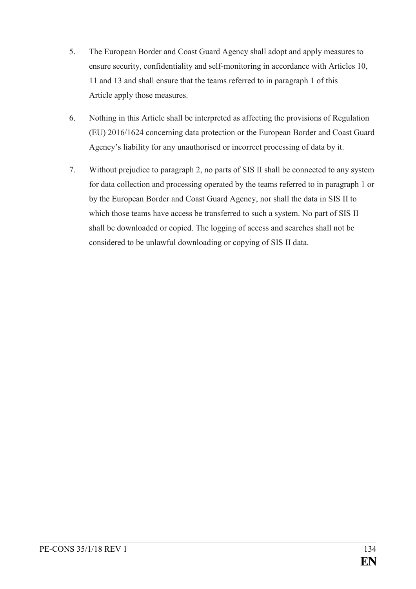- 5. The European Border and Coast Guard Agency shall adopt and apply measures to ensure security, confidentiality and self-monitoring in accordance with Articles 10, 11 and 13 and shall ensure that the teams referred to in paragraph 1 of this Article apply those measures.
- 6. Nothing in this Article shall be interpreted as affecting the provisions of Regulation (EU) 2016/1624 concerning data protection or the European Border and Coast Guard Agency's liability for any unauthorised or incorrect processing of data by it.
- 7. Without prejudice to paragraph 2, no parts of SIS II shall be connected to any system for data collection and processing operated by the teams referred to in paragraph 1 or by the European Border and Coast Guard Agency, nor shall the data in SIS II to which those teams have access be transferred to such a system. No part of SIS II shall be downloaded or copied. The logging of access and searches shall not be considered to be unlawful downloading or copying of SIS II data.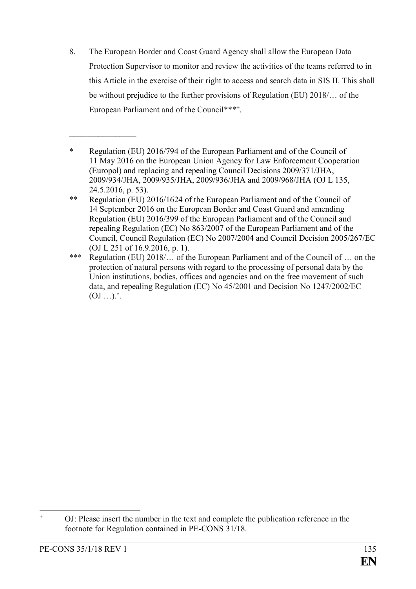8. The European Border and Coast Guard Agency shall allow the European Data Protection Supervisor to monitor and review the activities of the teams referred to in this Article in the exercise of their right to access and search data in SIS II. This shall be without prejudice to the further provisions of Regulation (EU) 2018/… of the European Parliament and of the Council\*\*\***<sup>+</sup>** .

 $\frac{1}{2}$ 

<sup>\*</sup> Regulation (EU) 2016/794 of the European Parliament and of the Council of 11 May 2016 on the European Union Agency for Law Enforcement Cooperation (Europol) and replacing and repealing Council Decisions 2009/371/JHA, 2009/934/JHA, 2009/935/JHA, 2009/936/JHA and 2009/968/JHA (OJ L 135, 24.5.2016, p. 53).

<sup>\*\*</sup> Regulation (EU) 2016/1624 of the European Parliament and of the Council of 14 September 2016 on the European Border and Coast Guard and amending Regulation (EU) 2016/399 of the European Parliament and of the Council and repealing Regulation (EC) No 863/2007 of the European Parliament and of the Council, Council Regulation (EC) No 2007/2004 and Council Decision 2005/267/EC (OJ L 251 of 16.9.2016, p. 1).

<sup>\*\*\*</sup> Regulation (EU) 2018/… of the European Parliament and of the Council of … on the protection of natural persons with regard to the processing of personal data by the Union institutions, bodies, offices and agencies and on the free movement of such data, and repealing Regulation (EC) No 45/2001 and Decision No 1247/2002/EC  $(0J \dots)$ .

 $\ddot{+}$ **<sup>+</sup>** OJ: Please insert the number in the text and complete the publication reference in the footnote for Regulation contained in PE-CONS 31/18.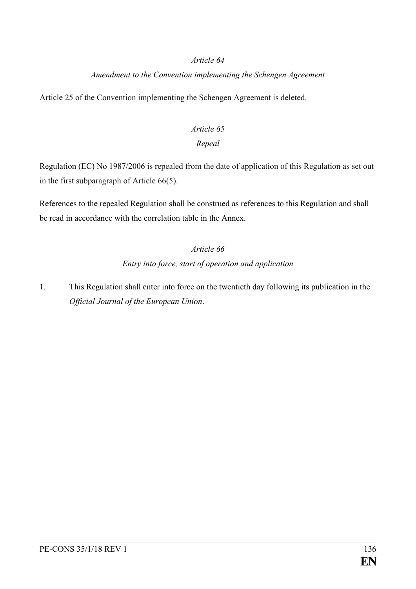#### *Article 64*

### *Amendment to the Convention implementing the Schengen Agreement*

Article 25 of the Convention implementing the Schengen Agreement is deleted.

### *Article 65*

### *Repeal*

Regulation (EC) No 1987/2006 is repealed from the date of application of this Regulation as set out in the first subparagraph of Article 66(5).

References to the repealed Regulation shall be construed as references to this Regulation and shall be read in accordance with the correlation table in the Annex.

### *Article 66*

### *Entry into force, start of operation and application*

1. This Regulation shall enter into force on the twentieth day following its publication in the *Official Journal of the European Union*.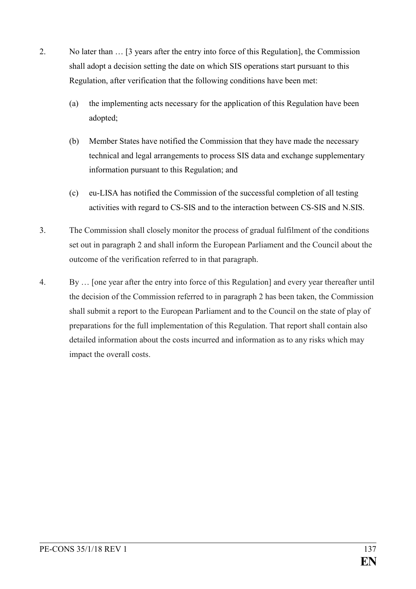- 2. No later than … [3 years after the entry into force of this Regulation], the Commission shall adopt a decision setting the date on which SIS operations start pursuant to this Regulation, after verification that the following conditions have been met:
	- (a) the implementing acts necessary for the application of this Regulation have been adopted;
	- (b) Member States have notified the Commission that they have made the necessary technical and legal arrangements to process SIS data and exchange supplementary information pursuant to this Regulation; and
	- (c) eu-LISA has notified the Commission of the successful completion of all testing activities with regard to CS-SIS and to the interaction between CS-SIS and N.SIS.
- 3. The Commission shall closely monitor the process of gradual fulfilment of the conditions set out in paragraph 2 and shall inform the European Parliament and the Council about the outcome of the verification referred to in that paragraph.
- 4. By … [one year after the entry into force of this Regulation] and every year thereafter until the decision of the Commission referred to in paragraph 2 has been taken, the Commission shall submit a report to the European Parliament and to the Council on the state of play of preparations for the full implementation of this Regulation. That report shall contain also detailed information about the costs incurred and information as to any risks which may impact the overall costs.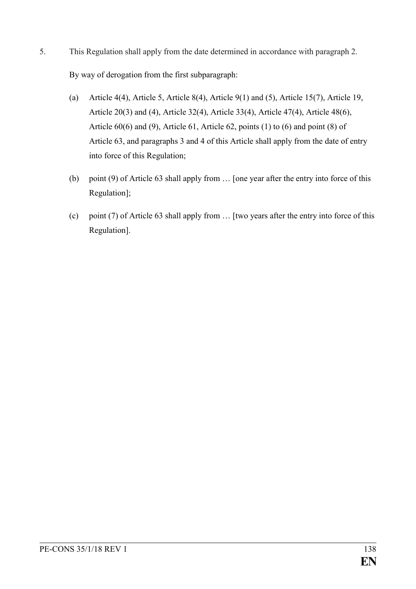- 5. This Regulation shall apply from the date determined in accordance with paragraph 2. By way of derogation from the first subparagraph:
	- (a) Article 4(4), Article 5, Article 8(4), Article 9(1) and (5), Article 15(7), Article 19, Article 20(3) and (4), Article 32(4), Article 33(4), Article 47(4), Article 48(6), Article 60(6) and (9), Article 61, Article 62, points (1) to (6) and point (8) of Article 63, and paragraphs 3 and 4 of this Article shall apply from the date of entry into force of this Regulation;
	- (b) point (9) of Article 63 shall apply from … [one year after the entry into force of this Regulation];
	- (c) point (7) of Article 63 shall apply from … [two years after the entry into force of this Regulation].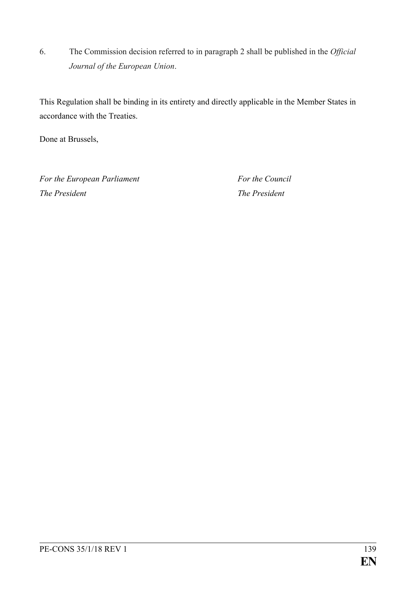6. The Commission decision referred to in paragraph 2 shall be published in the *Official Journal of the European Union*.

This Regulation shall be binding in its entirety and directly applicable in the Member States in accordance with the Treaties.

Done at Brussels,

*For the European Parliament For the Council The President The President*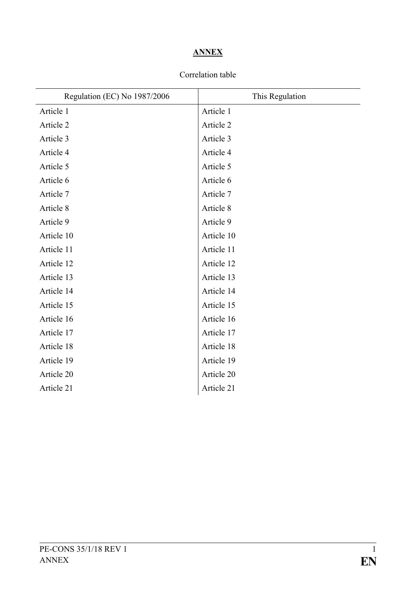## **ANNEX**

### Correlation table

| Regulation (EC) No 1987/2006 | This Regulation |
|------------------------------|-----------------|
| Article 1                    | Article 1       |
| Article 2                    | Article 2       |
| Article 3                    | Article 3       |
| Article 4                    | Article 4       |
| Article 5                    | Article 5       |
| Article 6                    | Article 6       |
| Article 7                    | Article 7       |
| Article 8                    | Article 8       |
| Article 9                    | Article 9       |
| Article 10                   | Article 10      |
| Article 11                   | Article 11      |
| Article 12                   | Article 12      |
| Article 13                   | Article 13      |
| Article 14                   | Article 14      |
| Article 15                   | Article 15      |
| Article 16                   | Article 16      |
| Article 17                   | Article 17      |
| Article 18                   | Article 18      |
| Article 19                   | Article 19      |
| Article 20                   | Article 20      |
| Article 21                   | Article 21      |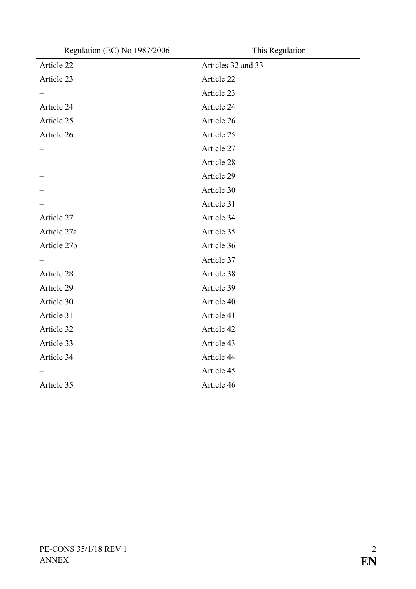| Regulation (EC) No 1987/2006 | This Regulation    |
|------------------------------|--------------------|
| Article 22                   | Articles 32 and 33 |
| Article 23                   | Article 22         |
|                              | Article 23         |
| Article 24                   | Article 24         |
| Article 25                   | Article 26         |
| Article 26                   | Article 25         |
|                              | Article 27         |
|                              | Article 28         |
|                              | Article 29         |
|                              | Article 30         |
|                              | Article 31         |
| Article 27                   | Article 34         |
| Article 27a                  | Article 35         |
| Article 27b                  | Article 36         |
|                              | Article 37         |
| Article 28                   | Article 38         |
| Article 29                   | Article 39         |
| Article 30                   | Article 40         |
| Article 31                   | Article 41         |
| Article 32                   | Article 42         |
| Article 33                   | Article 43         |
| Article 34                   | Article 44         |
|                              | Article 45         |
| Article 35                   | Article 46         |